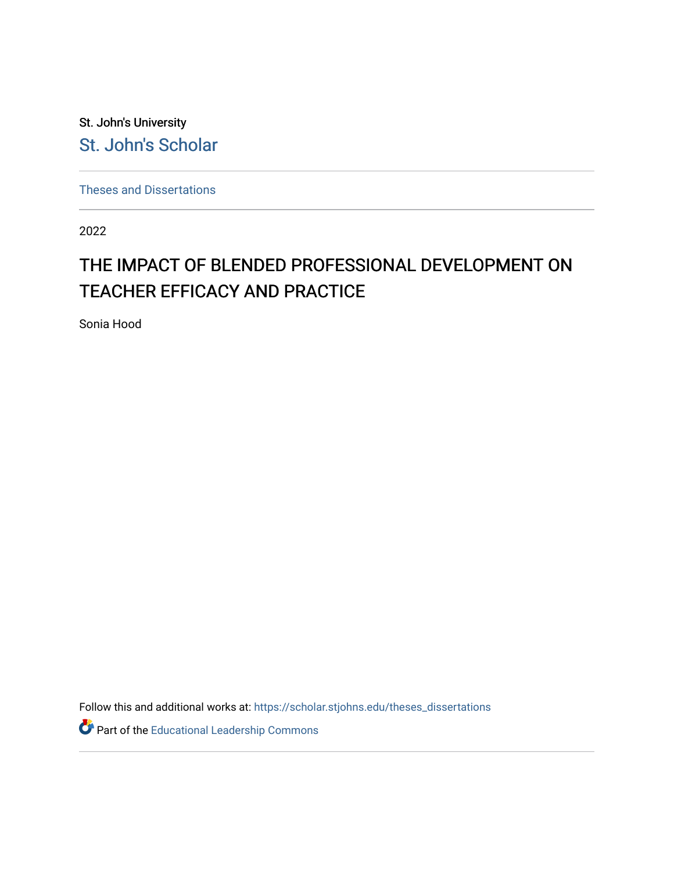St. John's University [St. John's Scholar](https://scholar.stjohns.edu/) 

[Theses and Dissertations](https://scholar.stjohns.edu/theses_dissertations)

2022

# THE IMPACT OF BLENDED PROFESSIONAL DEVELOPMENT ON TEACHER EFFICACY AND PRACTICE

Sonia Hood

Follow this and additional works at: [https://scholar.stjohns.edu/theses\\_dissertations](https://scholar.stjohns.edu/theses_dissertations?utm_source=scholar.stjohns.edu%2Ftheses_dissertations%2F391&utm_medium=PDF&utm_campaign=PDFCoverPages)

Part of the [Educational Leadership Commons](https://network.bepress.com/hgg/discipline/1230?utm_source=scholar.stjohns.edu%2Ftheses_dissertations%2F391&utm_medium=PDF&utm_campaign=PDFCoverPages)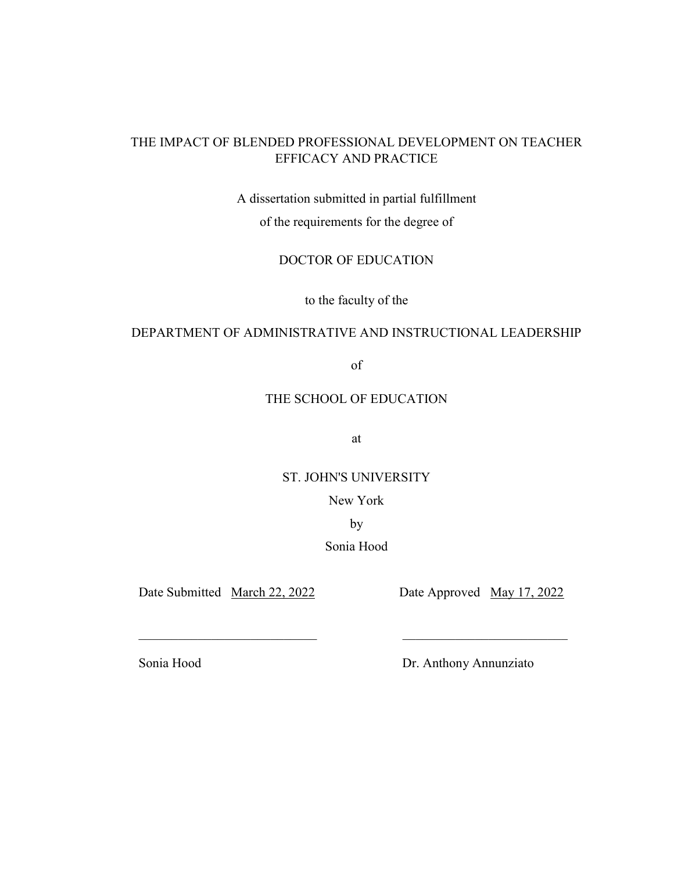# THE IMPACT OF BLENDED PROFESSIONAL DEVELOPMENT ON TEACHER EFFICACY AND PRACTICE

A dissertation submitted in partial fulfillment

of the requirements for the degree of

DOCTOR OF EDUCATION

to the faculty of the

## DEPARTMENT OF ADMINISTRATIVE AND INSTRUCTIONAL LEADERSHIP

of

## THE SCHOOL OF EDUCATION

at

# ST. JOHN'S UNIVERSITY

New York

by

# Sonia Hood

 $\mathcal{L}_\text{max}$  , and the contribution of the contribution of  $\mathcal{L}_\text{max}$  , and the contribution of  $\mathcal{L}_\text{max}$ 

Date Submitted March 22, 2022 Date Approved May 17, 2022

Sonia Hood Dr. Anthony Annunziato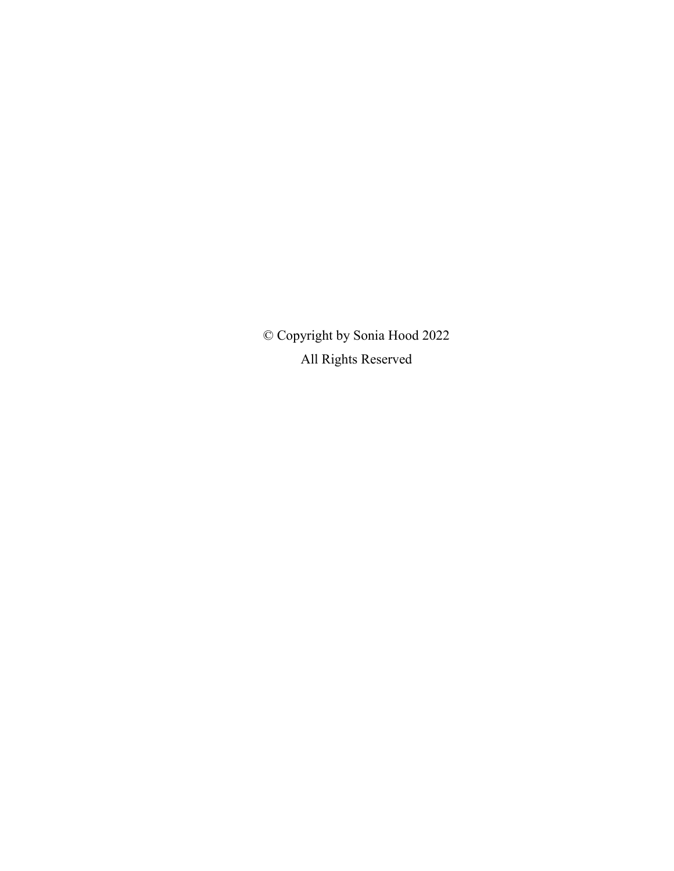© Copyright by Sonia Hood 2022 All Rights Reserved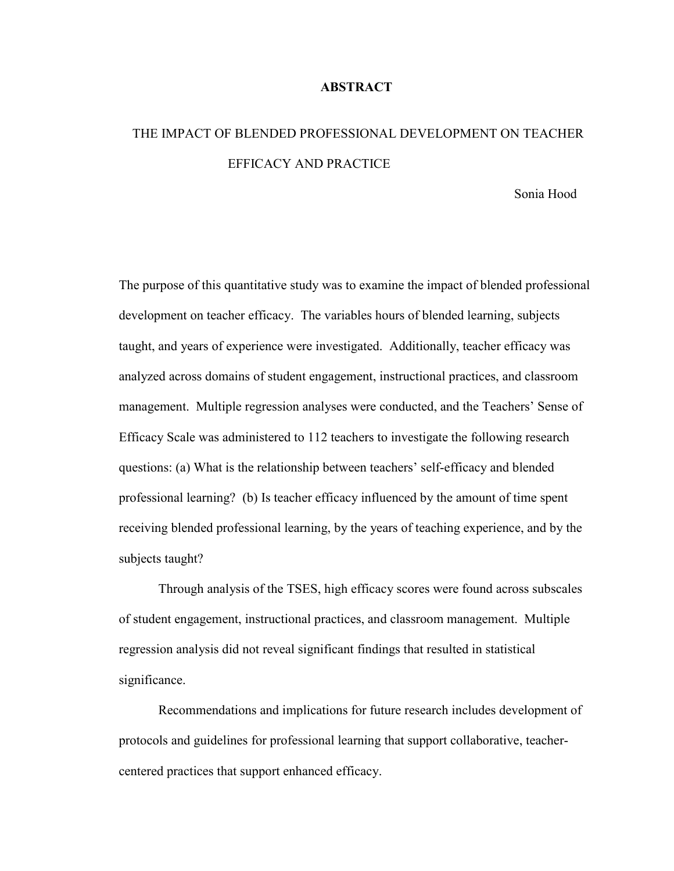#### **ABSTRACT**

# THE IMPACT OF BLENDED PROFESSIONAL DEVELOPMENT ON TEACHER EFFICACY AND PRACTICE

Sonia Hood

The purpose of this quantitative study was to examine the impact of blended professional development on teacher efficacy. The variables hours of blended learning, subjects taught, and years of experience were investigated. Additionally, teacher efficacy was analyzed across domains of student engagement, instructional practices, and classroom management. Multiple regression analyses were conducted, and the Teachers' Sense of Efficacy Scale was administered to 112 teachers to investigate the following research questions: (a) What is the relationship between teachers' self-efficacy and blended professional learning? (b) Is teacher efficacy influenced by the amount of time spent receiving blended professional learning, by the years of teaching experience, and by the subjects taught?

 Through analysis of the TSES, high efficacy scores were found across subscales of student engagement, instructional practices, and classroom management. Multiple regression analysis did not reveal significant findings that resulted in statistical significance.

 Recommendations and implications for future research includes development of protocols and guidelines for professional learning that support collaborative, teachercentered practices that support enhanced efficacy.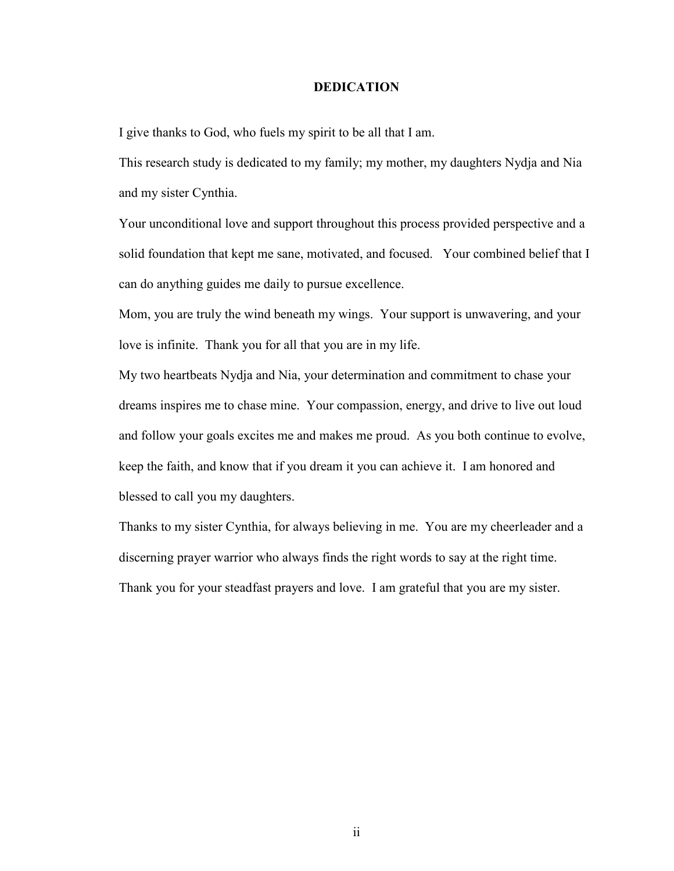#### **DEDICATION**

I give thanks to God, who fuels my spirit to be all that I am.

This research study is dedicated to my family; my mother, my daughters Nydja and Nia and my sister Cynthia.

Your unconditional love and support throughout this process provided perspective and a solid foundation that kept me sane, motivated, and focused. Your combined belief that I can do anything guides me daily to pursue excellence.

Mom, you are truly the wind beneath my wings. Your support is unwavering, and your love is infinite. Thank you for all that you are in my life.

My two heartbeats Nydja and Nia, your determination and commitment to chase your dreams inspires me to chase mine. Your compassion, energy, and drive to live out loud and follow your goals excites me and makes me proud. As you both continue to evolve, keep the faith, and know that if you dream it you can achieve it. I am honored and blessed to call you my daughters.

Thanks to my sister Cynthia, for always believing in me. You are my cheerleader and a discerning prayer warrior who always finds the right words to say at the right time. Thank you for your steadfast prayers and love. I am grateful that you are my sister.

ii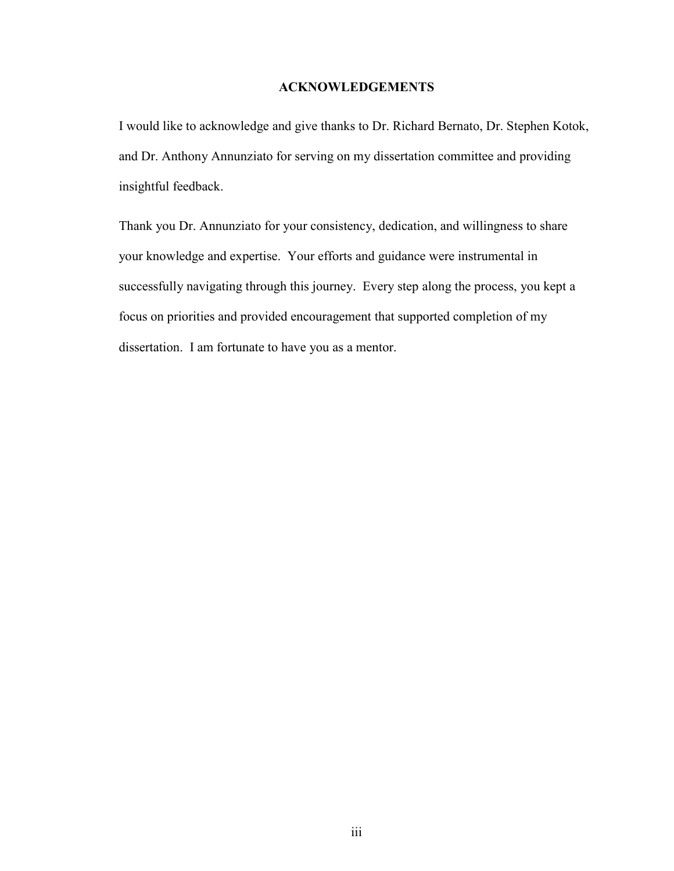### **ACKNOWLEDGEMENTS**

I would like to acknowledge and give thanks to Dr. Richard Bernato, Dr. Stephen Kotok, and Dr. Anthony Annunziato for serving on my dissertation committee and providing insightful feedback.

Thank you Dr. Annunziato for your consistency, dedication, and willingness to share your knowledge and expertise. Your efforts and guidance were instrumental in successfully navigating through this journey. Every step along the process, you kept a focus on priorities and provided encouragement that supported completion of my dissertation. I am fortunate to have you as a mentor.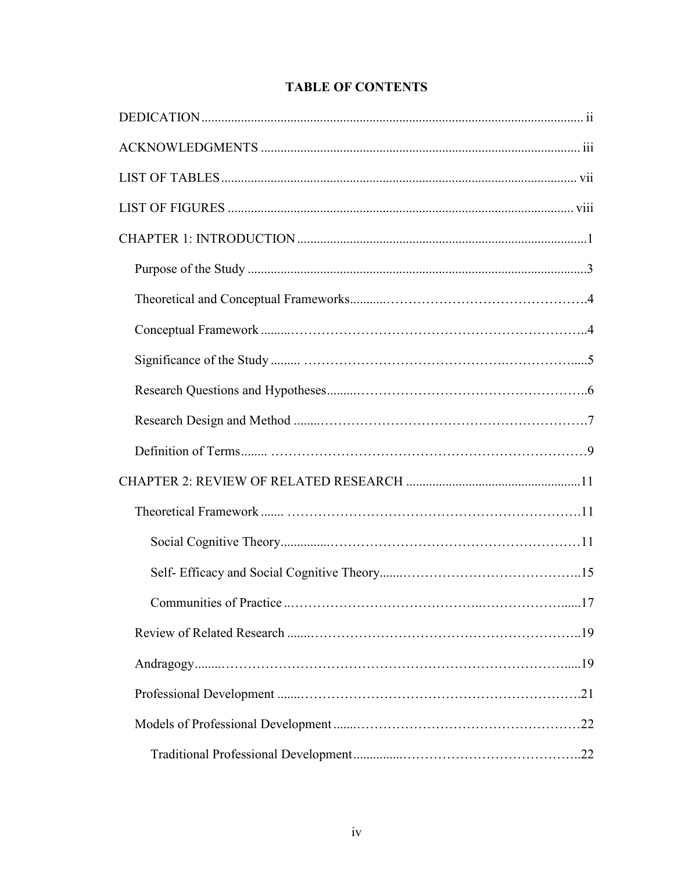# **TABLE OF CONTENTS**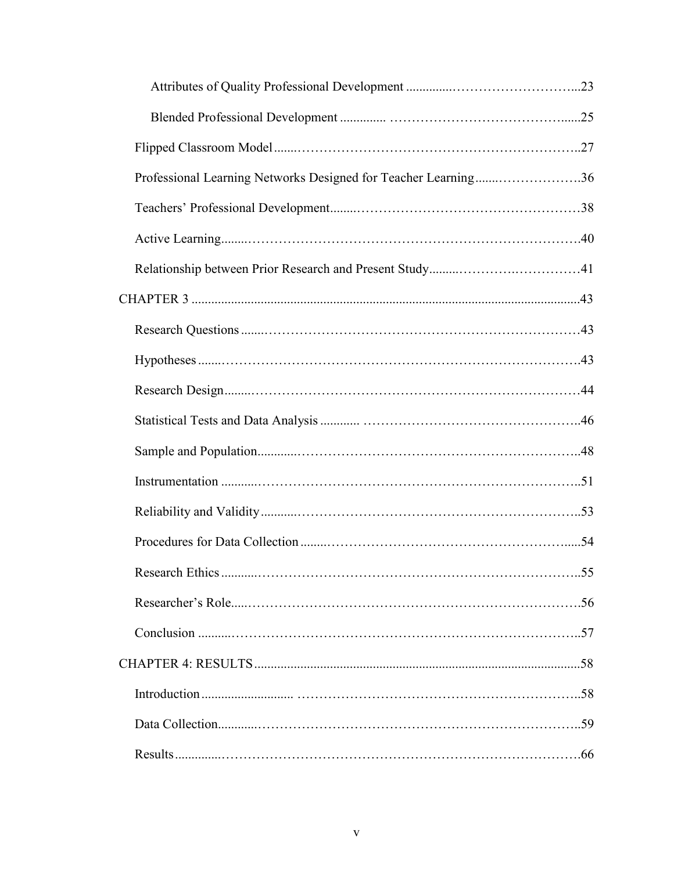| Professional Learning Networks Designed for Teacher Learning36 |  |
|----------------------------------------------------------------|--|
|                                                                |  |
|                                                                |  |
|                                                                |  |
|                                                                |  |
|                                                                |  |
|                                                                |  |
|                                                                |  |
|                                                                |  |
|                                                                |  |
|                                                                |  |
|                                                                |  |
|                                                                |  |
|                                                                |  |
|                                                                |  |
|                                                                |  |
|                                                                |  |
|                                                                |  |
|                                                                |  |
|                                                                |  |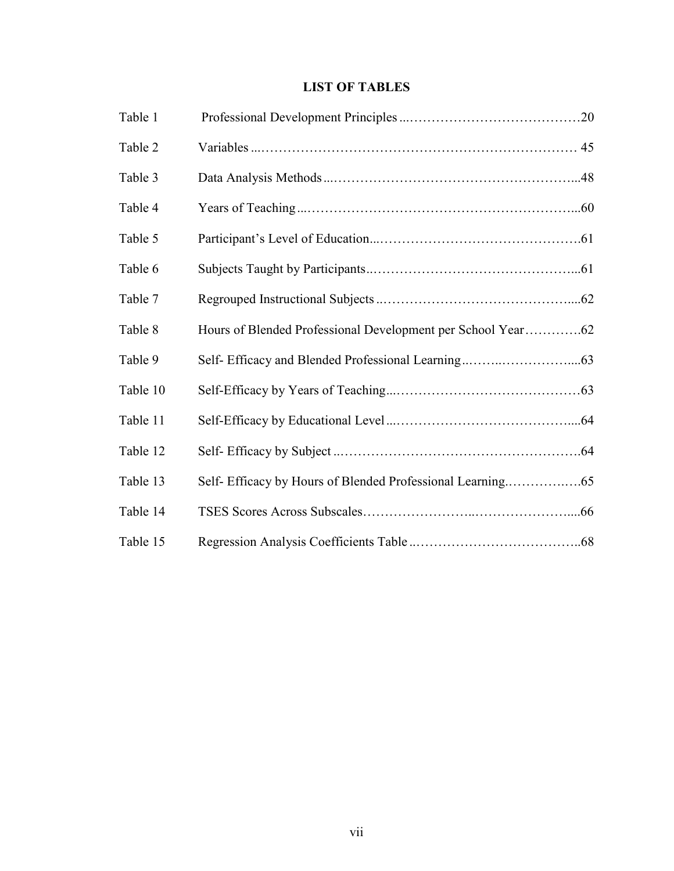# **LIST OF TABLES**

| Table 1  |                                                             |
|----------|-------------------------------------------------------------|
| Table 2  |                                                             |
| Table 3  |                                                             |
| Table 4  |                                                             |
| Table 5  |                                                             |
| Table 6  |                                                             |
| Table 7  |                                                             |
| Table 8  | Hours of Blended Professional Development per School Year62 |
| Table 9  |                                                             |
| Table 10 |                                                             |
| Table 11 |                                                             |
| Table 12 |                                                             |
| Table 13 |                                                             |
| Table 14 |                                                             |
| Table 15 |                                                             |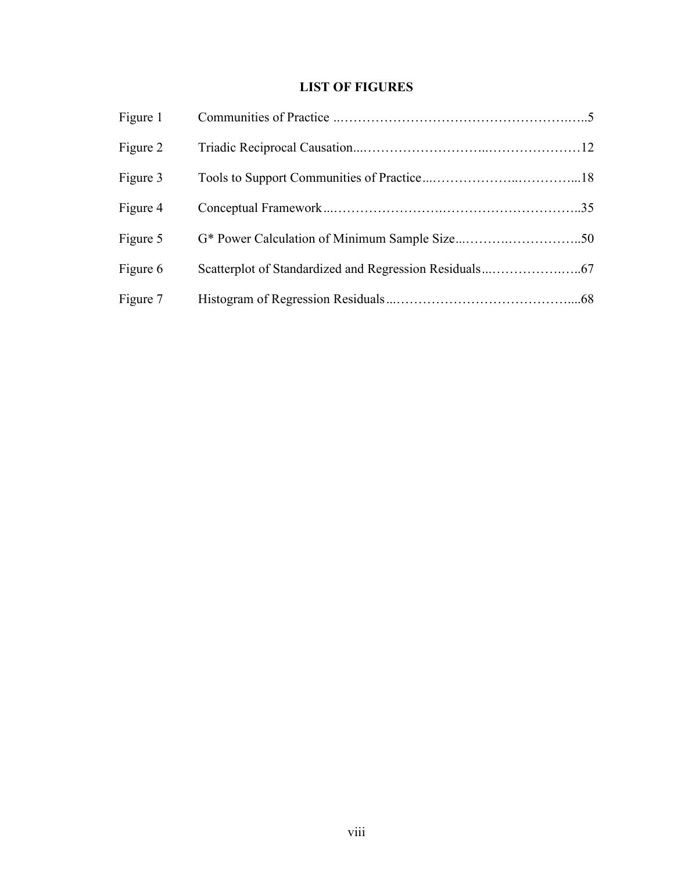# **LIST OF FIGURES**

| Figure 1 |  |
|----------|--|
| Figure 2 |  |
| Figure 3 |  |
| Figure 4 |  |
| Figure 5 |  |
| Figure 6 |  |
| Figure 7 |  |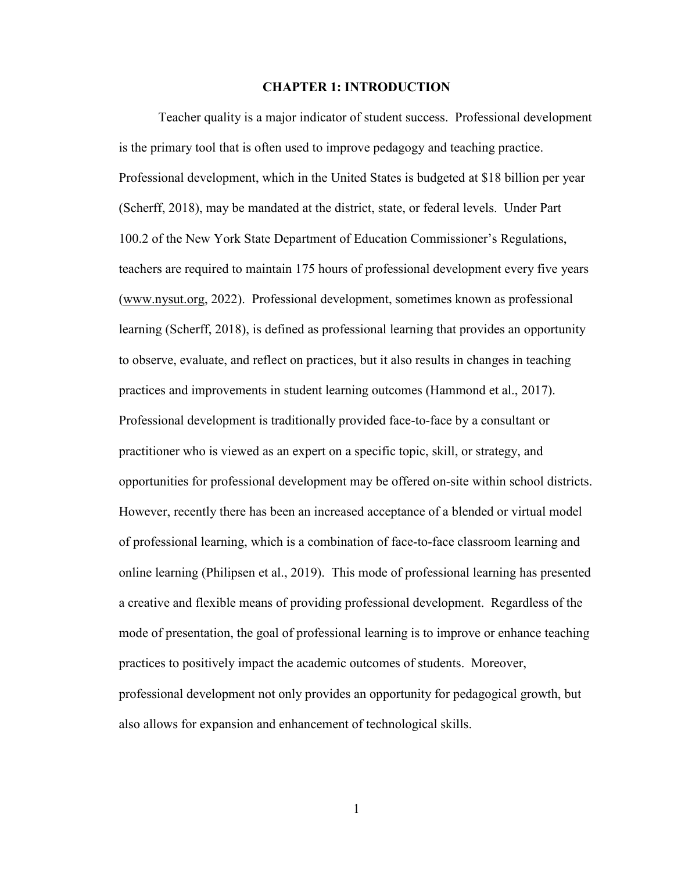#### **CHAPTER 1: INTRODUCTION**

 Teacher quality is a major indicator of student success. Professional development is the primary tool that is often used to improve pedagogy and teaching practice. Professional development, which in the United States is budgeted at \$18 billion per year (Scherff, 2018), may be mandated at the district, state, or federal levels. Under Part 100.2 of the New York State Department of Education Commissioner's Regulations, teachers are required to maintain 175 hours of professional development every five years (www.nysut.org, 2022). Professional development, sometimes known as professional learning (Scherff, 2018), is defined as professional learning that provides an opportunity to observe, evaluate, and reflect on practices, but it also results in changes in teaching practices and improvements in student learning outcomes (Hammond et al., 2017). Professional development is traditionally provided face-to-face by a consultant or practitioner who is viewed as an expert on a specific topic, skill, or strategy, and opportunities for professional development may be offered on-site within school districts. However, recently there has been an increased acceptance of a blended or virtual model of professional learning, which is a combination of face-to-face classroom learning and online learning (Philipsen et al., 2019). This mode of professional learning has presented a creative and flexible means of providing professional development. Regardless of the mode of presentation, the goal of professional learning is to improve or enhance teaching practices to positively impact the academic outcomes of students. Moreover, professional development not only provides an opportunity for pedagogical growth, but also allows for expansion and enhancement of technological skills.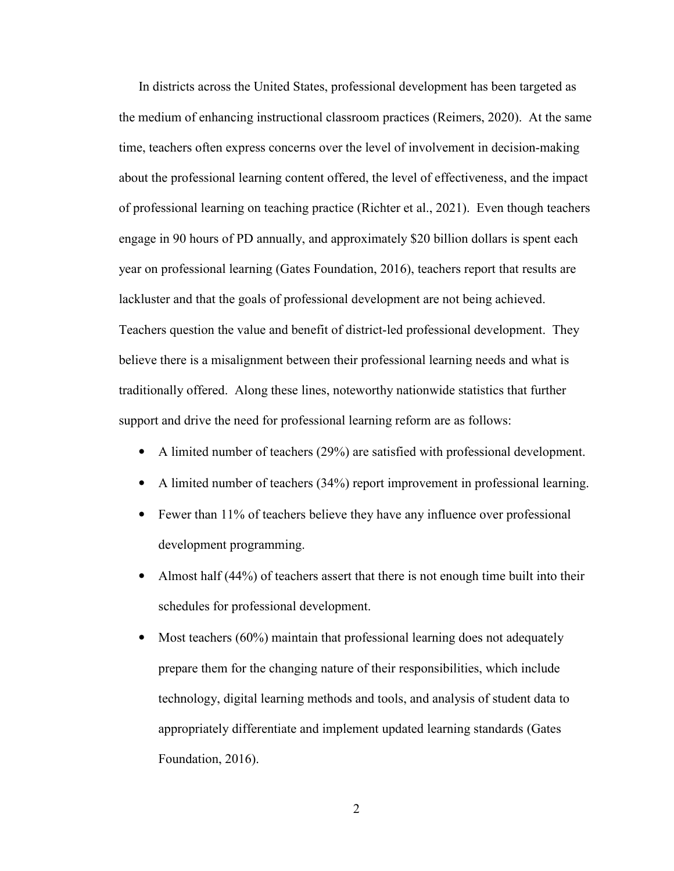In districts across the United States, professional development has been targeted as the medium of enhancing instructional classroom practices (Reimers, 2020). At the same time, teachers often express concerns over the level of involvement in decision-making about the professional learning content offered, the level of effectiveness, and the impact of professional learning on teaching practice (Richter et al., 2021). Even though teachers engage in 90 hours of PD annually, and approximately \$20 billion dollars is spent each year on professional learning (Gates Foundation, 2016), teachers report that results are lackluster and that the goals of professional development are not being achieved. Teachers question the value and benefit of district-led professional development. They believe there is a misalignment between their professional learning needs and what is traditionally offered. Along these lines, noteworthy nationwide statistics that further support and drive the need for professional learning reform are as follows:

- A limited number of teachers (29%) are satisfied with professional development.
- A limited number of teachers (34%) report improvement in professional learning.
- Fewer than 11% of teachers believe they have any influence over professional development programming.
- Almost half (44%) of teachers assert that there is not enough time built into their schedules for professional development.
- Most teachers (60%) maintain that professional learning does not adequately prepare them for the changing nature of their responsibilities, which include technology, digital learning methods and tools, and analysis of student data to appropriately differentiate and implement updated learning standards (Gates Foundation, 2016).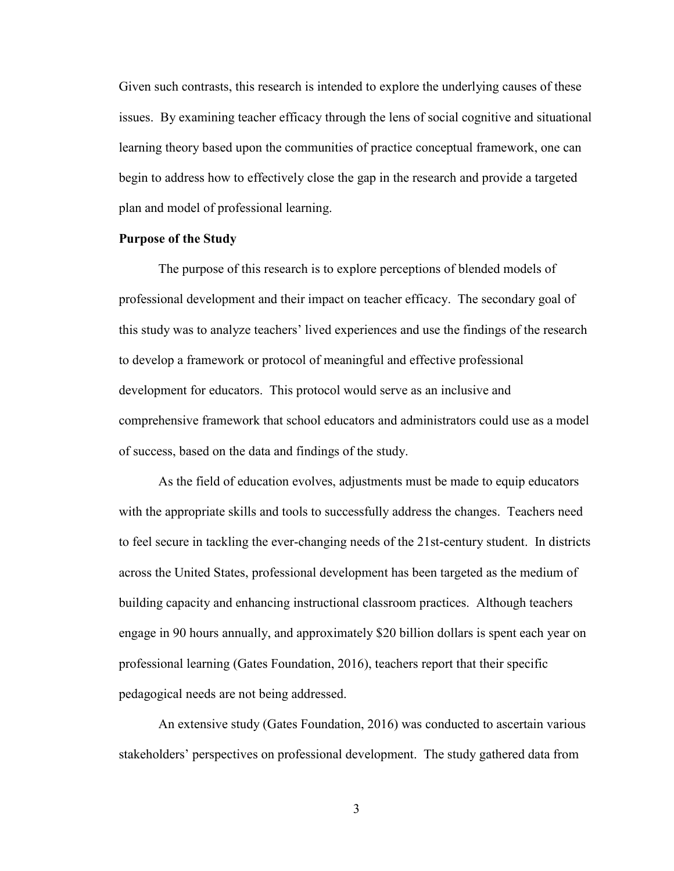Given such contrasts, this research is intended to explore the underlying causes of these issues. By examining teacher efficacy through the lens of social cognitive and situational learning theory based upon the communities of practice conceptual framework, one can begin to address how to effectively close the gap in the research and provide a targeted plan and model of professional learning.

#### **Purpose of the Study**

 The purpose of this research is to explore perceptions of blended models of professional development and their impact on teacher efficacy. The secondary goal of this study was to analyze teachers' lived experiences and use the findings of the research to develop a framework or protocol of meaningful and effective professional development for educators. This protocol would serve as an inclusive and comprehensive framework that school educators and administrators could use as a model of success, based on the data and findings of the study.

 As the field of education evolves, adjustments must be made to equip educators with the appropriate skills and tools to successfully address the changes. Teachers need to feel secure in tackling the ever-changing needs of the 21st-century student. In districts across the United States, professional development has been targeted as the medium of building capacity and enhancing instructional classroom practices. Although teachers engage in 90 hours annually, and approximately \$20 billion dollars is spent each year on professional learning (Gates Foundation, 2016), teachers report that their specific pedagogical needs are not being addressed.

 An extensive study (Gates Foundation, 2016) was conducted to ascertain various stakeholders' perspectives on professional development. The study gathered data from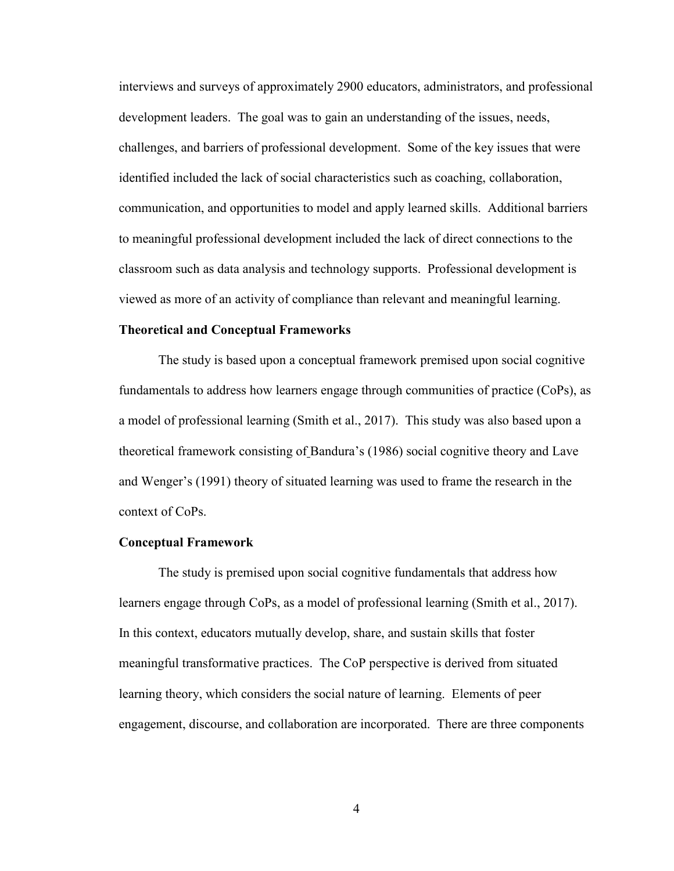interviews and surveys of approximately 2900 educators, administrators, and professional development leaders. The goal was to gain an understanding of the issues, needs, challenges, and barriers of professional development. Some of the key issues that were identified included the lack of social characteristics such as coaching, collaboration, communication, and opportunities to model and apply learned skills. Additional barriers to meaningful professional development included the lack of direct connections to the classroom such as data analysis and technology supports. Professional development is viewed as more of an activity of compliance than relevant and meaningful learning.

#### **Theoretical and Conceptual Frameworks**

The study is based upon a conceptual framework premised upon social cognitive fundamentals to address how learners engage through communities of practice (CoPs), as a model of professional learning (Smith et al., 2017). This study was also based upon a theoretical framework consisting of Bandura's (1986) social cognitive theory and Lave and Wenger's (1991) theory of situated learning was used to frame the research in the context of CoPs.

#### **Conceptual Framework**

 The study is premised upon social cognitive fundamentals that address how learners engage through CoPs, as a model of professional learning (Smith et al., 2017). In this context, educators mutually develop, share, and sustain skills that foster meaningful transformative practices. The CoP perspective is derived from situated learning theory, which considers the social nature of learning. Elements of peer engagement, discourse, and collaboration are incorporated. There are three components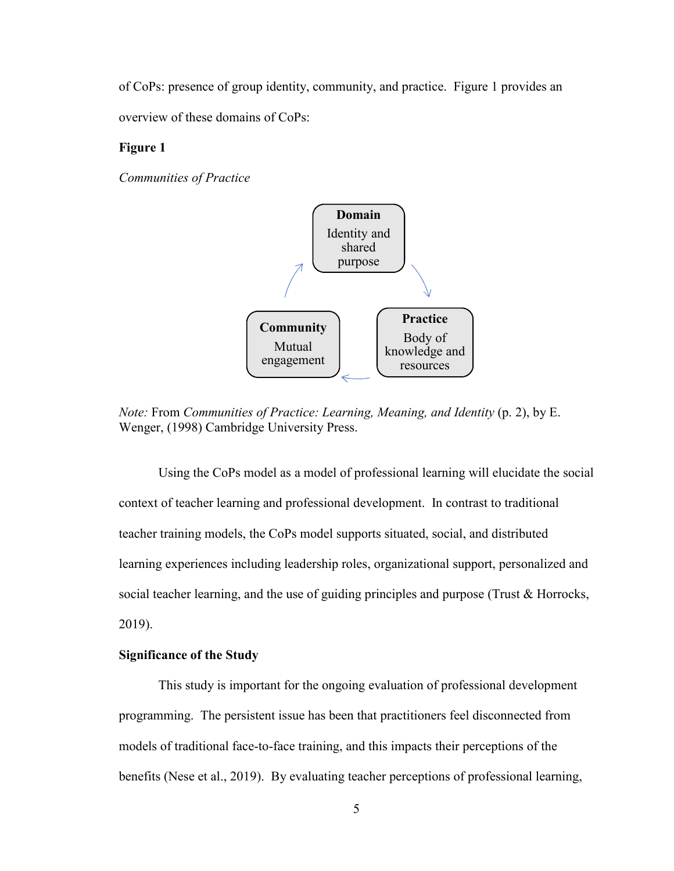of CoPs: presence of group identity, community, and practice. Figure 1 provides an overview of these domains of CoPs:

## **Figure 1**

*Communities of Practice* 



*Note:* From *Communities of Practice: Learning, Meaning, and Identity* (p. 2), by E. Wenger, (1998) Cambridge University Press.

 Using the CoPs model as a model of professional learning will elucidate the social context of teacher learning and professional development. In contrast to traditional teacher training models, the CoPs model supports situated, social, and distributed learning experiences including leadership roles, organizational support, personalized and social teacher learning, and the use of guiding principles and purpose (Trust & Horrocks, 2019).

# **Significance of the Study**

 This study is important for the ongoing evaluation of professional development programming. The persistent issue has been that practitioners feel disconnected from models of traditional face-to-face training, and this impacts their perceptions of the benefits (Nese et al., 2019). By evaluating teacher perceptions of professional learning,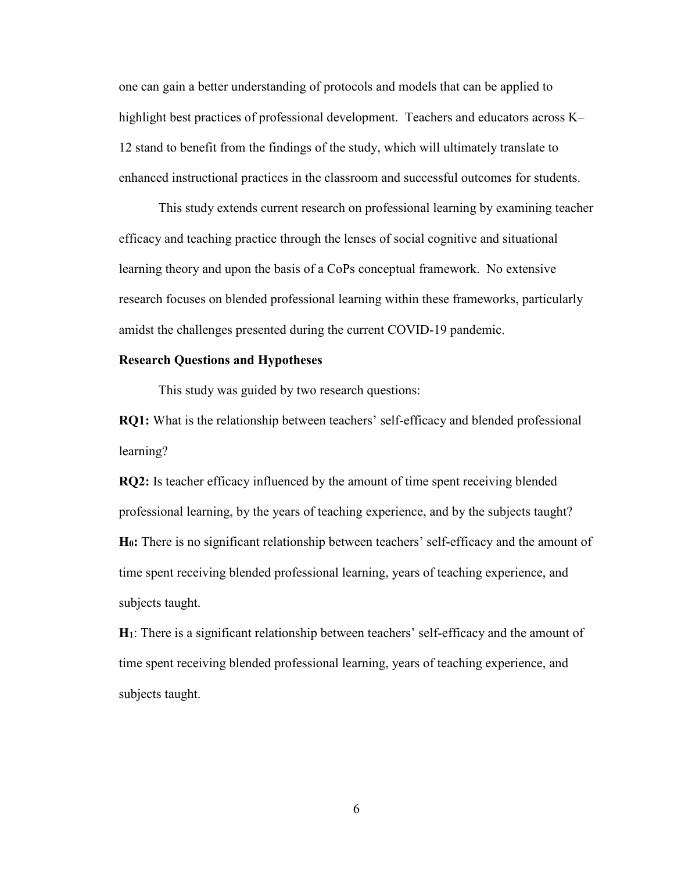one can gain a better understanding of protocols and models that can be applied to highlight best practices of professional development. Teachers and educators across K– 12 stand to benefit from the findings of the study, which will ultimately translate to enhanced instructional practices in the classroom and successful outcomes for students.

 This study extends current research on professional learning by examining teacher efficacy and teaching practice through the lenses of social cognitive and situational learning theory and upon the basis of a CoPs conceptual framework. No extensive research focuses on blended professional learning within these frameworks, particularly amidst the challenges presented during the current COVID-19 pandemic.

#### **Research Questions and Hypotheses**

This study was guided by two research questions:

**RQ1:** What is the relationship between teachers' self-efficacy and blended professional learning?

**RQ2:** Is teacher efficacy influenced by the amount of time spent receiving blended professional learning, by the years of teaching experience, and by the subjects taught? **H0:** There is no significant relationship between teachers' self-efficacy and the amount of time spent receiving blended professional learning, years of teaching experience, and subjects taught.

**H1**: There is a significant relationship between teachers' self-efficacy and the amount of time spent receiving blended professional learning, years of teaching experience, and subjects taught.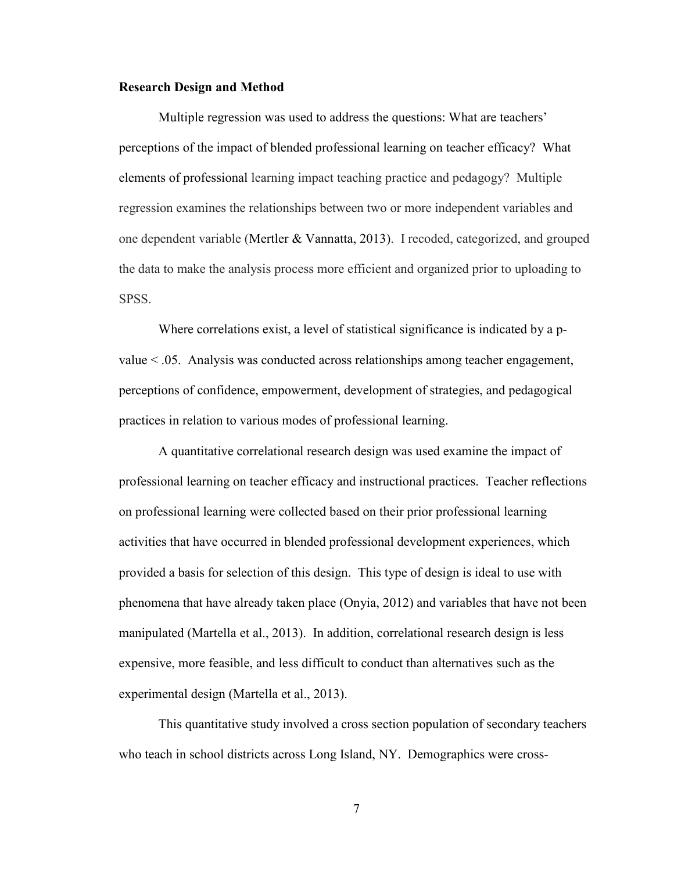#### **Research Design and Method**

 Multiple regression was used to address the questions: What are teachers' perceptions of the impact of blended professional learning on teacher efficacy? What elements of professional learning impact teaching practice and pedagogy? Multiple regression examines the relationships between two or more independent variables and one dependent variable (Mertler & Vannatta, 2013). I recoded, categorized, and grouped the data to make the analysis process more efficient and organized prior to uploading to SPSS.

Where correlations exist, a level of statistical significance is indicated by a pvalue < .05. Analysis was conducted across relationships among teacher engagement, perceptions of confidence, empowerment, development of strategies, and pedagogical practices in relation to various modes of professional learning.

 A quantitative correlational research design was used examine the impact of professional learning on teacher efficacy and instructional practices. Teacher reflections on professional learning were collected based on their prior professional learning activities that have occurred in blended professional development experiences, which provided a basis for selection of this design. This type of design is ideal to use with phenomena that have already taken place (Onyia, 2012) and variables that have not been manipulated (Martella et al., 2013). In addition, correlational research design is less expensive, more feasible, and less difficult to conduct than alternatives such as the experimental design (Martella et al., 2013).

 This quantitative study involved a cross section population of secondary teachers who teach in school districts across Long Island, NY. Demographics were cross-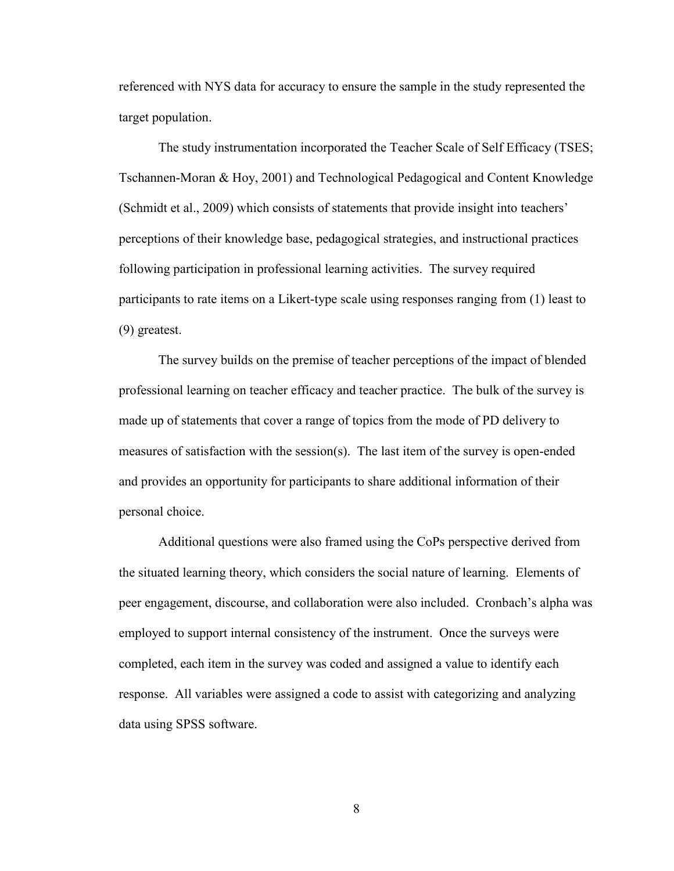referenced with NYS data for accuracy to ensure the sample in the study represented the target population.

 The study instrumentation incorporated the Teacher Scale of Self Efficacy (TSES; Tschannen-Moran & Hoy, 2001) and Technological Pedagogical and Content Knowledge (Schmidt et al., 2009) which consists of statements that provide insight into teachers' perceptions of their knowledge base, pedagogical strategies, and instructional practices following participation in professional learning activities. The survey required participants to rate items on a Likert-type scale using responses ranging from (1) least to (9) greatest.

The survey builds on the premise of teacher perceptions of the impact of blended professional learning on teacher efficacy and teacher practice. The bulk of the survey is made up of statements that cover a range of topics from the mode of PD delivery to measures of satisfaction with the session(s). The last item of the survey is open-ended and provides an opportunity for participants to share additional information of their personal choice.

Additional questions were also framed using the CoPs perspective derived from the situated learning theory, which considers the social nature of learning. Elements of peer engagement, discourse, and collaboration were also included. Cronbach's alpha was employed to support internal consistency of the instrument. Once the surveys were completed, each item in the survey was coded and assigned a value to identify each response. All variables were assigned a code to assist with categorizing and analyzing data using SPSS software.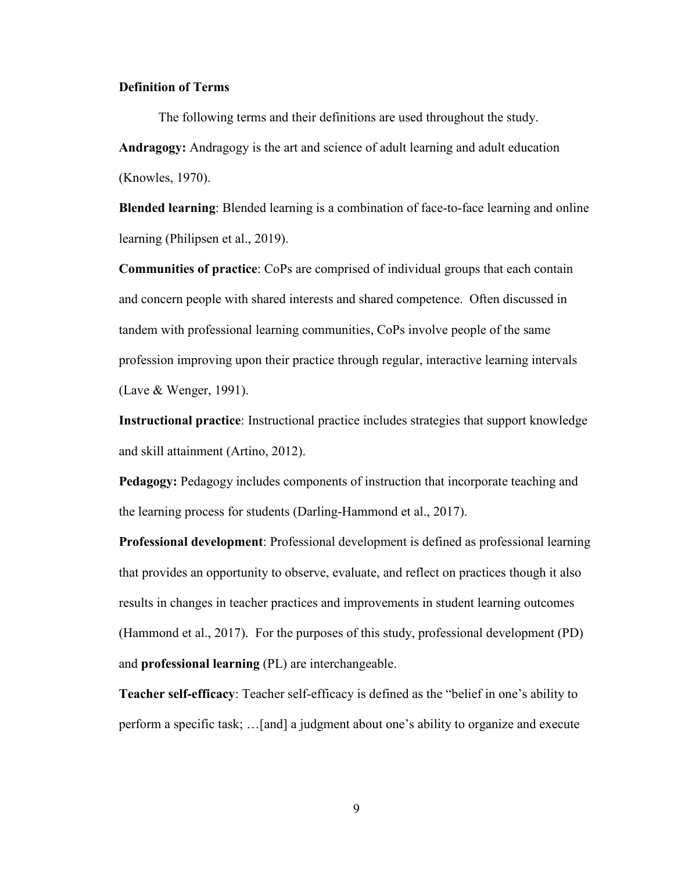#### **Definition of Terms**

 The following terms and their definitions are used throughout the study. **Andragogy:** Andragogy is the art and science of adult learning and adult education (Knowles, 1970).

**Blended learning**: Blended learning is a combination of face-to-face learning and online learning (Philipsen et al., 2019).

**Communities of practice**: CoPs are comprised of individual groups that each contain and concern people with shared interests and shared competence. Often discussed in tandem with professional learning communities, CoPs involve people of the same profession improving upon their practice through regular, interactive learning intervals (Lave & Wenger, 1991).

**Instructional practice**: Instructional practice includes strategies that support knowledge and skill attainment (Artino, 2012).

**Pedagogy:** Pedagogy includes components of instruction that incorporate teaching and the learning process for students (Darling-Hammond et al., 2017).

**Professional development**: Professional development is defined as professional learning that provides an opportunity to observe, evaluate, and reflect on practices though it also results in changes in teacher practices and improvements in student learning outcomes (Hammond et al., 2017). For the purposes of this study, professional development (PD) and **professional learning** (PL) are interchangeable.

**Teacher self-efficacy**: Teacher self-efficacy is defined as the "belief in one's ability to perform a specific task; …[and] a judgment about one's ability to organize and execute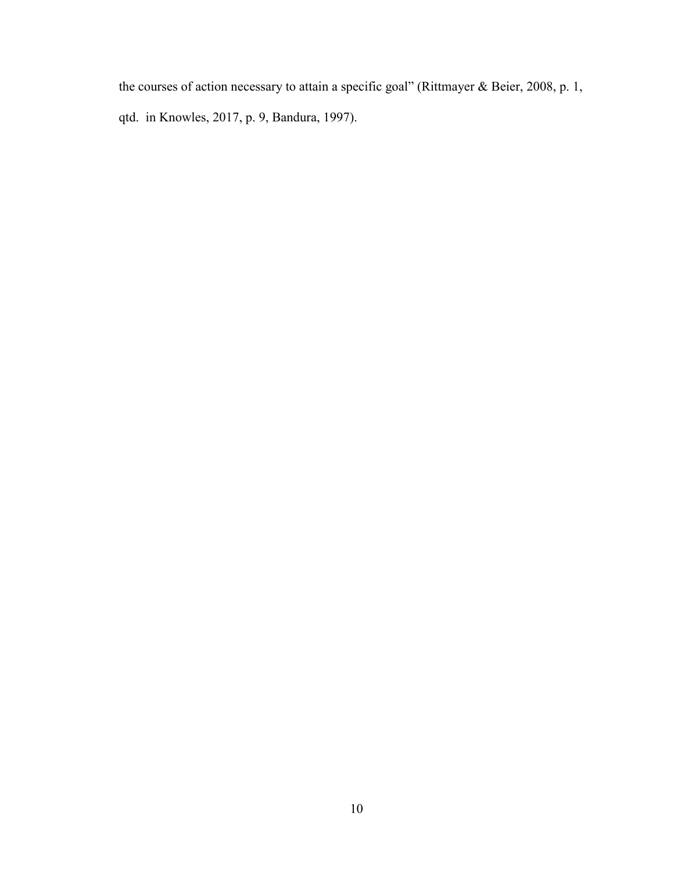the courses of action necessary to attain a specific goal" (Rittmayer & Beier, 2008, p. 1, qtd. in Knowles, 2017, p. 9, Bandura, 1997).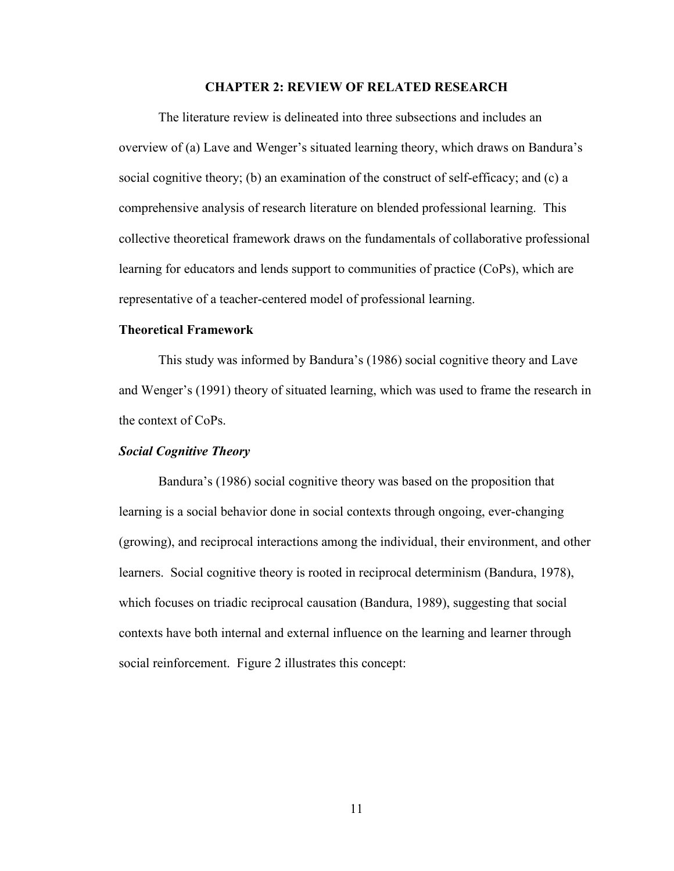#### **CHAPTER 2: REVIEW OF RELATED RESEARCH**

 The literature review is delineated into three subsections and includes an overview of (a) Lave and Wenger's situated learning theory, which draws on Bandura's social cognitive theory; (b) an examination of the construct of self-efficacy; and (c) a comprehensive analysis of research literature on blended professional learning. This collective theoretical framework draws on the fundamentals of collaborative professional learning for educators and lends support to communities of practice (CoPs), which are representative of a teacher-centered model of professional learning.

#### **Theoretical Framework**

 This study was informed by Bandura's (1986) social cognitive theory and Lave and Wenger's (1991) theory of situated learning, which was used to frame the research in the context of CoPs.

#### *Social Cognitive Theory*

 Bandura's (1986) social cognitive theory was based on the proposition that learning is a social behavior done in social contexts through ongoing, ever-changing (growing), and reciprocal interactions among the individual, their environment, and other learners. Social cognitive theory is rooted in reciprocal determinism (Bandura, 1978), which focuses on triadic reciprocal causation (Bandura, 1989), suggesting that social contexts have both internal and external influence on the learning and learner through social reinforcement. Figure 2 illustrates this concept: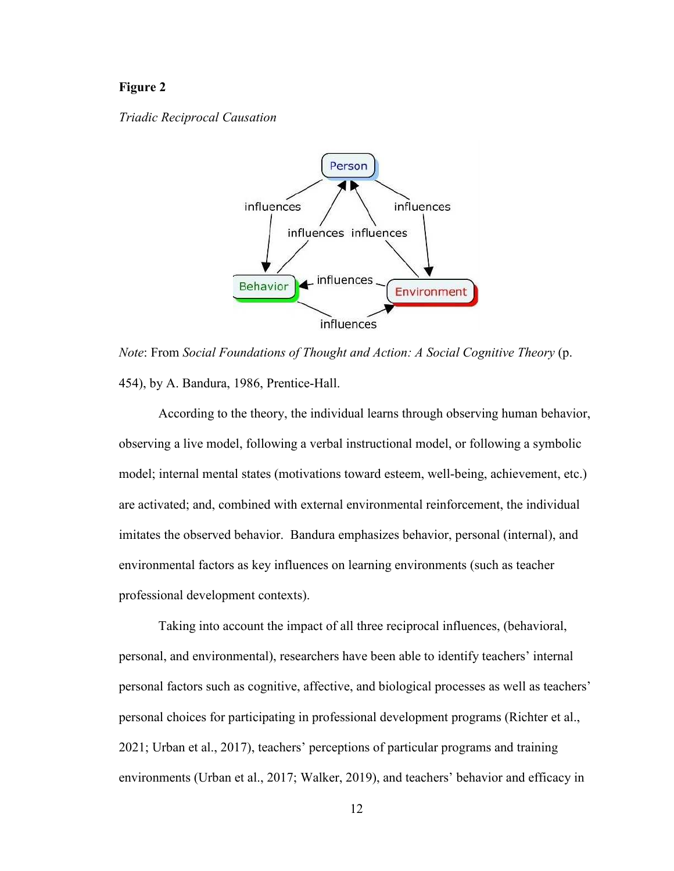#### **Figure 2**

#### *Triadic Reciprocal Causation*



*Note*: From *Social Foundations of Thought and Action: A Social Cognitive Theory* (p. 454), by A. Bandura, 1986, Prentice-Hall.

 According to the theory, the individual learns through observing human behavior, observing a live model, following a verbal instructional model, or following a symbolic model; internal mental states (motivations toward esteem, well-being, achievement, etc.) are activated; and, combined with external environmental reinforcement, the individual imitates the observed behavior. Bandura emphasizes behavior, personal (internal), and environmental factors as key influences on learning environments (such as teacher professional development contexts).

 Taking into account the impact of all three reciprocal influences, (behavioral, personal, and environmental), researchers have been able to identify teachers' internal personal factors such as cognitive, affective, and biological processes as well as teachers' personal choices for participating in professional development programs (Richter et al., 2021; Urban et al., 2017), teachers' perceptions of particular programs and training environments (Urban et al., 2017; Walker, 2019), and teachers' behavior and efficacy in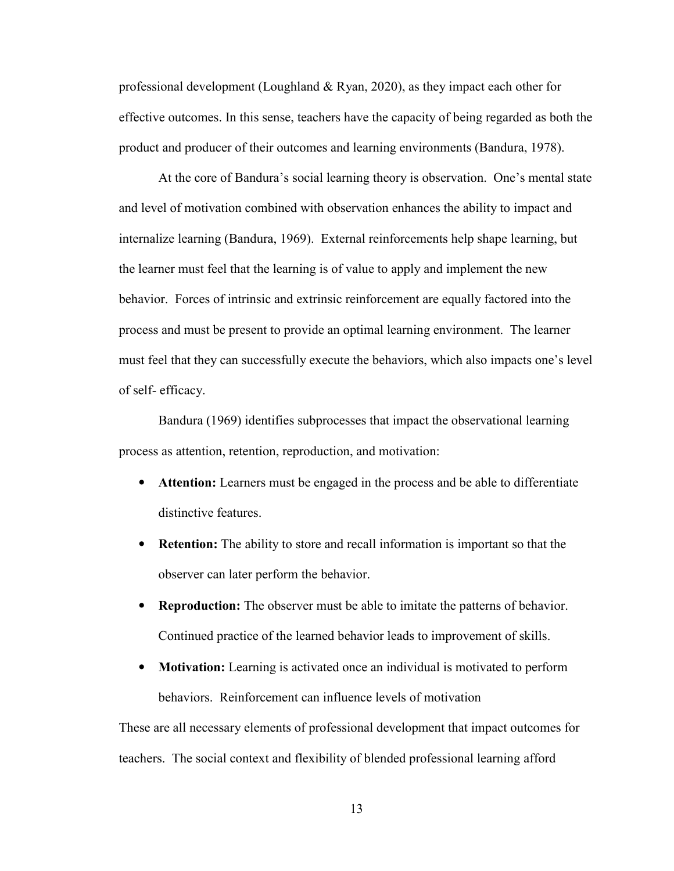professional development (Loughland & Ryan, 2020), as they impact each other for effective outcomes. In this sense, teachers have the capacity of being regarded as both the product and producer of their outcomes and learning environments (Bandura, 1978).

 At the core of Bandura's social learning theory is observation. One's mental state and level of motivation combined with observation enhances the ability to impact and internalize learning (Bandura, 1969). External reinforcements help shape learning, but the learner must feel that the learning is of value to apply and implement the new behavior. Forces of intrinsic and extrinsic reinforcement are equally factored into the process and must be present to provide an optimal learning environment. The learner must feel that they can successfully execute the behaviors, which also impacts one's level of self- efficacy.

 Bandura (1969) identifies subprocesses that impact the observational learning process as attention, retention, reproduction, and motivation:

- **Attention:** Learners must be engaged in the process and be able to differentiate distinctive features.
- **Retention:** The ability to store and recall information is important so that the observer can later perform the behavior.
- **Reproduction:** The observer must be able to imitate the patterns of behavior. Continued practice of the learned behavior leads to improvement of skills.
- **Motivation:** Learning is activated once an individual is motivated to perform behaviors. Reinforcement can influence levels of motivation

These are all necessary elements of professional development that impact outcomes for teachers. The social context and flexibility of blended professional learning afford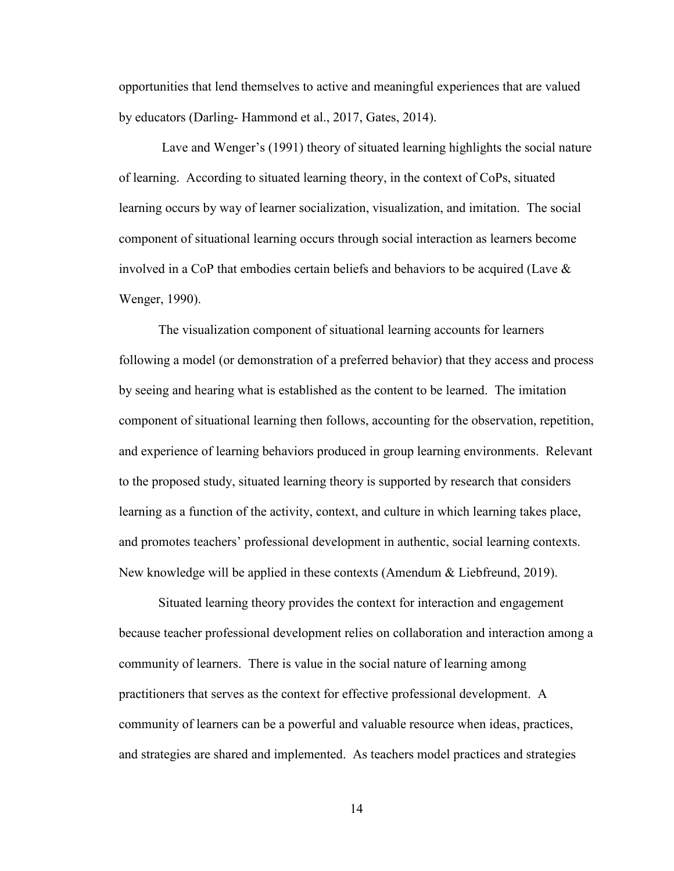opportunities that lend themselves to active and meaningful experiences that are valued by educators (Darling- Hammond et al., 2017, Gates, 2014).

 Lave and Wenger's (1991) theory of situated learning highlights the social nature of learning. According to situated learning theory, in the context of CoPs, situated learning occurs by way of learner socialization, visualization, and imitation. The social component of situational learning occurs through social interaction as learners become involved in a CoP that embodies certain beliefs and behaviors to be acquired (Lave  $\&$ Wenger, 1990).

 The visualization component of situational learning accounts for learners following a model (or demonstration of a preferred behavior) that they access and process by seeing and hearing what is established as the content to be learned. The imitation component of situational learning then follows, accounting for the observation, repetition, and experience of learning behaviors produced in group learning environments. Relevant to the proposed study, situated learning theory is supported by research that considers learning as a function of the activity, context, and culture in which learning takes place, and promotes teachers' professional development in authentic, social learning contexts. New knowledge will be applied in these contexts (Amendum & Liebfreund, 2019).

 Situated learning theory provides the context for interaction and engagement because teacher professional development relies on collaboration and interaction among a community of learners. There is value in the social nature of learning among practitioners that serves as the context for effective professional development. A community of learners can be a powerful and valuable resource when ideas, practices, and strategies are shared and implemented. As teachers model practices and strategies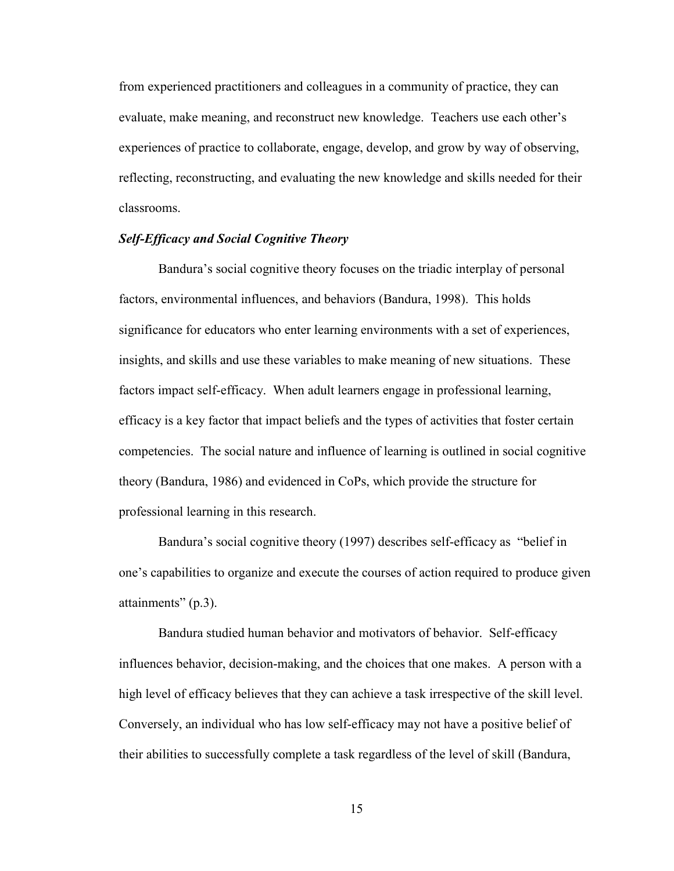from experienced practitioners and colleagues in a community of practice, they can evaluate, make meaning, and reconstruct new knowledge. Teachers use each other's experiences of practice to collaborate, engage, develop, and grow by way of observing, reflecting, reconstructing, and evaluating the new knowledge and skills needed for their classrooms.

#### *Self-Efficacy and Social Cognitive Theory*

 Bandura's social cognitive theory focuses on the triadic interplay of personal factors, environmental influences, and behaviors (Bandura, 1998). This holds significance for educators who enter learning environments with a set of experiences, insights, and skills and use these variables to make meaning of new situations. These factors impact self-efficacy. When adult learners engage in professional learning, efficacy is a key factor that impact beliefs and the types of activities that foster certain competencies. The social nature and influence of learning is outlined in social cognitive theory (Bandura, 1986) and evidenced in CoPs, which provide the structure for professional learning in this research.

 Bandura's social cognitive theory (1997) describes self-efficacy as "belief in one's capabilities to organize and execute the courses of action required to produce given attainments" (p.3).

 Bandura studied human behavior and motivators of behavior. Self-efficacy influences behavior, decision-making, and the choices that one makes. A person with a high level of efficacy believes that they can achieve a task irrespective of the skill level. Conversely, an individual who has low self-efficacy may not have a positive belief of their abilities to successfully complete a task regardless of the level of skill (Bandura,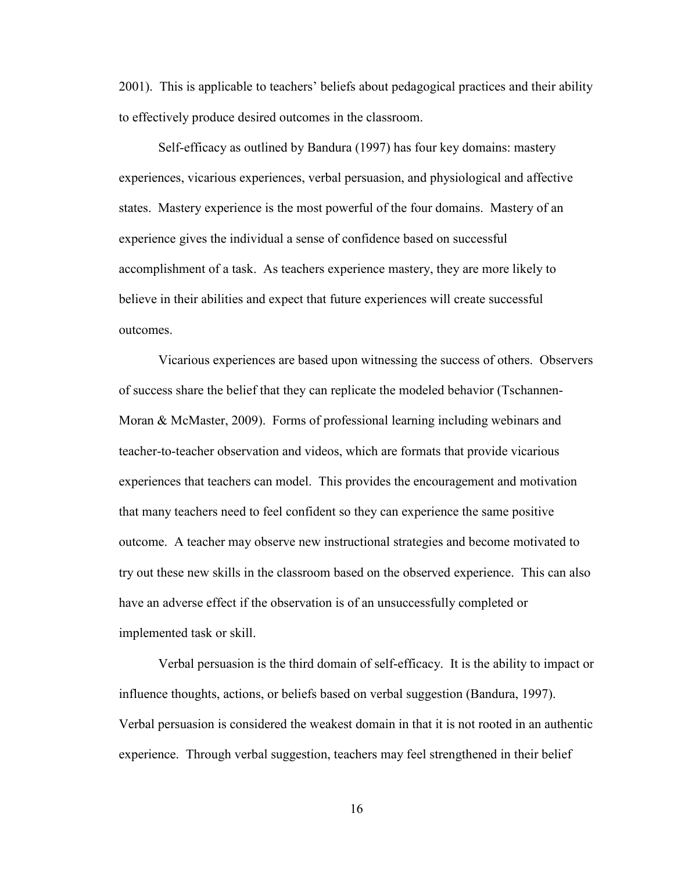2001). This is applicable to teachers' beliefs about pedagogical practices and their ability to effectively produce desired outcomes in the classroom.

 Self-efficacy as outlined by Bandura (1997) has four key domains: mastery experiences, vicarious experiences, verbal persuasion, and physiological and affective states. Mastery experience is the most powerful of the four domains. Mastery of an experience gives the individual a sense of confidence based on successful accomplishment of a task. As teachers experience mastery, they are more likely to believe in their abilities and expect that future experiences will create successful outcomes.

Vicarious experiences are based upon witnessing the success of others. Observers of success share the belief that they can replicate the modeled behavior (Tschannen-Moran & McMaster, 2009). Forms of professional learning including webinars and teacher-to-teacher observation and videos, which are formats that provide vicarious experiences that teachers can model. This provides the encouragement and motivation that many teachers need to feel confident so they can experience the same positive outcome. A teacher may observe new instructional strategies and become motivated to try out these new skills in the classroom based on the observed experience. This can also have an adverse effect if the observation is of an unsuccessfully completed or implemented task or skill.

 Verbal persuasion is the third domain of self-efficacy. It is the ability to impact or influence thoughts, actions, or beliefs based on verbal suggestion (Bandura, 1997). Verbal persuasion is considered the weakest domain in that it is not rooted in an authentic experience. Through verbal suggestion, teachers may feel strengthened in their belief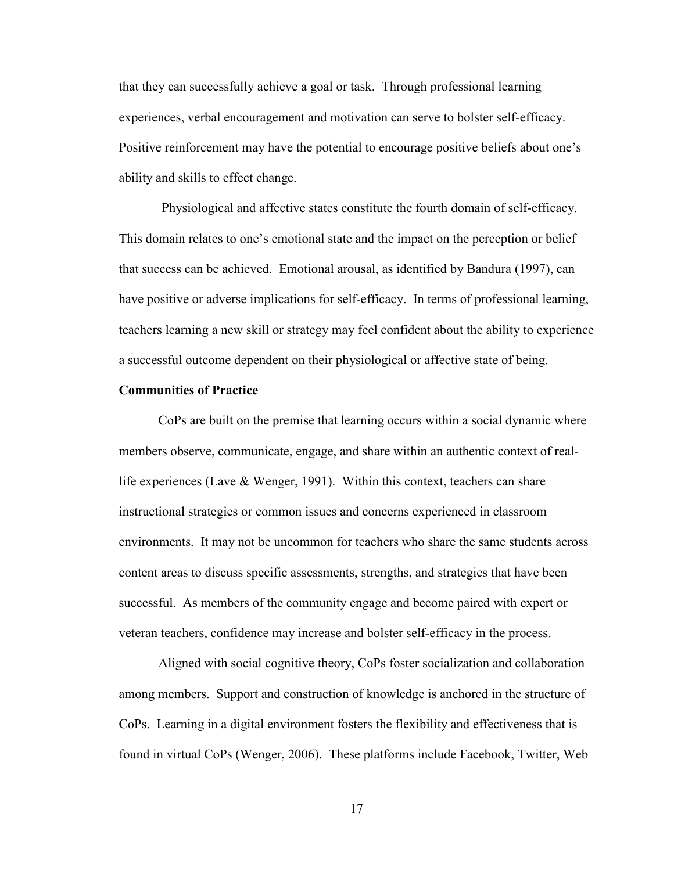that they can successfully achieve a goal or task. Through professional learning experiences, verbal encouragement and motivation can serve to bolster self-efficacy. Positive reinforcement may have the potential to encourage positive beliefs about one's ability and skills to effect change.

 Physiological and affective states constitute the fourth domain of self-efficacy. This domain relates to one's emotional state and the impact on the perception or belief that success can be achieved. Emotional arousal, as identified by Bandura (1997), can have positive or adverse implications for self-efficacy. In terms of professional learning, teachers learning a new skill or strategy may feel confident about the ability to experience a successful outcome dependent on their physiological or affective state of being.

#### **Communities of Practice**

CoPs are built on the premise that learning occurs within a social dynamic where members observe, communicate, engage, and share within an authentic context of reallife experiences (Lave & Wenger, 1991). Within this context, teachers can share instructional strategies or common issues and concerns experienced in classroom environments. It may not be uncommon for teachers who share the same students across content areas to discuss specific assessments, strengths, and strategies that have been successful. As members of the community engage and become paired with expert or veteran teachers, confidence may increase and bolster self-efficacy in the process.

 Aligned with social cognitive theory, CoPs foster socialization and collaboration among members. Support and construction of knowledge is anchored in the structure of CoPs. Learning in a digital environment fosters the flexibility and effectiveness that is found in virtual CoPs (Wenger, 2006). These platforms include Facebook, Twitter, Web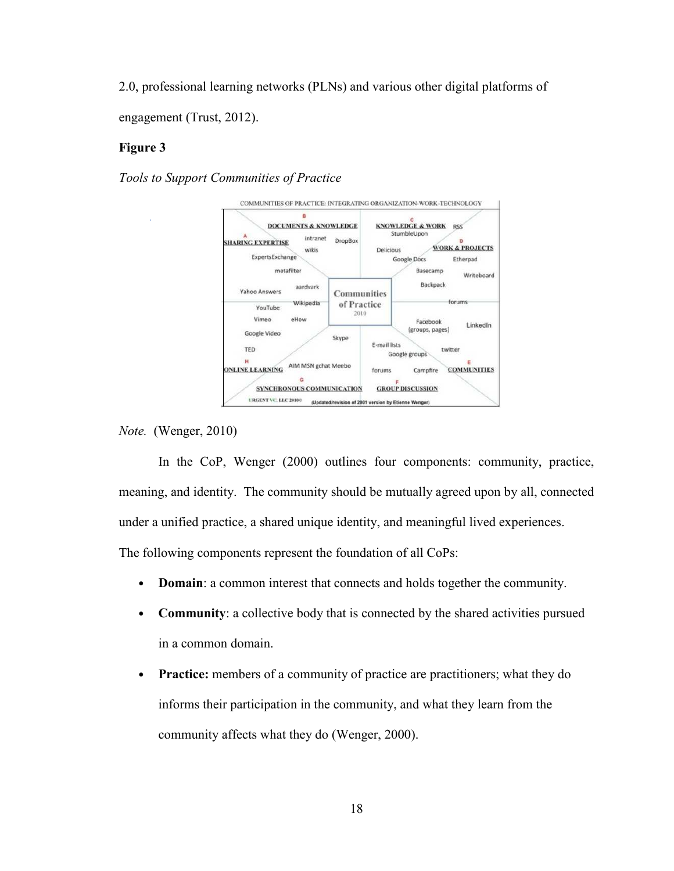2.0, professional learning networks (PLNs) and various other digital platforms of engagement (Trust, 2012).

#### **Figure 3**

*Tools to Support Communities of Practice* 



*Note.* (Wenger, 2010)

 In the CoP, Wenger (2000) outlines four components: community, practice, meaning, and identity. The community should be mutually agreed upon by all, connected under a unified practice, a shared unique identity, and meaningful lived experiences. The following components represent the foundation of all CoPs:

- **Domain**: a common interest that connects and holds together the community.
- **Community**: a collective body that is connected by the shared activities pursued in a common domain.
- **Practice:** members of a community of practice are practitioners; what they do informs their participation in the community, and what they learn from the community affects what they do (Wenger, 2000).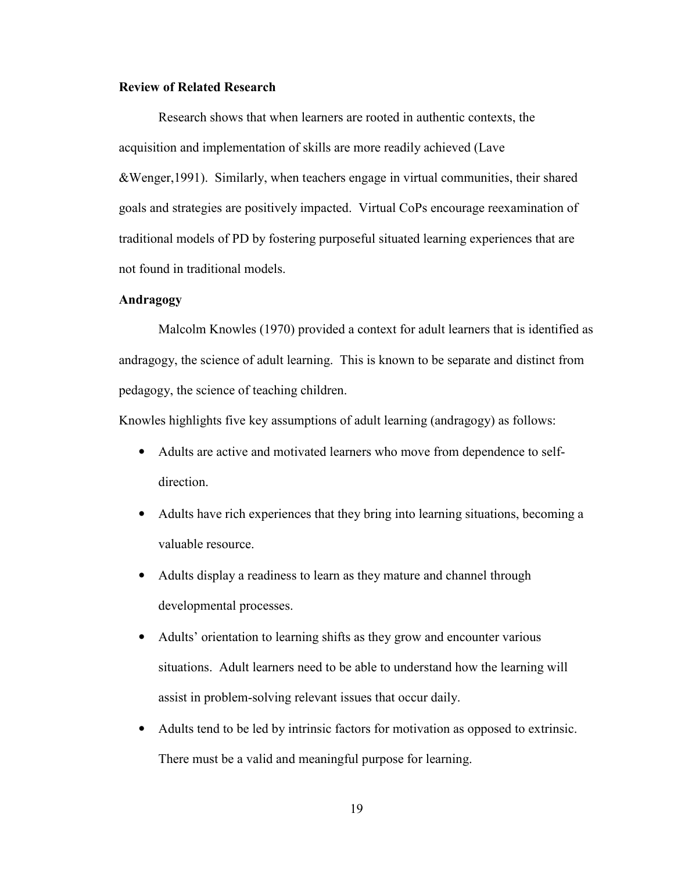#### **Review of Related Research**

 Research shows that when learners are rooted in authentic contexts, the acquisition and implementation of skills are more readily achieved (Lave &Wenger,1991). Similarly, when teachers engage in virtual communities, their shared goals and strategies are positively impacted. Virtual CoPs encourage reexamination of traditional models of PD by fostering purposeful situated learning experiences that are not found in traditional models.

#### **Andragogy**

Malcolm Knowles (1970) provided a context for adult learners that is identified as andragogy, the science of adult learning. This is known to be separate and distinct from pedagogy, the science of teaching children.

Knowles highlights five key assumptions of adult learning (andragogy) as follows:

- Adults are active and motivated learners who move from dependence to selfdirection.
- Adults have rich experiences that they bring into learning situations, becoming a valuable resource.
- Adults display a readiness to learn as they mature and channel through developmental processes.
- Adults' orientation to learning shifts as they grow and encounter various situations. Adult learners need to be able to understand how the learning will assist in problem-solving relevant issues that occur daily.
- Adults tend to be led by intrinsic factors for motivation as opposed to extrinsic. There must be a valid and meaningful purpose for learning.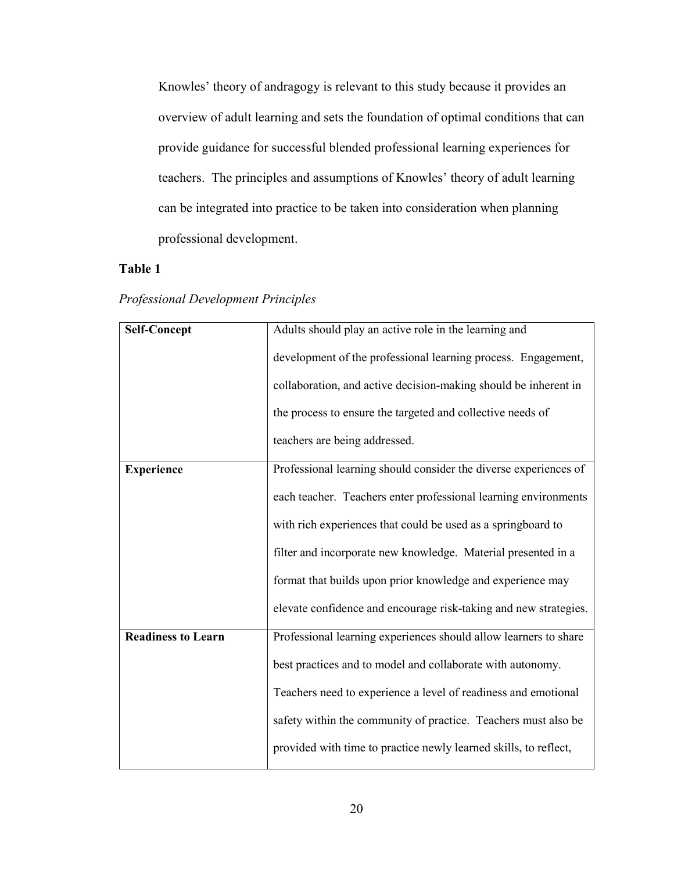Knowles' theory of andragogy is relevant to this study because it provides an overview of adult learning and sets the foundation of optimal conditions that can provide guidance for successful blended professional learning experiences for teachers. The principles and assumptions of Knowles' theory of adult learning can be integrated into practice to be taken into consideration when planning professional development.

# **Table 1**

|  |  | <b>Professional Development Principles</b> |  |
|--|--|--------------------------------------------|--|
|--|--|--------------------------------------------|--|

| <b>Self-Concept</b>       | Adults should play an active role in the learning and            |
|---------------------------|------------------------------------------------------------------|
|                           | development of the professional learning process. Engagement,    |
|                           | collaboration, and active decision-making should be inherent in  |
|                           | the process to ensure the targeted and collective needs of       |
|                           | teachers are being addressed.                                    |
| <b>Experience</b>         | Professional learning should consider the diverse experiences of |
|                           | each teacher. Teachers enter professional learning environments  |
|                           | with rich experiences that could be used as a springboard to     |
|                           | filter and incorporate new knowledge. Material presented in a    |
|                           | format that builds upon prior knowledge and experience may       |
|                           | elevate confidence and encourage risk-taking and new strategies. |
| <b>Readiness to Learn</b> | Professional learning experiences should allow learners to share |
|                           | best practices and to model and collaborate with autonomy.       |
|                           | Teachers need to experience a level of readiness and emotional   |
|                           | safety within the community of practice. Teachers must also be   |
|                           | provided with time to practice newly learned skills, to reflect, |
|                           |                                                                  |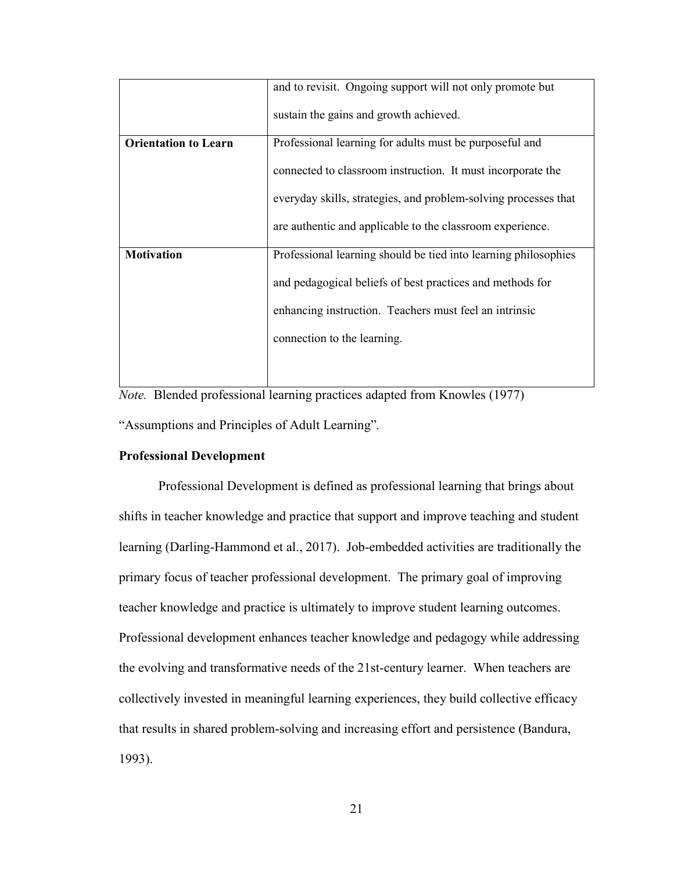|                             | and to revisit. Ongoing support will not only promote but       |
|-----------------------------|-----------------------------------------------------------------|
|                             | sustain the gains and growth achieved.                          |
| <b>Orientation to Learn</b> | Professional learning for adults must be purposeful and         |
|                             | connected to classroom instruction. It must incorporate the     |
|                             | everyday skills, strategies, and problem-solving processes that |
|                             | are authentic and applicable to the classroom experience.       |
| <b>Motivation</b>           | Professional learning should be tied into learning philosophies |
|                             | and pedagogical beliefs of best practices and methods for       |
|                             | enhancing instruction. Teachers must feel an intrinsic          |
|                             | connection to the learning.                                     |
|                             |                                                                 |

*Note.* Blended professional learning practices adapted from Knowles (1977) "Assumptions and Principles of Adult Learning"*.* 

#### **Professional Development**

Professional Development is defined as professional learning that brings about shifts in teacher knowledge and practice that support and improve teaching and student learning (Darling-Hammond et al., 2017). Job-embedded activities are traditionally the primary focus of teacher professional development. The primary goal of improving teacher knowledge and practice is ultimately to improve student learning outcomes. Professional development enhances teacher knowledge and pedagogy while addressing the evolving and transformative needs of the 21st-century learner. When teachers are collectively invested in meaningful learning experiences, they build collective efficacy that results in shared problem-solving and increasing effort and persistence (Bandura, 1993).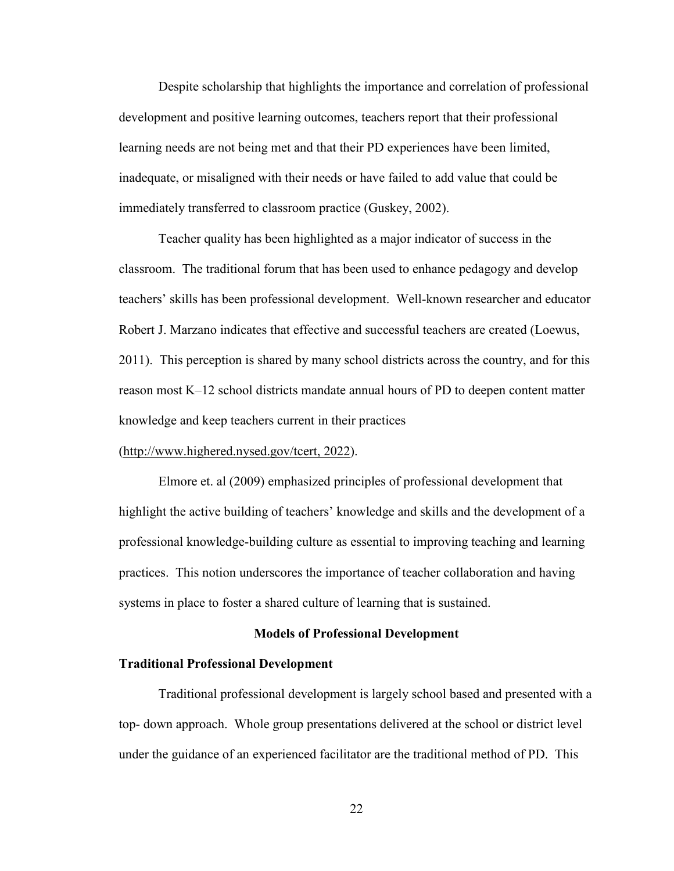Despite scholarship that highlights the importance and correlation of professional development and positive learning outcomes, teachers report that their professional learning needs are not being met and that their PD experiences have been limited, inadequate, or misaligned with their needs or have failed to add value that could be immediately transferred to classroom practice (Guskey, 2002).

 Teacher quality has been highlighted as a major indicator of success in the classroom. The traditional forum that has been used to enhance pedagogy and develop teachers' skills has been professional development. Well-known researcher and educator Robert J. Marzano indicates that effective and successful teachers are created (Loewus, 2011). This perception is shared by many school districts across the country, and for this reason most K–12 school districts mandate annual hours of PD to deepen content matter knowledge and keep teachers current in their practices

#### (http://www.highered.nysed.gov/tcert, 2022).

Elmore et. al (2009) emphasized principles of professional development that highlight the active building of teachers' knowledge and skills and the development of a professional knowledge-building culture as essential to improving teaching and learning practices. This notion underscores the importance of teacher collaboration and having systems in place to foster a shared culture of learning that is sustained.

#### **Models of Professional Development**

#### **Traditional Professional Development**

Traditional professional development is largely school based and presented with a top- down approach. Whole group presentations delivered at the school or district level under the guidance of an experienced facilitator are the traditional method of PD. This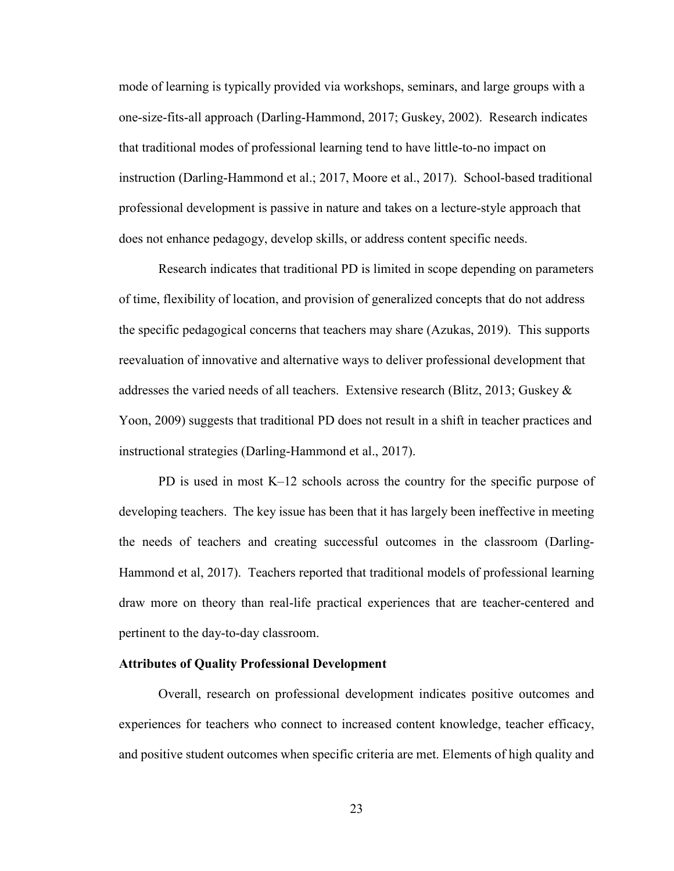mode of learning is typically provided via workshops, seminars, and large groups with a one-size-fits-all approach (Darling-Hammond, 2017; Guskey, 2002). Research indicates that traditional modes of professional learning tend to have little-to-no impact on instruction (Darling-Hammond et al.; 2017, Moore et al., 2017). School-based traditional professional development is passive in nature and takes on a lecture-style approach that does not enhance pedagogy, develop skills, or address content specific needs.

 Research indicates that traditional PD is limited in scope depending on parameters of time, flexibility of location, and provision of generalized concepts that do not address the specific pedagogical concerns that teachers may share (Azukas, 2019). This supports reevaluation of innovative and alternative ways to deliver professional development that addresses the varied needs of all teachers. Extensive research (Blitz, 2013; Guskey & Yoon, 2009) suggests that traditional PD does not result in a shift in teacher practices and instructional strategies (Darling-Hammond et al., 2017).

 PD is used in most K–12 schools across the country for the specific purpose of developing teachers. The key issue has been that it has largely been ineffective in meeting the needs of teachers and creating successful outcomes in the classroom (Darling-Hammond et al, 2017). Teachers reported that traditional models of professional learning draw more on theory than real-life practical experiences that are teacher-centered and pertinent to the day-to-day classroom.

#### **Attributes of Quality Professional Development**

Overall, research on professional development indicates positive outcomes and experiences for teachers who connect to increased content knowledge, teacher efficacy, and positive student outcomes when specific criteria are met. Elements of high quality and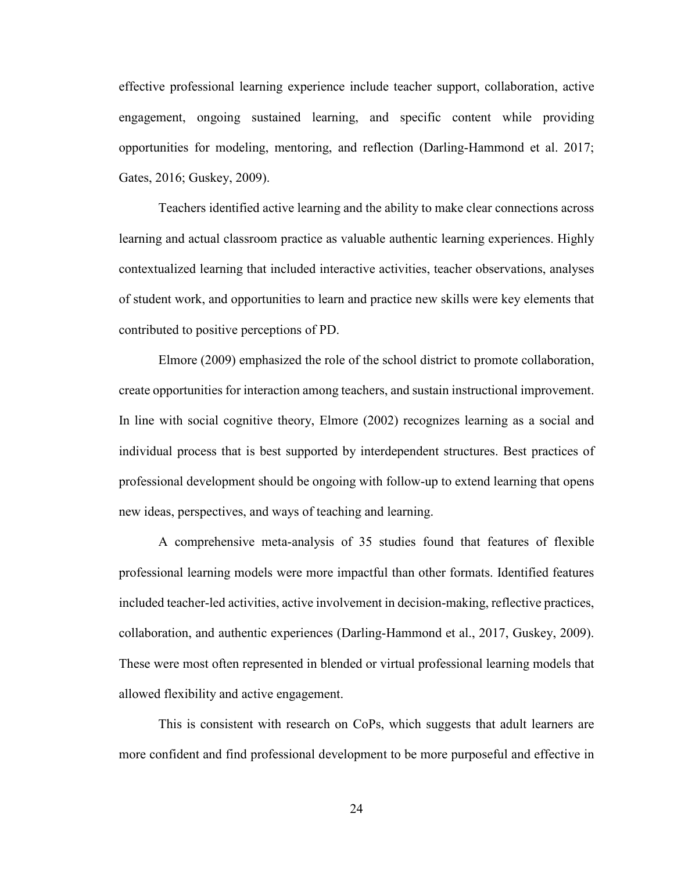effective professional learning experience include teacher support, collaboration, active engagement, ongoing sustained learning, and specific content while providing opportunities for modeling, mentoring, and reflection (Darling-Hammond et al. 2017; Gates, 2016; Guskey, 2009).

 Teachers identified active learning and the ability to make clear connections across learning and actual classroom practice as valuable authentic learning experiences. Highly contextualized learning that included interactive activities, teacher observations, analyses of student work, and opportunities to learn and practice new skills were key elements that contributed to positive perceptions of PD.

 Elmore (2009) emphasized the role of the school district to promote collaboration, create opportunities for interaction among teachers, and sustain instructional improvement. In line with social cognitive theory, Elmore (2002) recognizes learning as a social and individual process that is best supported by interdependent structures. Best practices of professional development should be ongoing with follow-up to extend learning that opens new ideas, perspectives, and ways of teaching and learning.

 A comprehensive meta-analysis of 35 studies found that features of flexible professional learning models were more impactful than other formats. Identified features included teacher-led activities, active involvement in decision-making, reflective practices, collaboration, and authentic experiences (Darling-Hammond et al., 2017, Guskey, 2009). These were most often represented in blended or virtual professional learning models that allowed flexibility and active engagement.

 This is consistent with research on CoPs, which suggests that adult learners are more confident and find professional development to be more purposeful and effective in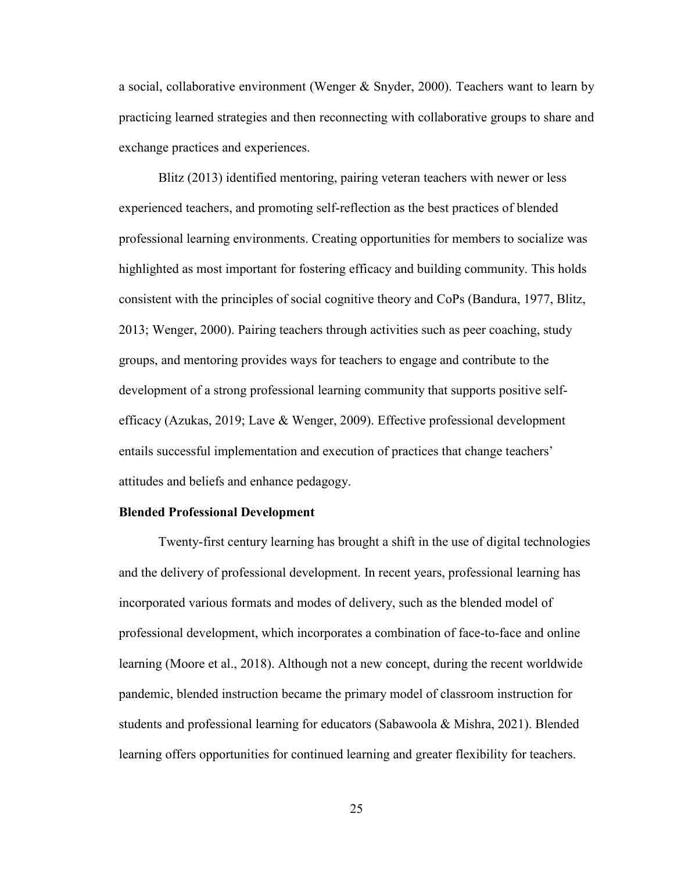a social, collaborative environment (Wenger & Snyder, 2000). Teachers want to learn by practicing learned strategies and then reconnecting with collaborative groups to share and exchange practices and experiences.

 Blitz (2013) identified mentoring, pairing veteran teachers with newer or less experienced teachers, and promoting self-reflection as the best practices of blended professional learning environments. Creating opportunities for members to socialize was highlighted as most important for fostering efficacy and building community. This holds consistent with the principles of social cognitive theory and CoPs (Bandura, 1977, Blitz, 2013; Wenger, 2000). Pairing teachers through activities such as peer coaching, study groups, and mentoring provides ways for teachers to engage and contribute to the development of a strong professional learning community that supports positive selfefficacy (Azukas, 2019; Lave & Wenger, 2009). Effective professional development entails successful implementation and execution of practices that change teachers' attitudes and beliefs and enhance pedagogy.

#### **Blended Professional Development**

 Twenty-first century learning has brought a shift in the use of digital technologies and the delivery of professional development. In recent years, professional learning has incorporated various formats and modes of delivery, such as the blended model of professional development, which incorporates a combination of face-to-face and online learning (Moore et al., 2018). Although not a new concept, during the recent worldwide pandemic, blended instruction became the primary model of classroom instruction for students and professional learning for educators (Sabawoola & Mishra, 2021). Blended learning offers opportunities for continued learning and greater flexibility for teachers.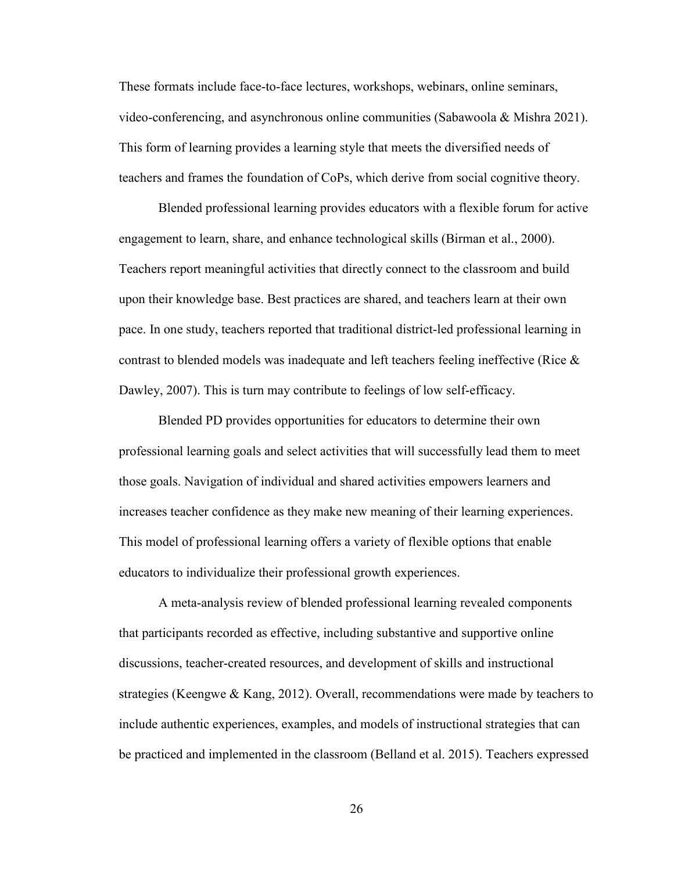These formats include face-to-face lectures, workshops, webinars, online seminars, video-conferencing, and asynchronous online communities (Sabawoola & Mishra 2021). This form of learning provides a learning style that meets the diversified needs of teachers and frames the foundation of CoPs, which derive from social cognitive theory.

 Blended professional learning provides educators with a flexible forum for active engagement to learn, share, and enhance technological skills (Birman et al., 2000). Teachers report meaningful activities that directly connect to the classroom and build upon their knowledge base. Best practices are shared, and teachers learn at their own pace. In one study, teachers reported that traditional district-led professional learning in contrast to blended models was inadequate and left teachers feeling ineffective (Rice & Dawley, 2007). This is turn may contribute to feelings of low self-efficacy.

 Blended PD provides opportunities for educators to determine their own professional learning goals and select activities that will successfully lead them to meet those goals. Navigation of individual and shared activities empowers learners and increases teacher confidence as they make new meaning of their learning experiences. This model of professional learning offers a variety of flexible options that enable educators to individualize their professional growth experiences.

 A meta-analysis review of blended professional learning revealed components that participants recorded as effective, including substantive and supportive online discussions, teacher-created resources, and development of skills and instructional strategies (Keengwe & Kang, 2012). Overall, recommendations were made by teachers to include authentic experiences, examples, and models of instructional strategies that can be practiced and implemented in the classroom (Belland et al. 2015). Teachers expressed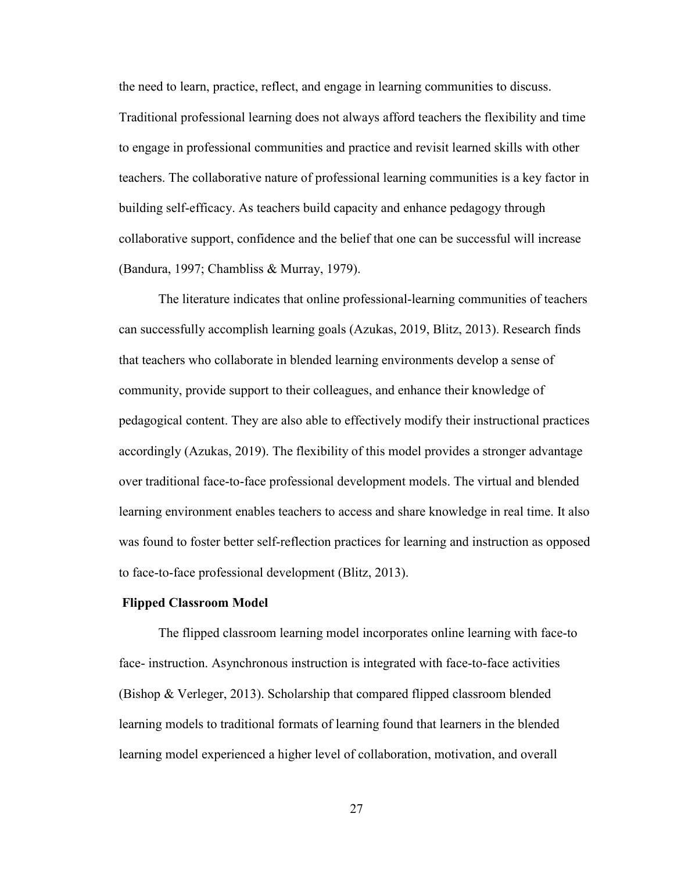the need to learn, practice, reflect, and engage in learning communities to discuss. Traditional professional learning does not always afford teachers the flexibility and time to engage in professional communities and practice and revisit learned skills with other teachers. The collaborative nature of professional learning communities is a key factor in building self-efficacy. As teachers build capacity and enhance pedagogy through collaborative support, confidence and the belief that one can be successful will increase (Bandura, 1997; Chambliss & Murray, 1979).

 The literature indicates that online professional-learning communities of teachers can successfully accomplish learning goals (Azukas, 2019, Blitz, 2013). Research finds that teachers who collaborate in blended learning environments develop a sense of community, provide support to their colleagues, and enhance their knowledge of pedagogical content. They are also able to effectively modify their instructional practices accordingly (Azukas, 2019). The flexibility of this model provides a stronger advantage over traditional face-to-face professional development models. The virtual and blended learning environment enables teachers to access and share knowledge in real time. It also was found to foster better self-reflection practices for learning and instruction as opposed to face-to-face professional development (Blitz, 2013).

#### **Flipped Classroom Model**

 The flipped classroom learning model incorporates online learning with face-to face- instruction. Asynchronous instruction is integrated with face-to-face activities (Bishop & Verleger, 2013). Scholarship that compared flipped classroom blended learning models to traditional formats of learning found that learners in the blended learning model experienced a higher level of collaboration, motivation, and overall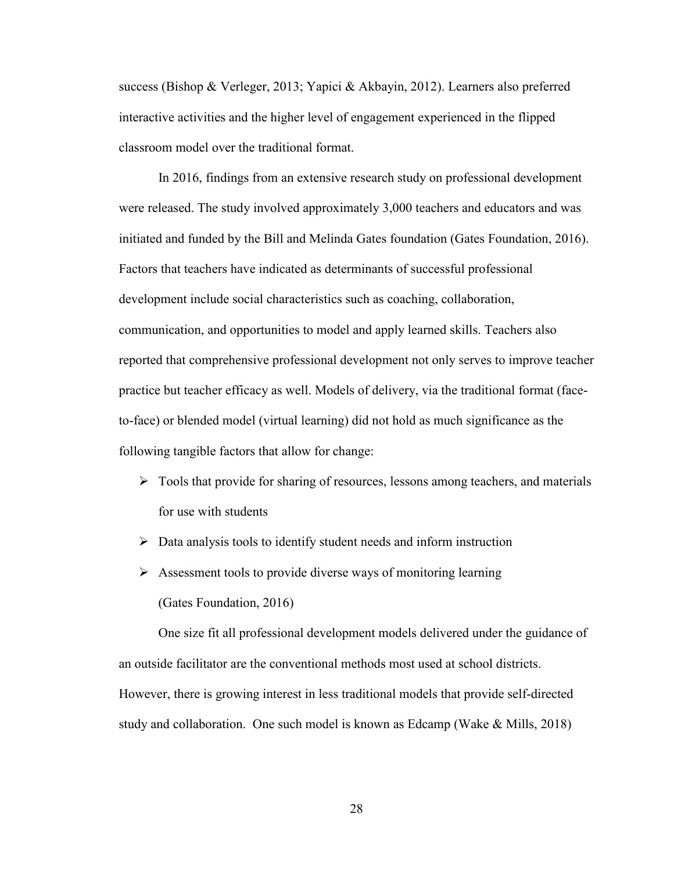success (Bishop & Verleger, 2013; Yapici & Akbayin, 2012). Learners also preferred interactive activities and the higher level of engagement experienced in the flipped classroom model over the traditional format.

 In 2016, findings from an extensive research study on professional development were released. The study involved approximately 3,000 teachers and educators and was initiated and funded by the Bill and Melinda Gates foundation (Gates Foundation, 2016). Factors that teachers have indicated as determinants of successful professional development include social characteristics such as coaching, collaboration, communication, and opportunities to model and apply learned skills. Teachers also reported that comprehensive professional development not only serves to improve teacher practice but teacher efficacy as well. Models of delivery, via the traditional format (faceto-face) or blended model (virtual learning) did not hold as much significance as the following tangible factors that allow for change:

- $\triangleright$  Tools that provide for sharing of resources, lessons among teachers, and materials for use with students
- $\triangleright$  Data analysis tools to identify student needs and inform instruction
- $\triangleright$  Assessment tools to provide diverse ways of monitoring learning (Gates Foundation, 2016)

 One size fit all professional development models delivered under the guidance of an outside facilitator are the conventional methods most used at school districts. However, there is growing interest in less traditional models that provide self-directed study and collaboration. One such model is known as Edcamp (Wake & Mills, 2018)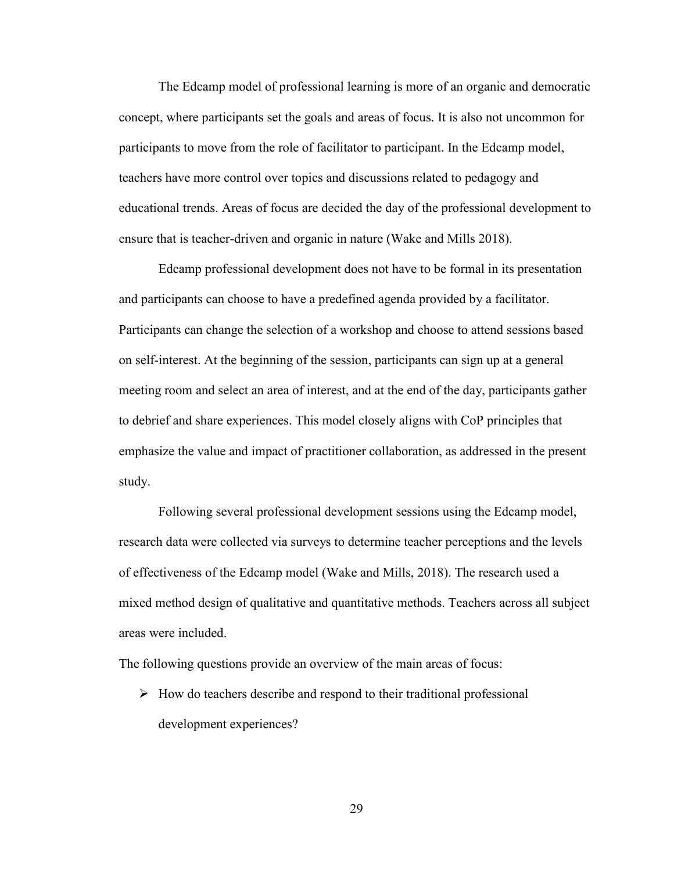The Edcamp model of professional learning is more of an organic and democratic concept, where participants set the goals and areas of focus. It is also not uncommon for participants to move from the role of facilitator to participant. In the Edcamp model, teachers have more control over topics and discussions related to pedagogy and educational trends. Areas of focus are decided the day of the professional development to ensure that is teacher-driven and organic in nature (Wake and Mills 2018).

 Edcamp professional development does not have to be formal in its presentation and participants can choose to have a predefined agenda provided by a facilitator. Participants can change the selection of a workshop and choose to attend sessions based on self-interest. At the beginning of the session, participants can sign up at a general meeting room and select an area of interest, and at the end of the day, participants gather to debrief and share experiences. This model closely aligns with CoP principles that emphasize the value and impact of practitioner collaboration, as addressed in the present study.

 Following several professional development sessions using the Edcamp model, research data were collected via surveys to determine teacher perceptions and the levels of effectiveness of the Edcamp model (Wake and Mills, 2018). The research used a mixed method design of qualitative and quantitative methods. Teachers across all subject areas were included.

The following questions provide an overview of the main areas of focus:

 $\triangleright$  How do teachers describe and respond to their traditional professional development experiences?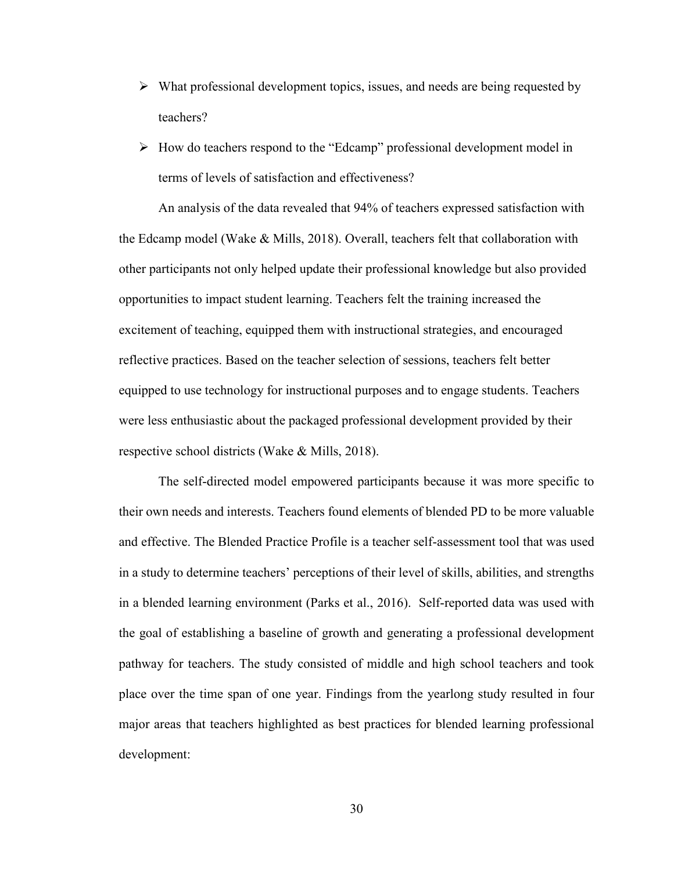- $\triangleright$  What professional development topics, issues, and needs are being requested by teachers?
- $\triangleright$  How do teachers respond to the "Edcamp" professional development model in terms of levels of satisfaction and effectiveness?

 An analysis of the data revealed that 94% of teachers expressed satisfaction with the Edcamp model (Wake & Mills, 2018). Overall, teachers felt that collaboration with other participants not only helped update their professional knowledge but also provided opportunities to impact student learning. Teachers felt the training increased the excitement of teaching, equipped them with instructional strategies, and encouraged reflective practices. Based on the teacher selection of sessions, teachers felt better equipped to use technology for instructional purposes and to engage students. Teachers were less enthusiastic about the packaged professional development provided by their respective school districts (Wake & Mills, 2018).

 The self-directed model empowered participants because it was more specific to their own needs and interests. Teachers found elements of blended PD to be more valuable and effective. The Blended Practice Profile is a teacher self-assessment tool that was used in a study to determine teachers' perceptions of their level of skills, abilities, and strengths in a blended learning environment (Parks et al., 2016). Self-reported data was used with the goal of establishing a baseline of growth and generating a professional development pathway for teachers. The study consisted of middle and high school teachers and took place over the time span of one year. Findings from the yearlong study resulted in four major areas that teachers highlighted as best practices for blended learning professional development: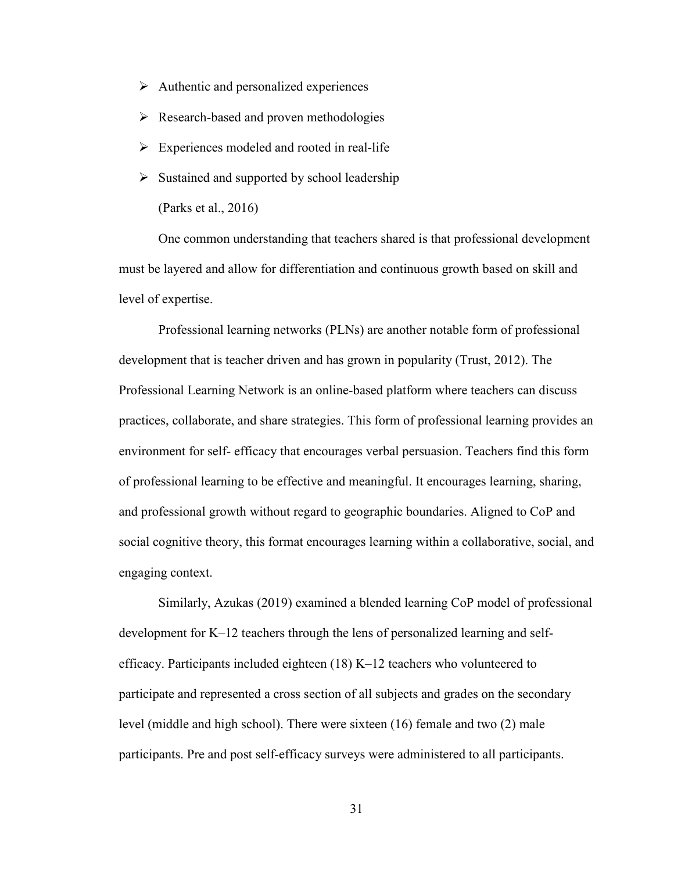- $\triangleright$  Authentic and personalized experiences
- $\triangleright$  Research-based and proven methodologies
- $\triangleright$  Experiences modeled and rooted in real-life
- $\triangleright$  Sustained and supported by school leadership

(Parks et al., 2016)

 One common understanding that teachers shared is that professional development must be layered and allow for differentiation and continuous growth based on skill and level of expertise.

 Professional learning networks (PLNs) are another notable form of professional development that is teacher driven and has grown in popularity (Trust, 2012). The Professional Learning Network is an online-based platform where teachers can discuss practices, collaborate, and share strategies. This form of professional learning provides an environment for self- efficacy that encourages verbal persuasion. Teachers find this form of professional learning to be effective and meaningful. It encourages learning, sharing, and professional growth without regard to geographic boundaries. Aligned to CoP and social cognitive theory, this format encourages learning within a collaborative, social, and engaging context.

 Similarly, Azukas (2019) examined a blended learning CoP model of professional development for K–12 teachers through the lens of personalized learning and selfefficacy. Participants included eighteen (18) K–12 teachers who volunteered to participate and represented a cross section of all subjects and grades on the secondary level (middle and high school). There were sixteen (16) female and two (2) male participants. Pre and post self-efficacy surveys were administered to all participants.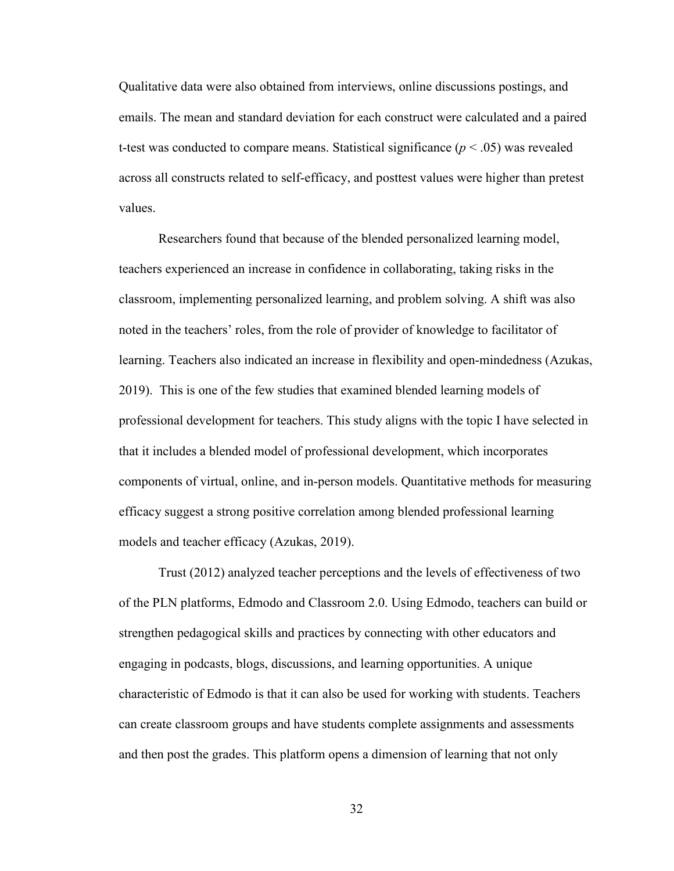Qualitative data were also obtained from interviews, online discussions postings, and emails. The mean and standard deviation for each construct were calculated and a paired t-test was conducted to compare means. Statistical significance  $(p < .05)$  was revealed across all constructs related to self-efficacy, and posttest values were higher than pretest values.

 Researchers found that because of the blended personalized learning model, teachers experienced an increase in confidence in collaborating, taking risks in the classroom, implementing personalized learning, and problem solving. A shift was also noted in the teachers' roles, from the role of provider of knowledge to facilitator of learning. Teachers also indicated an increase in flexibility and open-mindedness (Azukas, 2019). This is one of the few studies that examined blended learning models of professional development for teachers. This study aligns with the topic I have selected in that it includes a blended model of professional development, which incorporates components of virtual, online, and in-person models. Quantitative methods for measuring efficacy suggest a strong positive correlation among blended professional learning models and teacher efficacy (Azukas, 2019).

 Trust (2012) analyzed teacher perceptions and the levels of effectiveness of two of the PLN platforms, Edmodo and Classroom 2.0. Using Edmodo, teachers can build or strengthen pedagogical skills and practices by connecting with other educators and engaging in podcasts, blogs, discussions, and learning opportunities. A unique characteristic of Edmodo is that it can also be used for working with students. Teachers can create classroom groups and have students complete assignments and assessments and then post the grades. This platform opens a dimension of learning that not only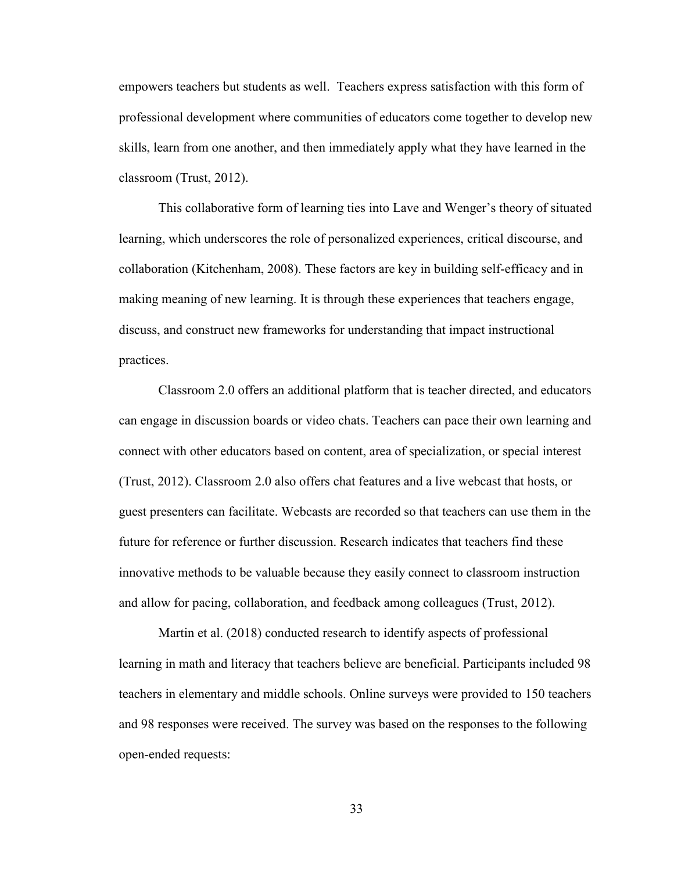empowers teachers but students as well. Teachers express satisfaction with this form of professional development where communities of educators come together to develop new skills, learn from one another, and then immediately apply what they have learned in the classroom (Trust, 2012).

 This collaborative form of learning ties into Lave and Wenger's theory of situated learning, which underscores the role of personalized experiences, critical discourse, and collaboration (Kitchenham, 2008). These factors are key in building self-efficacy and in making meaning of new learning. It is through these experiences that teachers engage, discuss, and construct new frameworks for understanding that impact instructional practices.

Classroom 2.0 offers an additional platform that is teacher directed, and educators can engage in discussion boards or video chats. Teachers can pace their own learning and connect with other educators based on content, area of specialization, or special interest (Trust, 2012). Classroom 2.0 also offers chat features and a live webcast that hosts, or guest presenters can facilitate. Webcasts are recorded so that teachers can use them in the future for reference or further discussion. Research indicates that teachers find these innovative methods to be valuable because they easily connect to classroom instruction and allow for pacing, collaboration, and feedback among colleagues (Trust, 2012).

 Martin et al. (2018) conducted research to identify aspects of professional learning in math and literacy that teachers believe are beneficial. Participants included 98 teachers in elementary and middle schools. Online surveys were provided to 150 teachers and 98 responses were received. The survey was based on the responses to the following open-ended requests: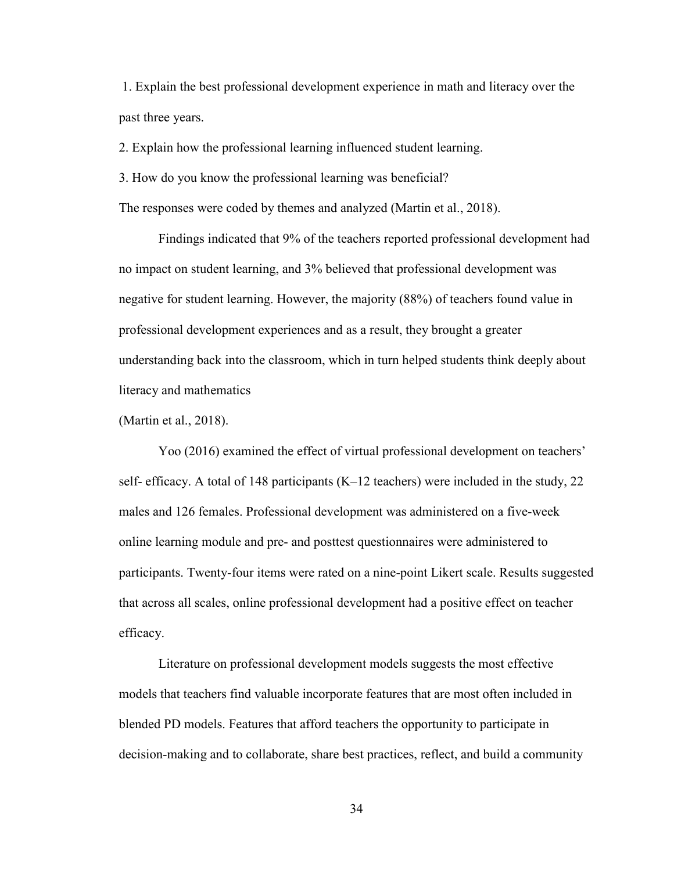1. Explain the best professional development experience in math and literacy over the past three years.

2. Explain how the professional learning influenced student learning.

3. How do you know the professional learning was beneficial?

The responses were coded by themes and analyzed (Martin et al., 2018).

 Findings indicated that 9% of the teachers reported professional development had no impact on student learning, and 3% believed that professional development was negative for student learning. However, the majority (88%) of teachers found value in professional development experiences and as a result, they brought a greater understanding back into the classroom, which in turn helped students think deeply about literacy and mathematics

(Martin et al., 2018).

 Yoo (2016) examined the effect of virtual professional development on teachers' self- efficacy. A total of 148 participants (K–12 teachers) were included in the study, 22 males and 126 females. Professional development was administered on a five-week online learning module and pre- and posttest questionnaires were administered to participants. Twenty-four items were rated on a nine-point Likert scale. Results suggested that across all scales, online professional development had a positive effect on teacher efficacy.

 Literature on professional development models suggests the most effective models that teachers find valuable incorporate features that are most often included in blended PD models. Features that afford teachers the opportunity to participate in decision-making and to collaborate, share best practices, reflect, and build a community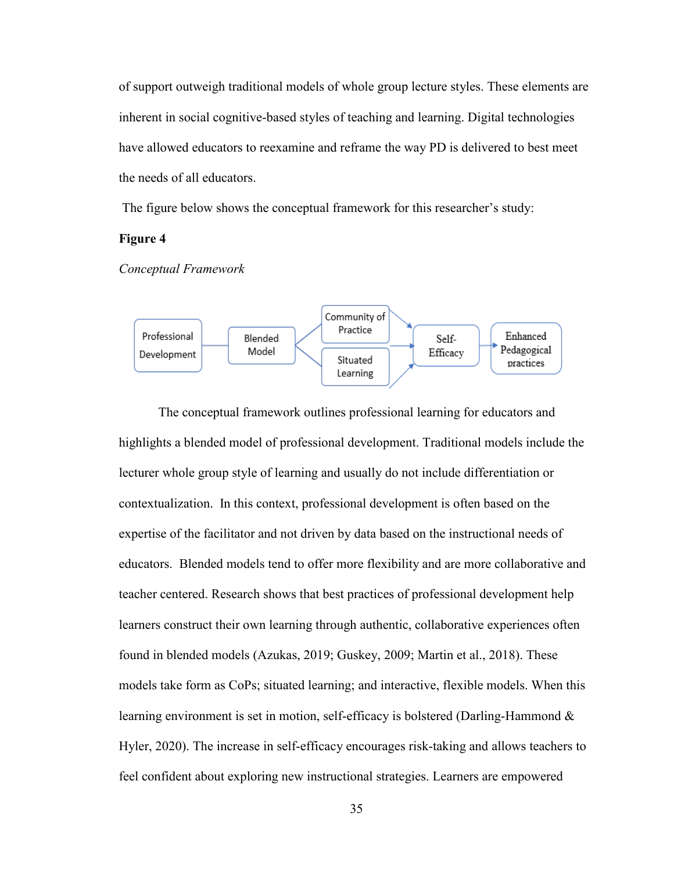of support outweigh traditional models of whole group lecture styles. These elements are inherent in social cognitive-based styles of teaching and learning. Digital technologies have allowed educators to reexamine and reframe the way PD is delivered to best meet the needs of all educators.

The figure below shows the conceptual framework for this researcher's study:

## **Figure 4**

*Conceptual Framework* 



 The conceptual framework outlines professional learning for educators and highlights a blended model of professional development. Traditional models include the lecturer whole group style of learning and usually do not include differentiation or contextualization. In this context, professional development is often based on the expertise of the facilitator and not driven by data based on the instructional needs of educators. Blended models tend to offer more flexibility and are more collaborative and teacher centered. Research shows that best practices of professional development help learners construct their own learning through authentic, collaborative experiences often found in blended models (Azukas, 2019; Guskey, 2009; Martin et al., 2018). These models take form as CoPs; situated learning; and interactive, flexible models. When this learning environment is set in motion, self-efficacy is bolstered (Darling-Hammond & Hyler, 2020). The increase in self-efficacy encourages risk-taking and allows teachers to feel confident about exploring new instructional strategies. Learners are empowered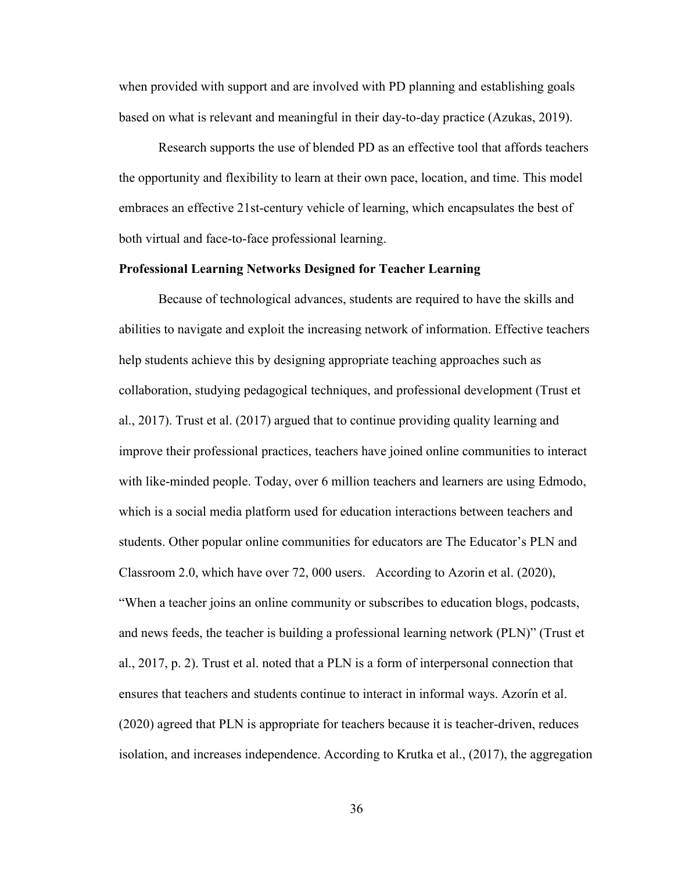when provided with support and are involved with PD planning and establishing goals based on what is relevant and meaningful in their day-to-day practice (Azukas, 2019).

 Research supports the use of blended PD as an effective tool that affords teachers the opportunity and flexibility to learn at their own pace, location, and time. This model embraces an effective 21st-century vehicle of learning, which encapsulates the best of both virtual and face-to-face professional learning.

### **Professional Learning Networks Designed for Teacher Learning**

Because of technological advances, students are required to have the skills and abilities to navigate and exploit the increasing network of information. Effective teachers help students achieve this by designing appropriate teaching approaches such as collaboration, studying pedagogical techniques, and professional development (Trust et al., 2017). Trust et al. (2017) argued that to continue providing quality learning and improve their professional practices, teachers have joined online communities to interact with like-minded people. Today, over 6 million teachers and learners are using Edmodo, which is a social media platform used for education interactions between teachers and students. Other popular online communities for educators are The Educator's PLN and Classroom 2.0, which have over 72, 000 users. According to Azorin et al. (2020), "When a teacher joins an online community or subscribes to education blogs, podcasts, and news feeds, the teacher is building a professional learning network (PLN)" (Trust et al., 2017, p. 2). Trust et al. noted that a PLN is a form of interpersonal connection that ensures that teachers and students continue to interact in informal ways. Azorín et al. (2020) agreed that PLN is appropriate for teachers because it is teacher-driven, reduces isolation, and increases independence. According to Krutka et al., (2017), the aggregation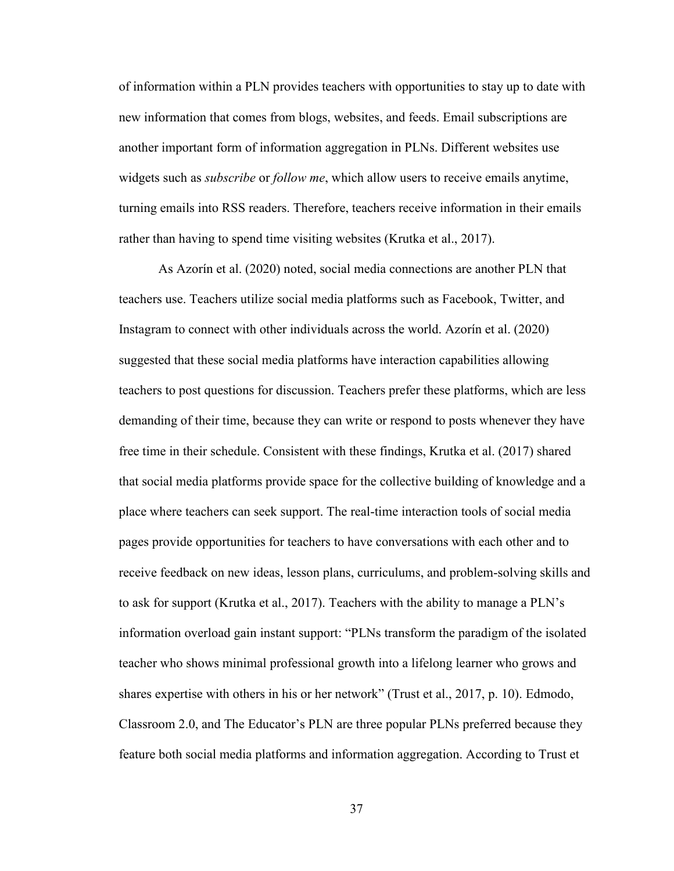of information within a PLN provides teachers with opportunities to stay up to date with new information that comes from blogs, websites, and feeds. Email subscriptions are another important form of information aggregation in PLNs. Different websites use widgets such as *subscribe* or *follow me*, which allow users to receive emails anytime, turning emails into RSS readers. Therefore, teachers receive information in their emails rather than having to spend time visiting websites (Krutka et al., 2017).

As Azorín et al. (2020) noted, social media connections are another PLN that teachers use. Teachers utilize social media platforms such as Facebook, Twitter, and Instagram to connect with other individuals across the world. Azorín et al. (2020) suggested that these social media platforms have interaction capabilities allowing teachers to post questions for discussion. Teachers prefer these platforms, which are less demanding of their time, because they can write or respond to posts whenever they have free time in their schedule. Consistent with these findings, Krutka et al. (2017) shared that social media platforms provide space for the collective building of knowledge and a place where teachers can seek support. The real-time interaction tools of social media pages provide opportunities for teachers to have conversations with each other and to receive feedback on new ideas, lesson plans, curriculums, and problem-solving skills and to ask for support (Krutka et al., 2017). Teachers with the ability to manage a PLN's information overload gain instant support: "PLNs transform the paradigm of the isolated teacher who shows minimal professional growth into a lifelong learner who grows and shares expertise with others in his or her network" (Trust et al., 2017, p. 10). Edmodo, Classroom 2.0, and The Educator's PLN are three popular PLNs preferred because they feature both social media platforms and information aggregation. According to Trust et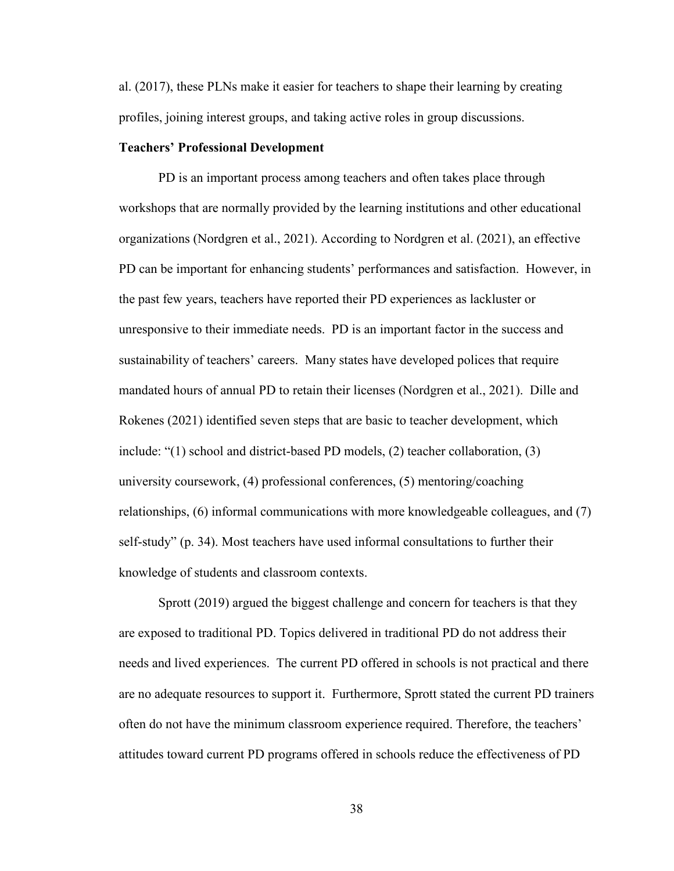al. (2017), these PLNs make it easier for teachers to shape their learning by creating profiles, joining interest groups, and taking active roles in group discussions.

### **Teachers' Professional Development**

PD is an important process among teachers and often takes place through workshops that are normally provided by the learning institutions and other educational organizations (Nordgren et al., 2021). According to Nordgren et al. (2021), an effective PD can be important for enhancing students' performances and satisfaction. However, in the past few years, teachers have reported their PD experiences as lackluster or unresponsive to their immediate needs. PD is an important factor in the success and sustainability of teachers' careers. Many states have developed polices that require mandated hours of annual PD to retain their licenses (Nordgren et al., 2021). Dille and Rokenes (2021) identified seven steps that are basic to teacher development, which include: "(1) school and district-based PD models, (2) teacher collaboration, (3) university coursework, (4) professional conferences, (5) mentoring/coaching relationships, (6) informal communications with more knowledgeable colleagues, and (7) self-study" (p. 34). Most teachers have used informal consultations to further their knowledge of students and classroom contexts.

Sprott (2019) argued the biggest challenge and concern for teachers is that they are exposed to traditional PD. Topics delivered in traditional PD do not address their needs and lived experiences. The current PD offered in schools is not practical and there are no adequate resources to support it. Furthermore, Sprott stated the current PD trainers often do not have the minimum classroom experience required. Therefore, the teachers' attitudes toward current PD programs offered in schools reduce the effectiveness of PD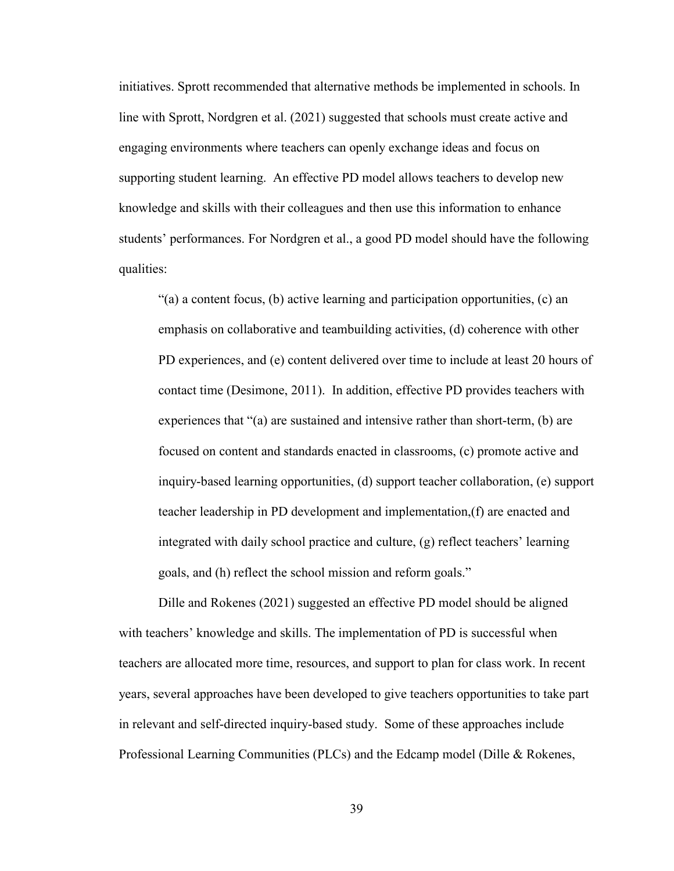initiatives. Sprott recommended that alternative methods be implemented in schools. In line with Sprott, Nordgren et al. (2021) suggested that schools must create active and engaging environments where teachers can openly exchange ideas and focus on supporting student learning. An effective PD model allows teachers to develop new knowledge and skills with their colleagues and then use this information to enhance students' performances. For Nordgren et al., a good PD model should have the following qualities:

"(a) a content focus, (b) active learning and participation opportunities, (c) an emphasis on collaborative and teambuilding activities, (d) coherence with other PD experiences, and (e) content delivered over time to include at least 20 hours of contact time (Desimone, 2011). In addition, effective PD provides teachers with experiences that "(a) are sustained and intensive rather than short-term, (b) are focused on content and standards enacted in classrooms, (c) promote active and inquiry-based learning opportunities, (d) support teacher collaboration, (e) support teacher leadership in PD development and implementation,(f) are enacted and integrated with daily school practice and culture, (g) reflect teachers' learning goals, and (h) reflect the school mission and reform goals."

Dille and Rokenes (2021) suggested an effective PD model should be aligned with teachers' knowledge and skills. The implementation of PD is successful when teachers are allocated more time, resources, and support to plan for class work. In recent years, several approaches have been developed to give teachers opportunities to take part in relevant and self-directed inquiry-based study. Some of these approaches include Professional Learning Communities (PLCs) and the Edcamp model (Dille & Rokenes,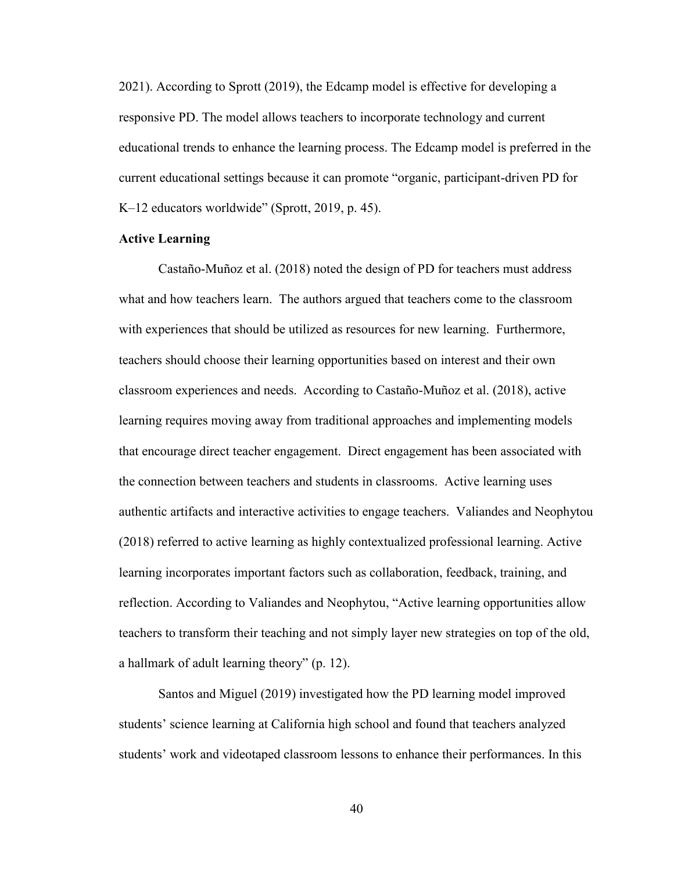2021). According to Sprott (2019), the Edcamp model is effective for developing a responsive PD. The model allows teachers to incorporate technology and current educational trends to enhance the learning process. The Edcamp model is preferred in the current educational settings because it can promote "organic, participant-driven PD for K–12 educators worldwide" (Sprott, 2019, p. 45).

## **Active Learning**

Castaño-Muñoz et al. (2018) noted the design of PD for teachers must address what and how teachers learn. The authors argued that teachers come to the classroom with experiences that should be utilized as resources for new learning. Furthermore, teachers should choose their learning opportunities based on interest and their own classroom experiences and needs. According to Castaño-Muñoz et al. (2018), active learning requires moving away from traditional approaches and implementing models that encourage direct teacher engagement. Direct engagement has been associated with the connection between teachers and students in classrooms. Active learning uses authentic artifacts and interactive activities to engage teachers. Valiandes and Neophytou (2018) referred to active learning as highly contextualized professional learning. Active learning incorporates important factors such as collaboration, feedback, training, and reflection. According to Valiandes and Neophytou, "Active learning opportunities allow teachers to transform their teaching and not simply layer new strategies on top of the old, a hallmark of adult learning theory" (p. 12).

Santos and Miguel (2019) investigated how the PD learning model improved students' science learning at California high school and found that teachers analyzed students' work and videotaped classroom lessons to enhance their performances. In this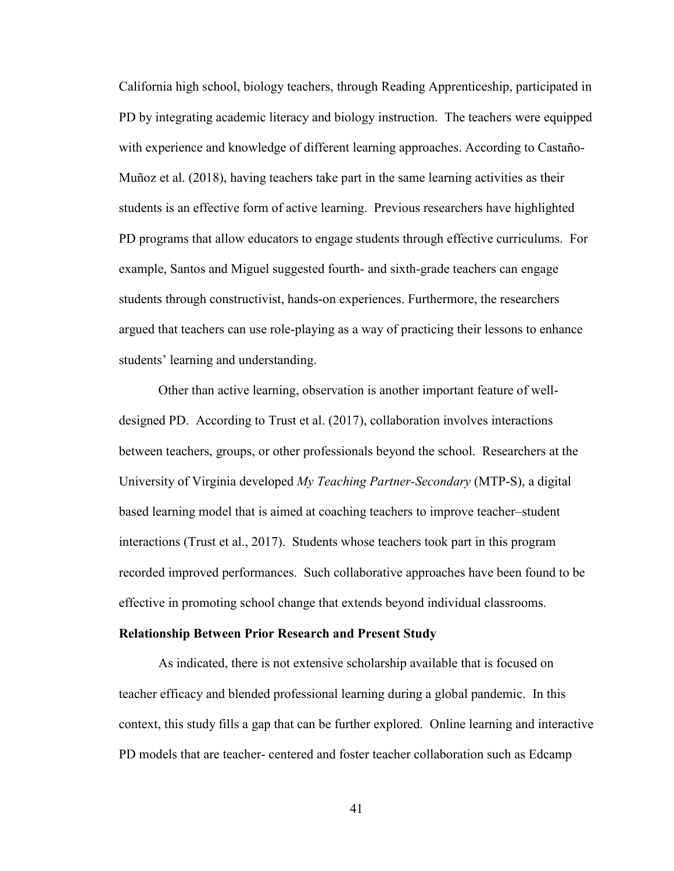California high school, biology teachers, through Reading Apprenticeship, participated in PD by integrating academic literacy and biology instruction. The teachers were equipped with experience and knowledge of different learning approaches. According to Castaño-Muñoz et al. (2018), having teachers take part in the same learning activities as their students is an effective form of active learning. Previous researchers have highlighted PD programs that allow educators to engage students through effective curriculums. For example, Santos and Miguel suggested fourth- and sixth-grade teachers can engage students through constructivist, hands-on experiences. Furthermore, the researchers argued that teachers can use role-playing as a way of practicing their lessons to enhance students' learning and understanding.

Other than active learning, observation is another important feature of welldesigned PD. According to Trust et al. (2017), collaboration involves interactions between teachers, groups, or other professionals beyond the school. Researchers at the University of Virginia developed *My Teaching Partner-Secondary* (MTP-S), a digital based learning model that is aimed at coaching teachers to improve teacher–student interactions (Trust et al., 2017). Students whose teachers took part in this program recorded improved performances. Such collaborative approaches have been found to be effective in promoting school change that extends beyond individual classrooms.

#### **Relationship Between Prior Research and Present Study**

As indicated, there is not extensive scholarship available that is focused on teacher efficacy and blended professional learning during a global pandemic. In this context, this study fills a gap that can be further explored. Online learning and interactive PD models that are teacher- centered and foster teacher collaboration such as Edcamp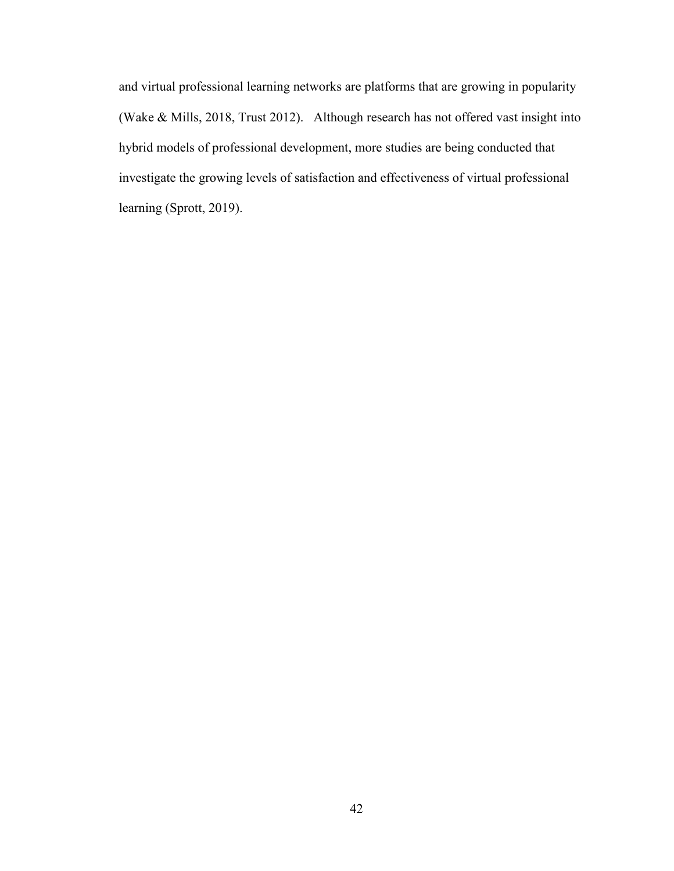and virtual professional learning networks are platforms that are growing in popularity (Wake & Mills, 2018, Trust 2012). Although research has not offered vast insight into hybrid models of professional development, more studies are being conducted that investigate the growing levels of satisfaction and effectiveness of virtual professional learning (Sprott, 2019).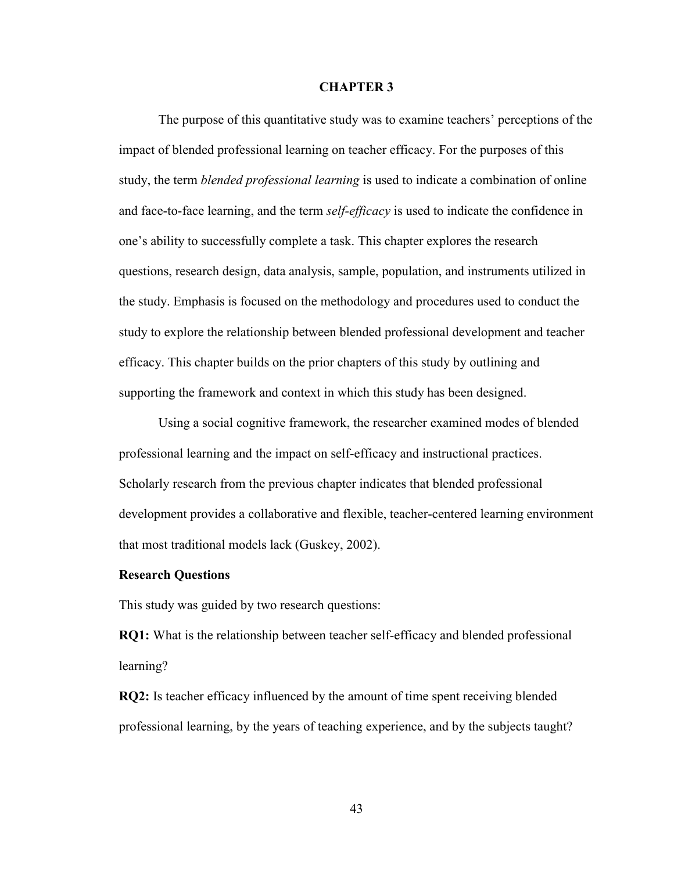#### **CHAPTER 3**

 The purpose of this quantitative study was to examine teachers' perceptions of the impact of blended professional learning on teacher efficacy. For the purposes of this study, the term *blended professional learning* is used to indicate a combination of online and face-to-face learning, and the term *self-efficacy* is used to indicate the confidence in one's ability to successfully complete a task. This chapter explores the research questions, research design, data analysis, sample, population, and instruments utilized in the study. Emphasis is focused on the methodology and procedures used to conduct the study to explore the relationship between blended professional development and teacher efficacy. This chapter builds on the prior chapters of this study by outlining and supporting the framework and context in which this study has been designed.

 Using a social cognitive framework, the researcher examined modes of blended professional learning and the impact on self-efficacy and instructional practices. Scholarly research from the previous chapter indicates that blended professional development provides a collaborative and flexible, teacher-centered learning environment that most traditional models lack (Guskey, 2002).

### **Research Questions**

This study was guided by two research questions:

**RQ1:** What is the relationship between teacher self-efficacy and blended professional learning?

**RQ2:** Is teacher efficacy influenced by the amount of time spent receiving blended professional learning, by the years of teaching experience, and by the subjects taught?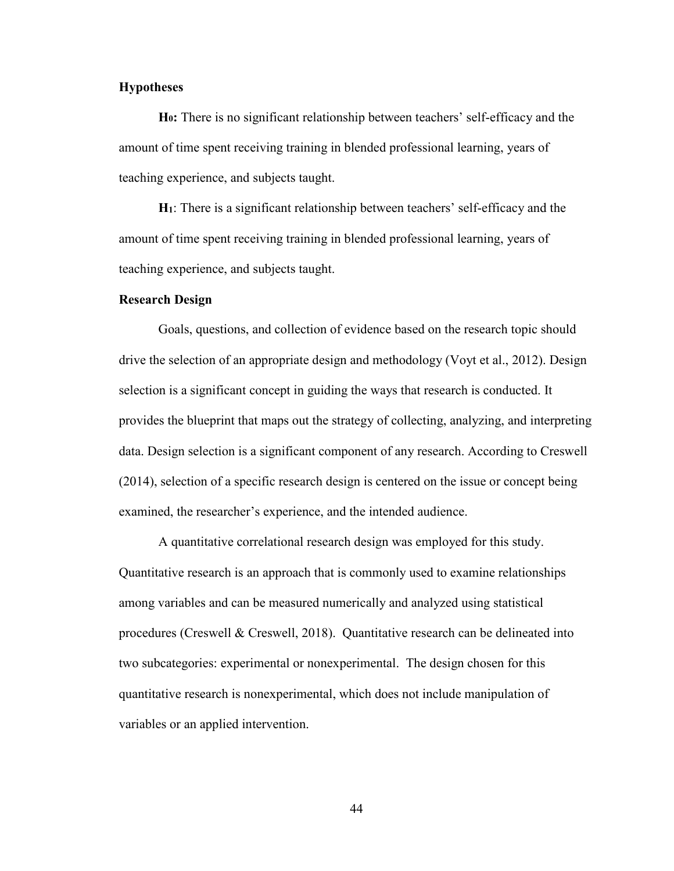## **Hypotheses**

**H0:** There is no significant relationship between teachers' self-efficacy and the amount of time spent receiving training in blended professional learning, years of teaching experience, and subjects taught.

**H1**: There is a significant relationship between teachers' self-efficacy and the amount of time spent receiving training in blended professional learning, years of teaching experience, and subjects taught.

### **Research Design**

 Goals, questions, and collection of evidence based on the research topic should drive the selection of an appropriate design and methodology (Voyt et al., 2012). Design selection is a significant concept in guiding the ways that research is conducted. It provides the blueprint that maps out the strategy of collecting, analyzing, and interpreting data. Design selection is a significant component of any research. According to Creswell (2014), selection of a specific research design is centered on the issue or concept being examined, the researcher's experience, and the intended audience.

 A quantitative correlational research design was employed for this study. Quantitative research is an approach that is commonly used to examine relationships among variables and can be measured numerically and analyzed using statistical procedures (Creswell & Creswell, 2018). Quantitative research can be delineated into two subcategories: experimental or nonexperimental. The design chosen for this quantitative research is nonexperimental, which does not include manipulation of variables or an applied intervention.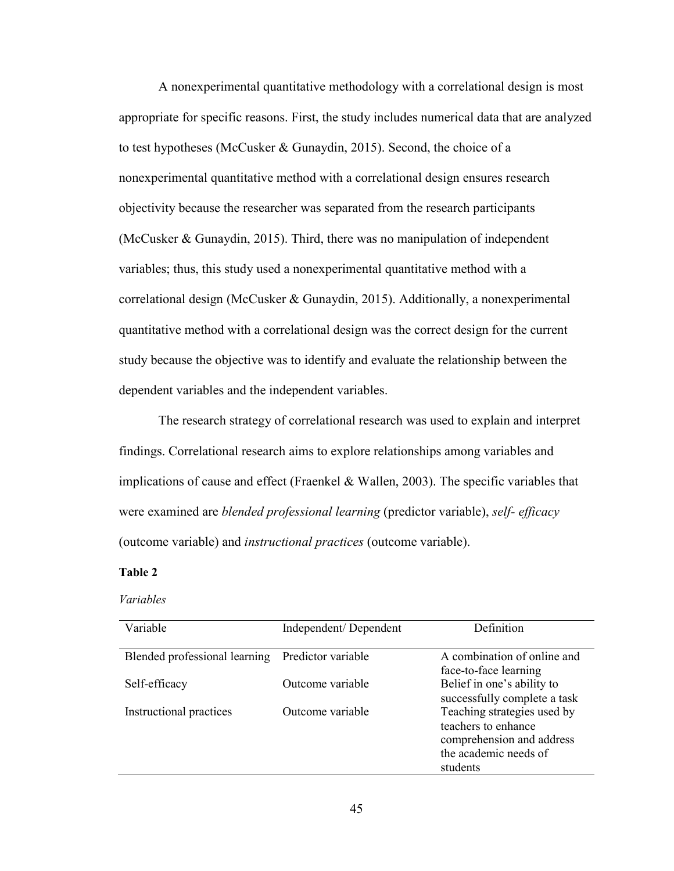A nonexperimental quantitative methodology with a correlational design is most appropriate for specific reasons. First, the study includes numerical data that are analyzed to test hypotheses (McCusker & Gunaydin, 2015). Second, the choice of a nonexperimental quantitative method with a correlational design ensures research objectivity because the researcher was separated from the research participants (McCusker & Gunaydin, 2015). Third, there was no manipulation of independent variables; thus, this study used a nonexperimental quantitative method with a correlational design (McCusker & Gunaydin, 2015). Additionally, a nonexperimental quantitative method with a correlational design was the correct design for the current study because the objective was to identify and evaluate the relationship between the dependent variables and the independent variables.

 The research strategy of correlational research was used to explain and interpret findings. Correlational research aims to explore relationships among variables and implications of cause and effect (Fraenkel & Wallen, 2003). The specific variables that were examined are *blended professional learning* (predictor variable), *self- efficacy* (outcome variable) and *instructional practices* (outcome variable).

### **Table 2**

### *Variables*

| Variable                      | Independent/Dependent | Definition                   |
|-------------------------------|-----------------------|------------------------------|
|                               |                       |                              |
| Blended professional learning | Predictor variable    | A combination of online and  |
|                               |                       | face-to-face learning        |
| Self-efficacy                 | Outcome variable      | Belief in one's ability to   |
|                               |                       | successfully complete a task |
| Instructional practices       | Outcome variable      | Teaching strategies used by  |
|                               |                       | teachers to enhance          |
|                               |                       | comprehension and address    |
|                               |                       | the academic needs of        |
|                               |                       | students                     |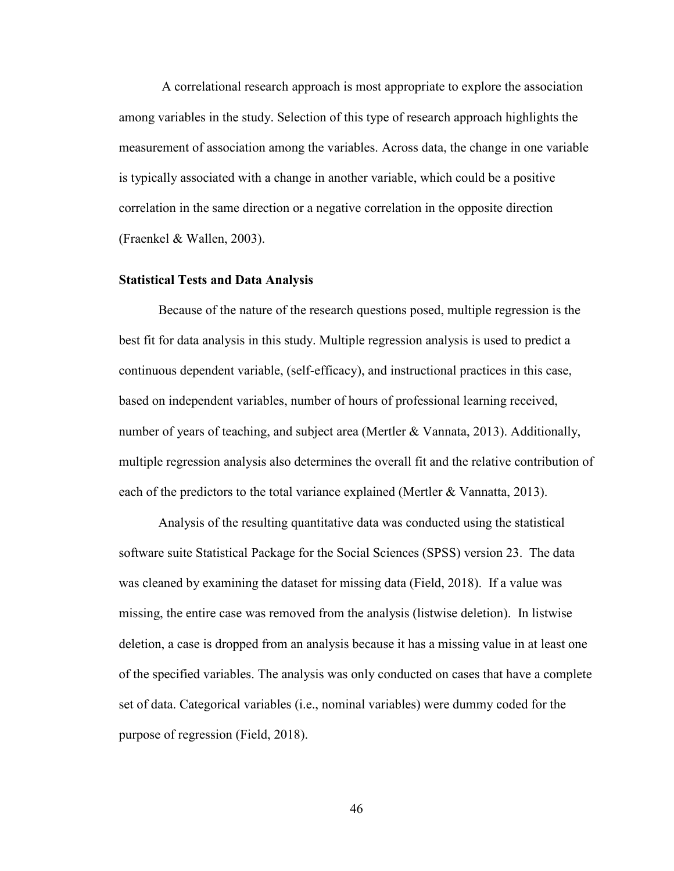A correlational research approach is most appropriate to explore the association among variables in the study. Selection of this type of research approach highlights the measurement of association among the variables. Across data, the change in one variable is typically associated with a change in another variable, which could be a positive correlation in the same direction or a negative correlation in the opposite direction (Fraenkel & Wallen, 2003).

#### **Statistical Tests and Data Analysis**

Because of the nature of the research questions posed, multiple regression is the best fit for data analysis in this study. Multiple regression analysis is used to predict a continuous dependent variable, (self-efficacy), and instructional practices in this case, based on independent variables, number of hours of professional learning received, number of years of teaching, and subject area (Mertler & Vannata, 2013). Additionally, multiple regression analysis also determines the overall fit and the relative contribution of each of the predictors to the total variance explained (Mertler & Vannatta, 2013).

Analysis of the resulting quantitative data was conducted using the statistical software suite Statistical Package for the Social Sciences (SPSS) version 23. The data was cleaned by examining the dataset for missing data (Field, 2018). If a value was missing, the entire case was removed from the analysis (listwise deletion). In listwise deletion, a case is dropped from an analysis because it has a missing value in at least one of the specified variables. The analysis was only conducted on cases that have a complete set of data. Categorical variables (i.e., nominal variables) were dummy coded for the purpose of regression (Field, 2018).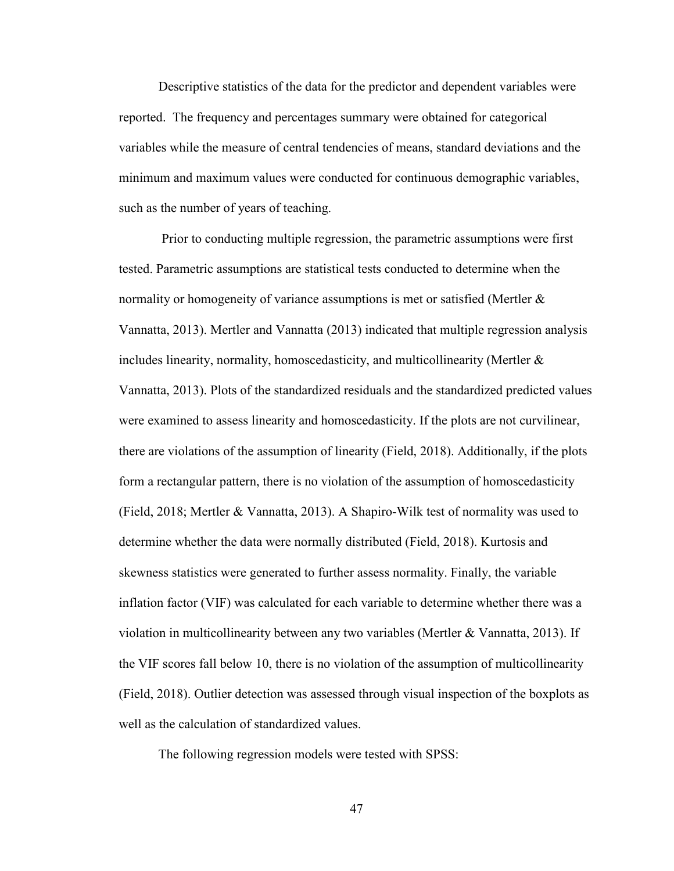Descriptive statistics of the data for the predictor and dependent variables were reported. The frequency and percentages summary were obtained for categorical variables while the measure of central tendencies of means, standard deviations and the minimum and maximum values were conducted for continuous demographic variables, such as the number of years of teaching.

 Prior to conducting multiple regression, the parametric assumptions were first tested. Parametric assumptions are statistical tests conducted to determine when the normality or homogeneity of variance assumptions is met or satisfied (Mertler & Vannatta, 2013). Mertler and Vannatta (2013) indicated that multiple regression analysis includes linearity, normality, homoscedasticity, and multicollinearity (Mertler  $\&$ Vannatta, 2013). Plots of the standardized residuals and the standardized predicted values were examined to assess linearity and homoscedasticity. If the plots are not curvilinear, there are violations of the assumption of linearity (Field, 2018). Additionally, if the plots form a rectangular pattern, there is no violation of the assumption of homoscedasticity (Field, 2018; Mertler & Vannatta, 2013). A Shapiro-Wilk test of normality was used to determine whether the data were normally distributed (Field, 2018). Kurtosis and skewness statistics were generated to further assess normality. Finally, the variable inflation factor (VIF) was calculated for each variable to determine whether there was a violation in multicollinearity between any two variables (Mertler & Vannatta, 2013). If the VIF scores fall below 10, there is no violation of the assumption of multicollinearity (Field, 2018). Outlier detection was assessed through visual inspection of the boxplots as well as the calculation of standardized values.

The following regression models were tested with SPSS: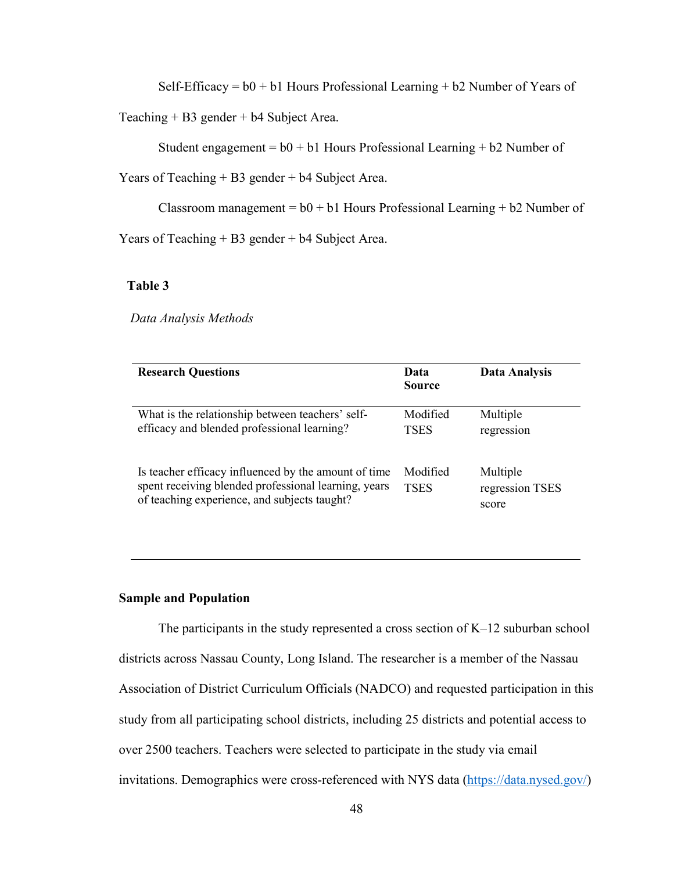Self-Efficacy =  $b0 + b1$  Hours Professional Learning +  $b2$  Number of Years of

Teaching + B3 gender + b4 Subject Area.

Student engagement =  $b0 + b1$  Hours Professional Learning +  $b2$  Number of

Years of Teaching + B3 gender + b4 Subject Area.

Classroom management =  $b0 + b1$  Hours Professional Learning +  $b2$  Number of

Years of Teaching + B3 gender + b4 Subject Area.

## **Table 3**

 *Data Analysis Methods*

| <b>Research Questions</b>                                                                                                                                    | Data<br><b>Source</b>   | Data Analysis                        |
|--------------------------------------------------------------------------------------------------------------------------------------------------------------|-------------------------|--------------------------------------|
| What is the relationship between teachers' self-<br>efficacy and blended professional learning?                                                              | Modified<br><b>TSES</b> | Multiple<br>regression               |
| Is teacher efficacy influenced by the amount of time<br>spent receiving blended professional learning, years<br>of teaching experience, and subjects taught? | Modified<br><b>TSES</b> | Multiple<br>regression TSES<br>score |

### **Sample and Population**

 The participants in the study represented a cross section of K–12 suburban school districts across Nassau County, Long Island. The researcher is a member of the Nassau Association of District Curriculum Officials (NADCO) and requested participation in this study from all participating school districts, including 25 districts and potential access to over 2500 teachers. Teachers were selected to participate in the study via email invitations. Demographics were cross-referenced with NYS data (https://data.nysed.gov/)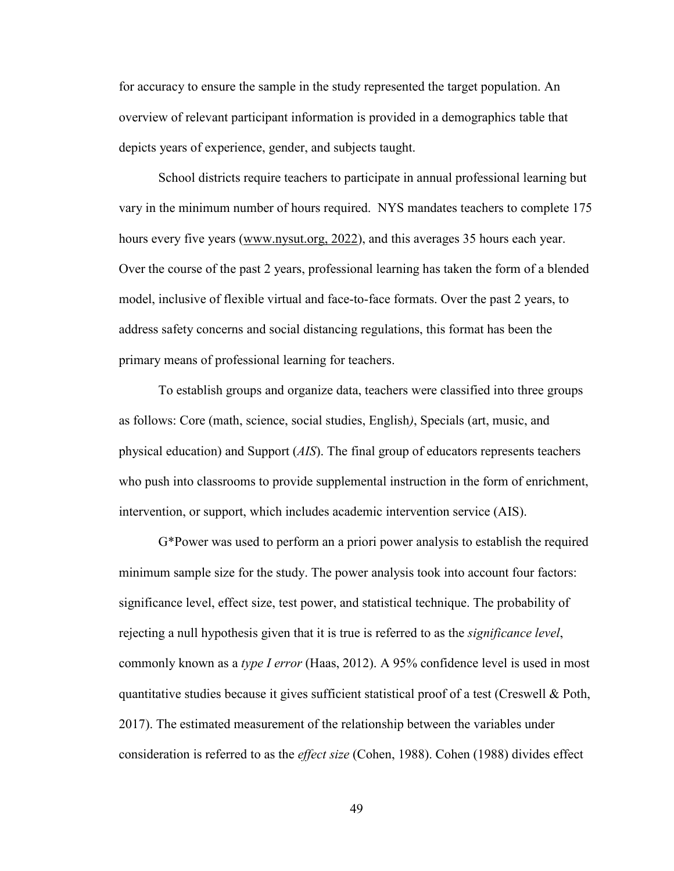for accuracy to ensure the sample in the study represented the target population. An overview of relevant participant information is provided in a demographics table that depicts years of experience, gender, and subjects taught.

 School districts require teachers to participate in annual professional learning but vary in the minimum number of hours required. NYS mandates teachers to complete 175 hours every five years (www.nysut.org, 2022), and this averages 35 hours each year. Over the course of the past 2 years, professional learning has taken the form of a blended model, inclusive of flexible virtual and face-to-face formats. Over the past 2 years, to address safety concerns and social distancing regulations, this format has been the primary means of professional learning for teachers.

 To establish groups and organize data, teachers were classified into three groups as follows: Core (math, science, social studies, English*)*, Specials (art, music, and physical education) and Support (*AIS*). The final group of educators represents teachers who push into classrooms to provide supplemental instruction in the form of enrichment, intervention, or support, which includes academic intervention service (AIS).

G\*Power was used to perform an a priori power analysis to establish the required minimum sample size for the study. The power analysis took into account four factors: significance level, effect size, test power, and statistical technique. The probability of rejecting a null hypothesis given that it is true is referred to as the *significance level*, commonly known as a *type I error* (Haas, 2012). A 95% confidence level is used in most quantitative studies because it gives sufficient statistical proof of a test (Creswell  $\&$  Poth, 2017). The estimated measurement of the relationship between the variables under consideration is referred to as the *effect size* (Cohen, 1988). Cohen (1988) divides effect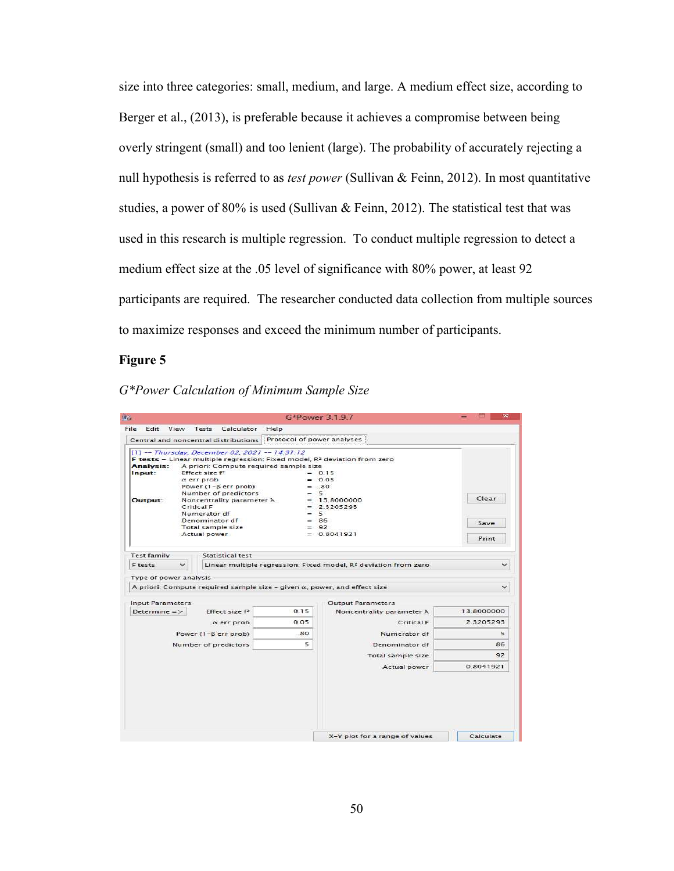size into three categories: small, medium, and large. A medium effect size, according to Berger et al., (2013), is preferable because it achieves a compromise between being overly stringent (small) and too lenient (large). The probability of accurately rejecting a null hypothesis is referred to as *test power* (Sullivan & Feinn, 2012). In most quantitative studies, a power of 80% is used (Sullivan  $\&$  Feinn, 2012). The statistical test that was used in this research is multiple regression. To conduct multiple regression to detect a medium effect size at the .05 level of significance with 80% power, at least 92 participants are required. The researcher conducted data collection from multiple sources to maximize responses and exceed the minimum number of participants.

## **Figure 5**

*G\*Power Calculation of Minimum Sample Size*

| Ba                                                                                                                                                                                                                                                                                                                                                                                                                                  | G*Power 3.1.9.7                              |                                                                             | $\times$      |
|-------------------------------------------------------------------------------------------------------------------------------------------------------------------------------------------------------------------------------------------------------------------------------------------------------------------------------------------------------------------------------------------------------------------------------------|----------------------------------------------|-----------------------------------------------------------------------------|---------------|
| File Edit View<br>Tests Calculator Help                                                                                                                                                                                                                                                                                                                                                                                             |                                              |                                                                             |               |
| Central and noncentral distributions                                                                                                                                                                                                                                                                                                                                                                                                | Protocol of power analyses                   |                                                                             |               |
| $[1]$ -- Thursday, December 02, 2021 -- 14:31:12<br>F tests - Linear multiple regression: Fixed model, R <sup>2</sup> deviation from zero<br>A priori: Compute required sample size<br>Analysis:<br>Input:<br>Effect size f <sup>2</sup><br>α err prob<br>Power $(1 - \beta$ err prob)<br>Number of predictors<br>Output:<br>Noncentrality parameter $\lambda$<br>Critical F<br>Numerator df<br>Denominator df<br>Total sample size | $= 80$<br>$= 5$<br>$= 5$<br>$= 86$<br>$= 92$ | $= 0.15$<br>$= 0.05$<br>$= 13.8000000$<br>$= 2.3205293$                     | Clear<br>Save |
| Actual power                                                                                                                                                                                                                                                                                                                                                                                                                        |                                              | $= 0.8041921$                                                               | Print         |
| <b>Test family</b><br>Statistical test                                                                                                                                                                                                                                                                                                                                                                                              |                                              |                                                                             |               |
| F tests<br>$\checkmark$                                                                                                                                                                                                                                                                                                                                                                                                             |                                              | Linear multiple regression: Fixed model, R <sup>2</sup> deviation from zero |               |
| Type of power analysis                                                                                                                                                                                                                                                                                                                                                                                                              |                                              |                                                                             |               |
| A priori: Compute required sample size - given $\alpha$ , power, and effect size                                                                                                                                                                                                                                                                                                                                                    |                                              |                                                                             |               |
| Input Parameters                                                                                                                                                                                                                                                                                                                                                                                                                    |                                              | <b>Output Parameters</b>                                                    |               |
| Determine $=$ ><br>Effect size f <sup>2</sup>                                                                                                                                                                                                                                                                                                                                                                                       | 0.15                                         | Noncentrality parameter $\lambda$                                           | 13,8000000    |
| α err prob                                                                                                                                                                                                                                                                                                                                                                                                                          | 0.05                                         | Critical F                                                                  | 2.3205293     |
| Power $(1 - \beta$ err prob)                                                                                                                                                                                                                                                                                                                                                                                                        | .80                                          | Numerator df                                                                | 5             |
| Number of predictors                                                                                                                                                                                                                                                                                                                                                                                                                | 5.                                           | Denominator df                                                              | 86            |
|                                                                                                                                                                                                                                                                                                                                                                                                                                     |                                              | Total sample size                                                           | 92            |
|                                                                                                                                                                                                                                                                                                                                                                                                                                     |                                              | Actual power                                                                | 0.8041921     |
|                                                                                                                                                                                                                                                                                                                                                                                                                                     |                                              |                                                                             |               |
|                                                                                                                                                                                                                                                                                                                                                                                                                                     |                                              | X-Y plot for a range of values                                              | Calculate     |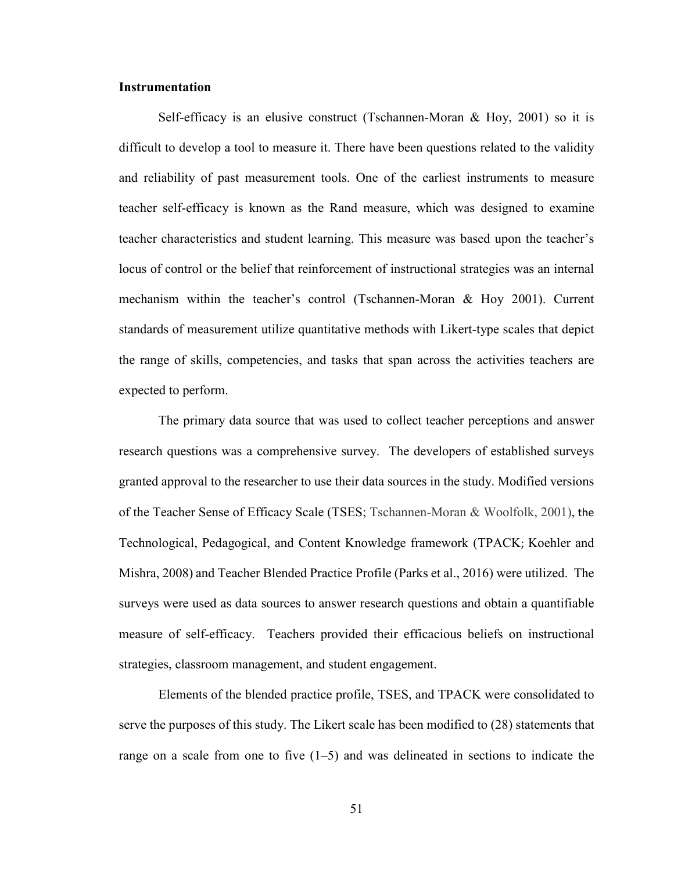### **Instrumentation**

Self-efficacy is an elusive construct (Tschannen-Moran & Hoy, 2001) so it is difficult to develop a tool to measure it. There have been questions related to the validity and reliability of past measurement tools. One of the earliest instruments to measure teacher self-efficacy is known as the Rand measure, which was designed to examine teacher characteristics and student learning. This measure was based upon the teacher's locus of control or the belief that reinforcement of instructional strategies was an internal mechanism within the teacher's control (Tschannen-Moran & Hoy 2001). Current standards of measurement utilize quantitative methods with Likert-type scales that depict the range of skills, competencies, and tasks that span across the activities teachers are expected to perform.

The primary data source that was used to collect teacher perceptions and answer research questions was a comprehensive survey. The developers of established surveys granted approval to the researcher to use their data sources in the study. Modified versions of the Teacher Sense of Efficacy Scale (TSES; Tschannen-Moran & Woolfolk, 2001), the Technological, Pedagogical, and Content Knowledge framework (TPACK; Koehler and Mishra, 2008) and Teacher Blended Practice Profile (Parks et al., 2016) were utilized. The surveys were used as data sources to answer research questions and obtain a quantifiable measure of self-efficacy. Teachers provided their efficacious beliefs on instructional strategies, classroom management, and student engagement.

 Elements of the blended practice profile, TSES, and TPACK were consolidated to serve the purposes of this study. The Likert scale has been modified to (28) statements that range on a scale from one to five  $(1-5)$  and was delineated in sections to indicate the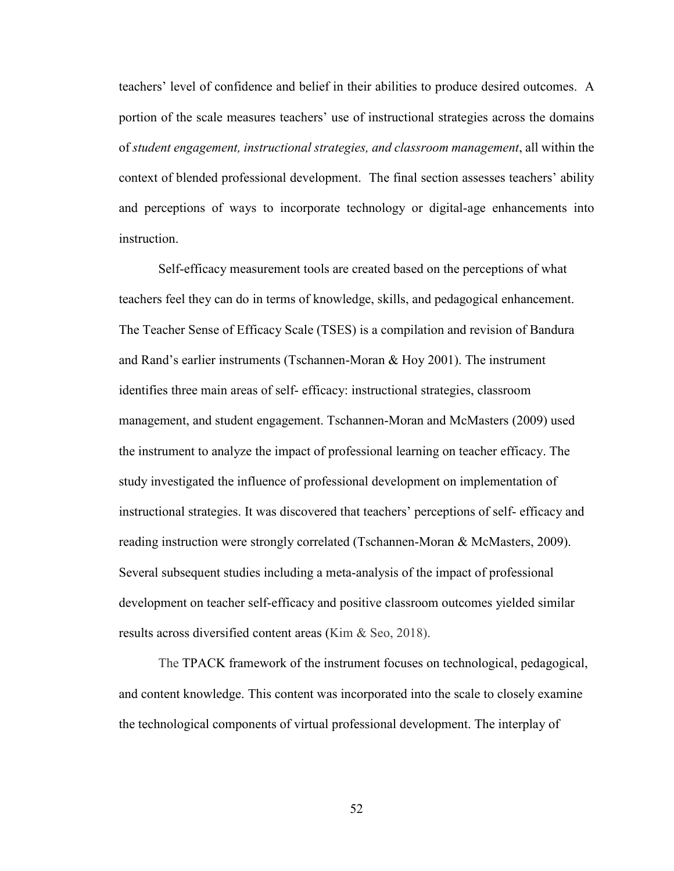teachers' level of confidence and belief in their abilities to produce desired outcomes. A portion of the scale measures teachers' use of instructional strategies across the domains of *student engagement, instructional strategies, and classroom management*, all within the context of blended professional development. The final section assesses teachers' ability and perceptions of ways to incorporate technology or digital-age enhancements into instruction.

 Self-efficacy measurement tools are created based on the perceptions of what teachers feel they can do in terms of knowledge, skills, and pedagogical enhancement. The Teacher Sense of Efficacy Scale (TSES) is a compilation and revision of Bandura and Rand's earlier instruments (Tschannen-Moran & Hoy 2001). The instrument identifies three main areas of self- efficacy: instructional strategies, classroom management, and student engagement. Tschannen-Moran and McMasters (2009) used the instrument to analyze the impact of professional learning on teacher efficacy. The study investigated the influence of professional development on implementation of instructional strategies. It was discovered that teachers' perceptions of self- efficacy and reading instruction were strongly correlated (Tschannen-Moran & McMasters, 2009). Several subsequent studies including a meta-analysis of the impact of professional development on teacher self-efficacy and positive classroom outcomes yielded similar results across diversified content areas (Kim & Seo, 2018).

 The TPACK framework of the instrument focuses on technological, pedagogical, and content knowledge. This content was incorporated into the scale to closely examine the technological components of virtual professional development. The interplay of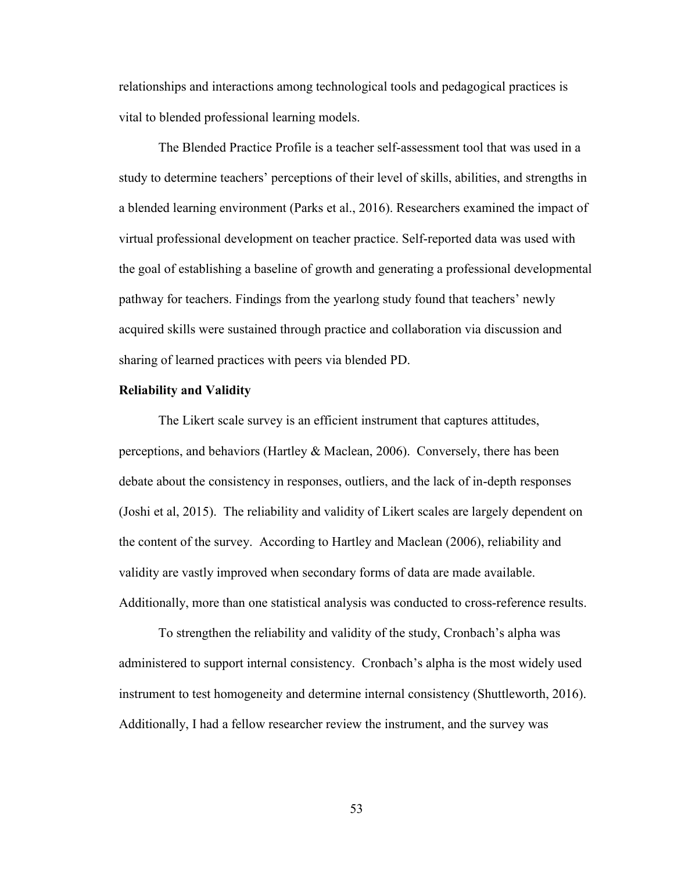relationships and interactions among technological tools and pedagogical practices is vital to blended professional learning models.

 The Blended Practice Profile is a teacher self-assessment tool that was used in a study to determine teachers' perceptions of their level of skills, abilities, and strengths in a blended learning environment (Parks et al., 2016). Researchers examined the impact of virtual professional development on teacher practice. Self-reported data was used with the goal of establishing a baseline of growth and generating a professional developmental pathway for teachers. Findings from the yearlong study found that teachers' newly acquired skills were sustained through practice and collaboration via discussion and sharing of learned practices with peers via blended PD.

### **Reliability and Validity**

 The Likert scale survey is an efficient instrument that captures attitudes, perceptions, and behaviors (Hartley & Maclean, 2006). Conversely, there has been debate about the consistency in responses, outliers, and the lack of in-depth responses (Joshi et al, 2015). The reliability and validity of Likert scales are largely dependent on the content of the survey. According to Hartley and Maclean (2006), reliability and validity are vastly improved when secondary forms of data are made available. Additionally, more than one statistical analysis was conducted to cross-reference results.

 To strengthen the reliability and validity of the study, Cronbach's alpha was administered to support internal consistency. Cronbach's alpha is the most widely used instrument to test homogeneity and determine internal consistency (Shuttleworth, 2016). Additionally, I had a fellow researcher review the instrument, and the survey was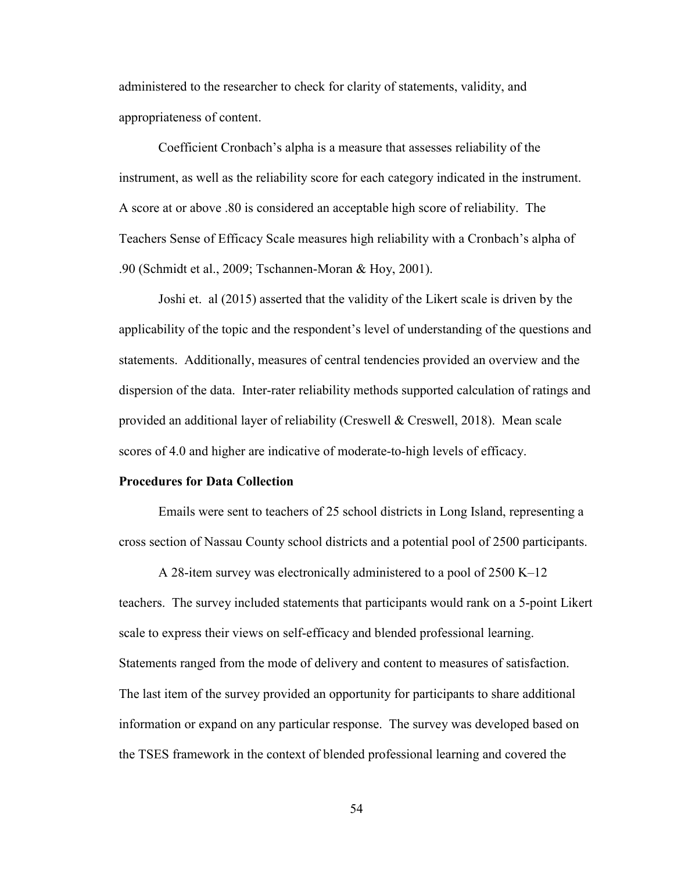administered to the researcher to check for clarity of statements, validity, and appropriateness of content.

Coefficient Cronbach's alpha is a measure that assesses reliability of the instrument, as well as the reliability score for each category indicated in the instrument. A score at or above .80 is considered an acceptable high score of reliability. The Teachers Sense of Efficacy Scale measures high reliability with a Cronbach's alpha of .90 (Schmidt et al., 2009; Tschannen-Moran & Hoy, 2001).

 Joshi et. al (2015) asserted that the validity of the Likert scale is driven by the applicability of the topic and the respondent's level of understanding of the questions and statements. Additionally, measures of central tendencies provided an overview and the dispersion of the data. Inter-rater reliability methods supported calculation of ratings and provided an additional layer of reliability (Creswell & Creswell, 2018). Mean scale scores of 4.0 and higher are indicative of moderate-to-high levels of efficacy.

### **Procedures for Data Collection**

 Emails were sent to teachers of 25 school districts in Long Island, representing a cross section of Nassau County school districts and a potential pool of 2500 participants.

 A 28-item survey was electronically administered to a pool of 2500 K–12 teachers. The survey included statements that participants would rank on a 5-point Likert scale to express their views on self-efficacy and blended professional learning. Statements ranged from the mode of delivery and content to measures of satisfaction. The last item of the survey provided an opportunity for participants to share additional information or expand on any particular response. The survey was developed based on the TSES framework in the context of blended professional learning and covered the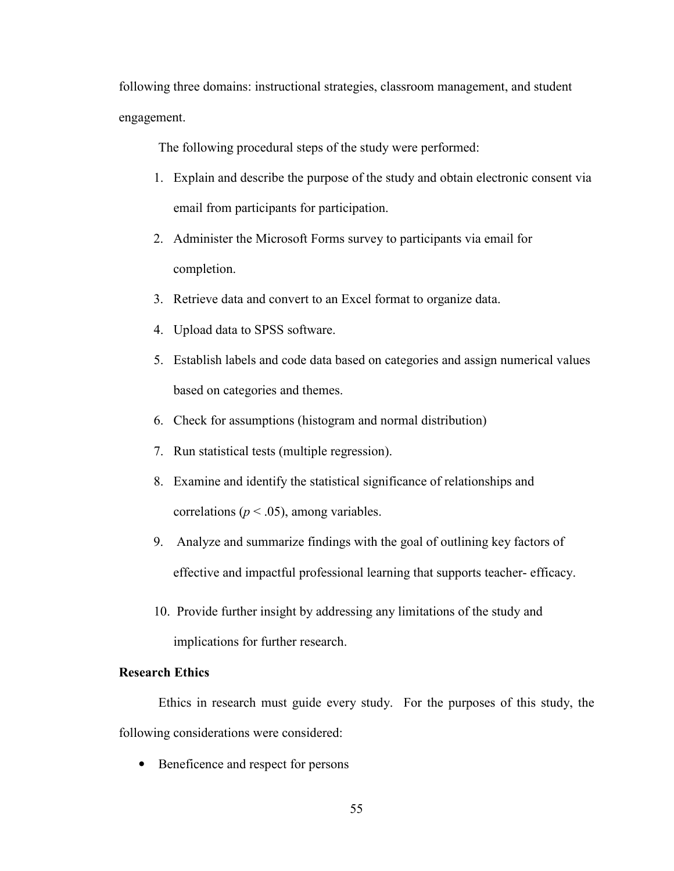following three domains: instructional strategies, classroom management, and student engagement.

The following procedural steps of the study were performed:

- 1. Explain and describe the purpose of the study and obtain electronic consent via email from participants for participation.
- 2. Administer the Microsoft Forms survey to participants via email for completion.
- 3. Retrieve data and convert to an Excel format to organize data.
- 4. Upload data to SPSS software.
- 5. Establish labels and code data based on categories and assign numerical values based on categories and themes.
- 6. Check for assumptions (histogram and normal distribution)
- 7. Run statistical tests (multiple regression).
- 8. Examine and identify the statistical significance of relationships and correlations ( $p < .05$ ), among variables.
- 9. Analyze and summarize findings with the goal of outlining key factors of effective and impactful professional learning that supports teacher- efficacy.
- 10. Provide further insight by addressing any limitations of the study and implications for further research.

## **Research Ethics**

Ethics in research must guide every study. For the purposes of this study, the following considerations were considered:

• Beneficence and respect for persons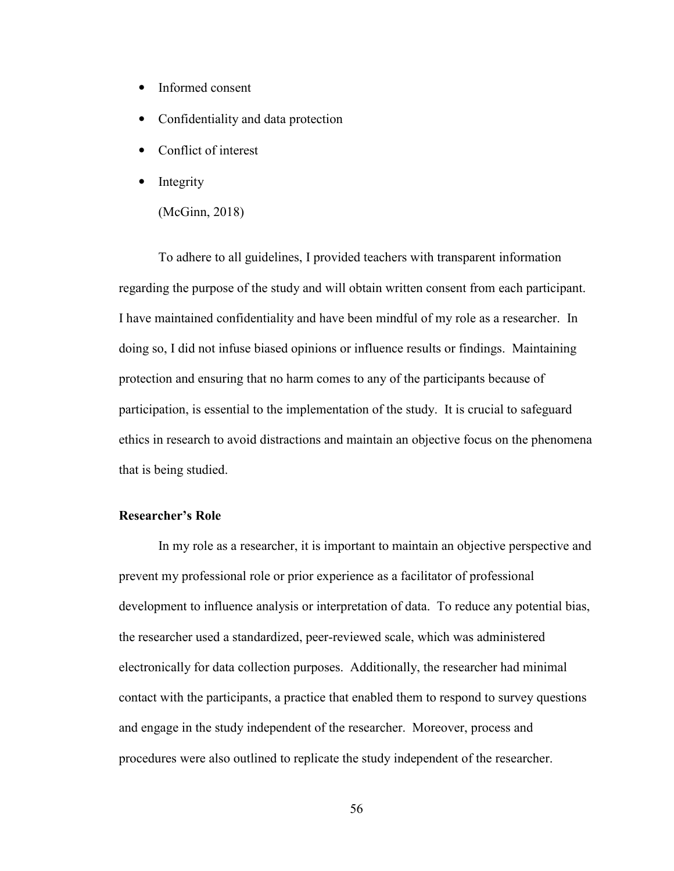- Informed consent
- Confidentiality and data protection
- Conflict of interest
- **Integrity** 
	- (McGinn, 2018)

 To adhere to all guidelines, I provided teachers with transparent information regarding the purpose of the study and will obtain written consent from each participant. I have maintained confidentiality and have been mindful of my role as a researcher. In doing so, I did not infuse biased opinions or influence results or findings. Maintaining protection and ensuring that no harm comes to any of the participants because of participation, is essential to the implementation of the study. It is crucial to safeguard ethics in research to avoid distractions and maintain an objective focus on the phenomena that is being studied.

## **Researcher's Role**

 In my role as a researcher, it is important to maintain an objective perspective and prevent my professional role or prior experience as a facilitator of professional development to influence analysis or interpretation of data. To reduce any potential bias, the researcher used a standardized, peer-reviewed scale, which was administered electronically for data collection purposes. Additionally, the researcher had minimal contact with the participants, a practice that enabled them to respond to survey questions and engage in the study independent of the researcher. Moreover, process and procedures were also outlined to replicate the study independent of the researcher.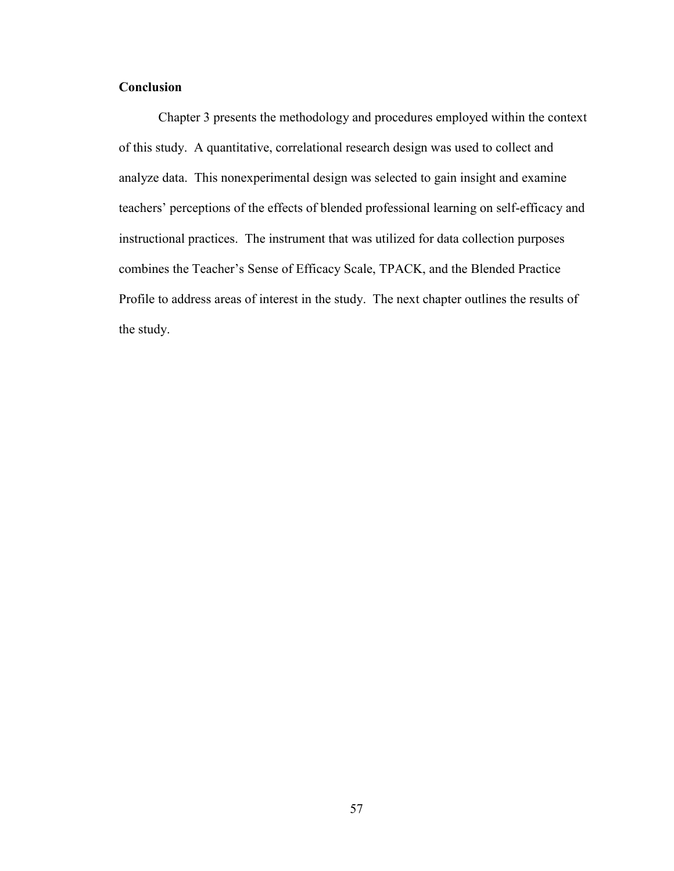# **Conclusion**

Chapter 3 presents the methodology and procedures employed within the context of this study. A quantitative, correlational research design was used to collect and analyze data. This nonexperimental design was selected to gain insight and examine teachers' perceptions of the effects of blended professional learning on self-efficacy and instructional practices. The instrument that was utilized for data collection purposes combines the Teacher's Sense of Efficacy Scale, TPACK, and the Blended Practice Profile to address areas of interest in the study. The next chapter outlines the results of the study.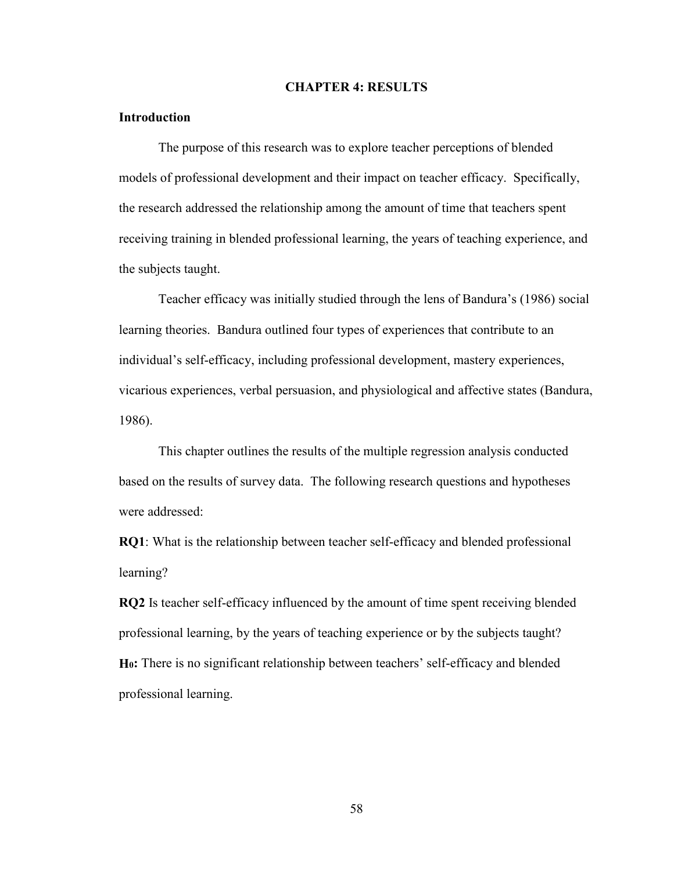### **CHAPTER 4: RESULTS**

## **Introduction**

 The purpose of this research was to explore teacher perceptions of blended models of professional development and their impact on teacher efficacy. Specifically, the research addressed the relationship among the amount of time that teachers spent receiving training in blended professional learning, the years of teaching experience, and the subjects taught.

 Teacher efficacy was initially studied through the lens of Bandura's (1986) social learning theories. Bandura outlined four types of experiences that contribute to an individual's self-efficacy, including professional development, mastery experiences, vicarious experiences, verbal persuasion, and physiological and affective states (Bandura, 1986).

 This chapter outlines the results of the multiple regression analysis conducted based on the results of survey data. The following research questions and hypotheses were addressed:

**RQ1**: What is the relationship between teacher self-efficacy and blended professional learning?

**RQ2** Is teacher self-efficacy influenced by the amount of time spent receiving blended professional learning, by the years of teaching experience or by the subjects taught? **H0:** There is no significant relationship between teachers' self-efficacy and blended professional learning.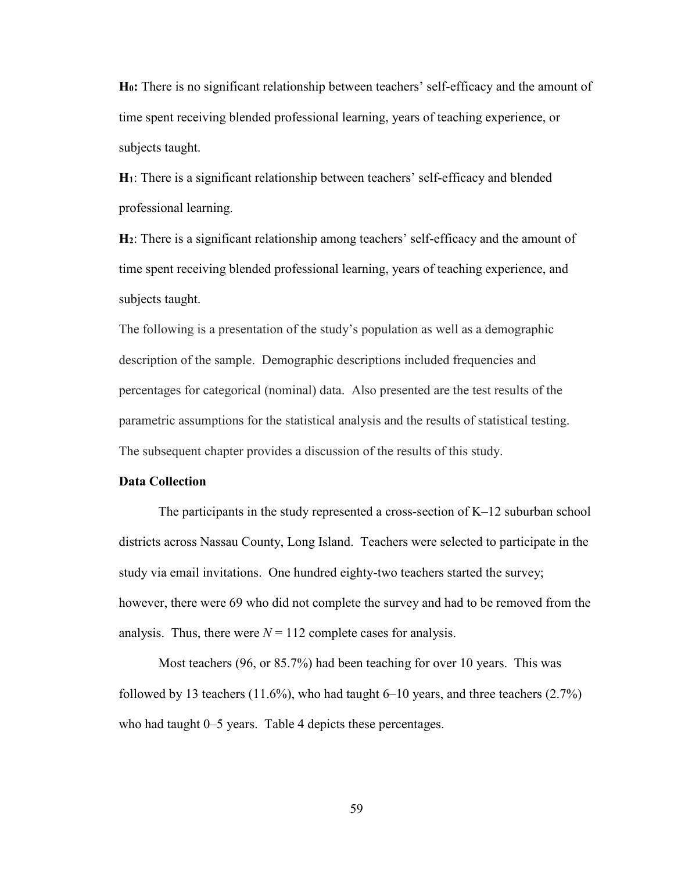**H0:** There is no significant relationship between teachers' self-efficacy and the amount of time spent receiving blended professional learning, years of teaching experience, or subjects taught.

**H1**: There is a significant relationship between teachers' self-efficacy and blended professional learning.

**H2**: There is a significant relationship among teachers' self-efficacy and the amount of time spent receiving blended professional learning, years of teaching experience, and subjects taught.

The following is a presentation of the study's population as well as a demographic description of the sample. Demographic descriptions included frequencies and percentages for categorical (nominal) data. Also presented are the test results of the parametric assumptions for the statistical analysis and the results of statistical testing. The subsequent chapter provides a discussion of the results of this study.

### **Data Collection**

The participants in the study represented a cross-section of K–12 suburban school districts across Nassau County, Long Island. Teachers were selected to participate in the study via email invitations. One hundred eighty-two teachers started the survey; however, there were 69 who did not complete the survey and had to be removed from the analysis. Thus, there were  $N = 112$  complete cases for analysis.

Most teachers (96, or 85.7%) had been teaching for over 10 years. This was followed by 13 teachers  $(11.6\%)$ , who had taught 6–10 years, and three teachers  $(2.7\%)$ who had taught 0–5 years. Table 4 depicts these percentages.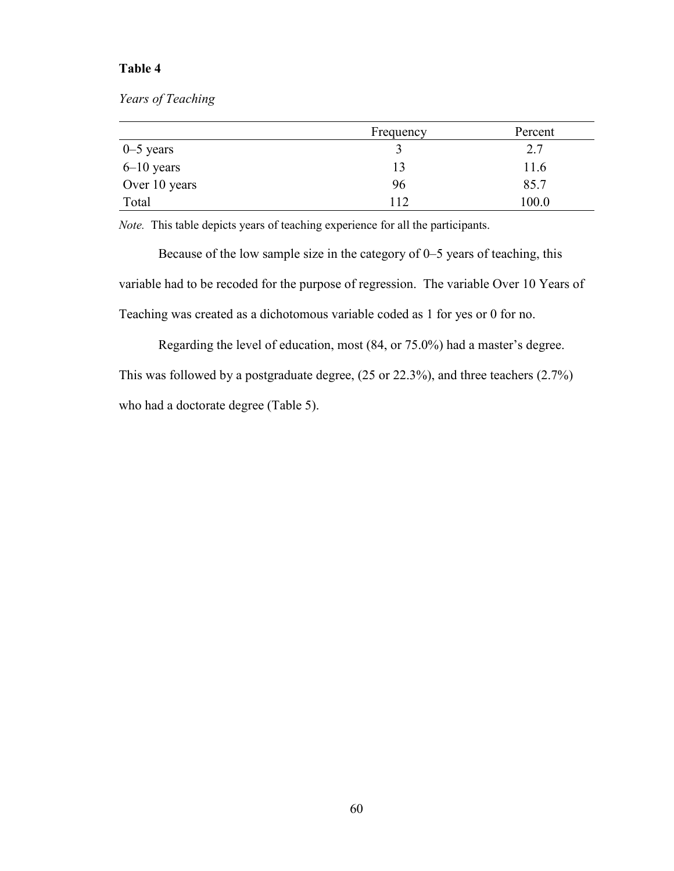# **Table 4**

*Years of Teaching*

|               | Frequency | Percent |
|---------------|-----------|---------|
| $0 - 5$ years |           | 2.7     |
| $6-10$ years  | 13        | 11.6    |
| Over 10 years | 96        | 85.7    |
| Total         | 112       | 100.0   |

*Note.* This table depicts years of teaching experience for all the participants.

 Because of the low sample size in the category of 0–5 years of teaching, this variable had to be recoded for the purpose of regression. The variable Over 10 Years of Teaching was created as a dichotomous variable coded as 1 for yes or 0 for no.

Regarding the level of education, most (84, or 75.0%) had a master's degree.

This was followed by a postgraduate degree, (25 or 22.3%), and three teachers (2.7%) who had a doctorate degree (Table 5).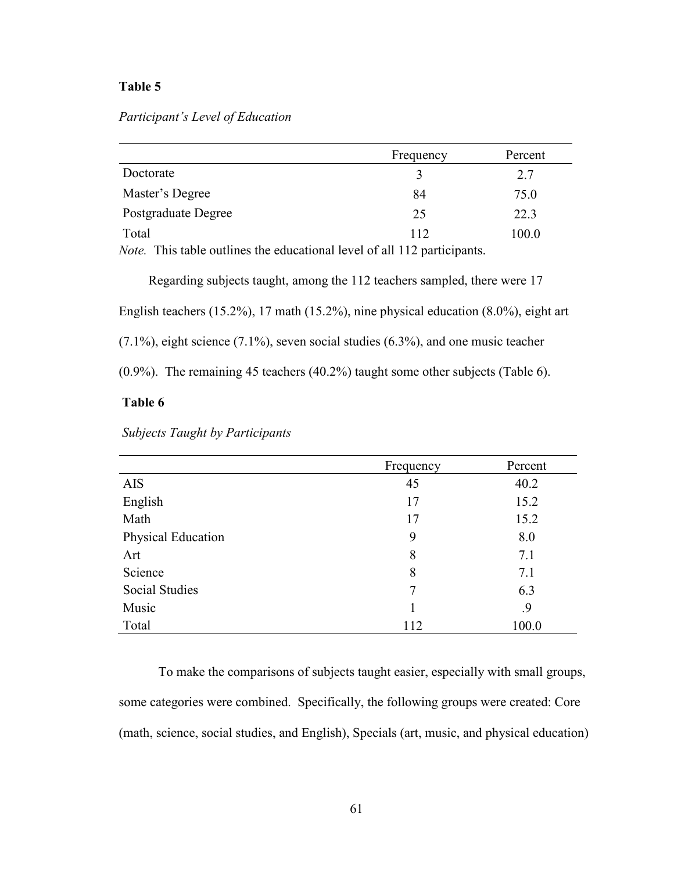## **Table 5**

## *Participant's Level of Education*

|                     | Frequency | Percent |
|---------------------|-----------|---------|
| Doctorate           |           | 2.7     |
| Master's Degree     | 84        | 75.0    |
| Postgraduate Degree | 25        | 22.3    |
| Total               | 112       | 100.0   |

*Note.* This table outlines the educational level of all 112 participants.

Regarding subjects taught, among the 112 teachers sampled, there were 17 English teachers (15.2%), 17 math (15.2%), nine physical education (8.0%), eight art

(7.1%), eight science (7.1%), seven social studies (6.3%), and one music teacher

(0.9%). The remaining 45 teachers (40.2%) taught some other subjects (Table 6).

# **Table 6**

| Subjects Taught by Participants |  |  |
|---------------------------------|--|--|

|                       | Frequency | Percent |
|-----------------------|-----------|---------|
| <b>AIS</b>            | 45        | 40.2    |
| English               | 17        | 15.2    |
| Math                  | 17        | 15.2    |
| Physical Education    | 9         | 8.0     |
| Art                   | 8         | 7.1     |
| Science               | 8         | 7.1     |
| <b>Social Studies</b> | 7         | 6.3     |
| Music                 |           | .9      |
| Total                 | 112       | 100.0   |

To make the comparisons of subjects taught easier, especially with small groups, some categories were combined. Specifically, the following groups were created: Core (math, science, social studies, and English), Specials (art, music, and physical education)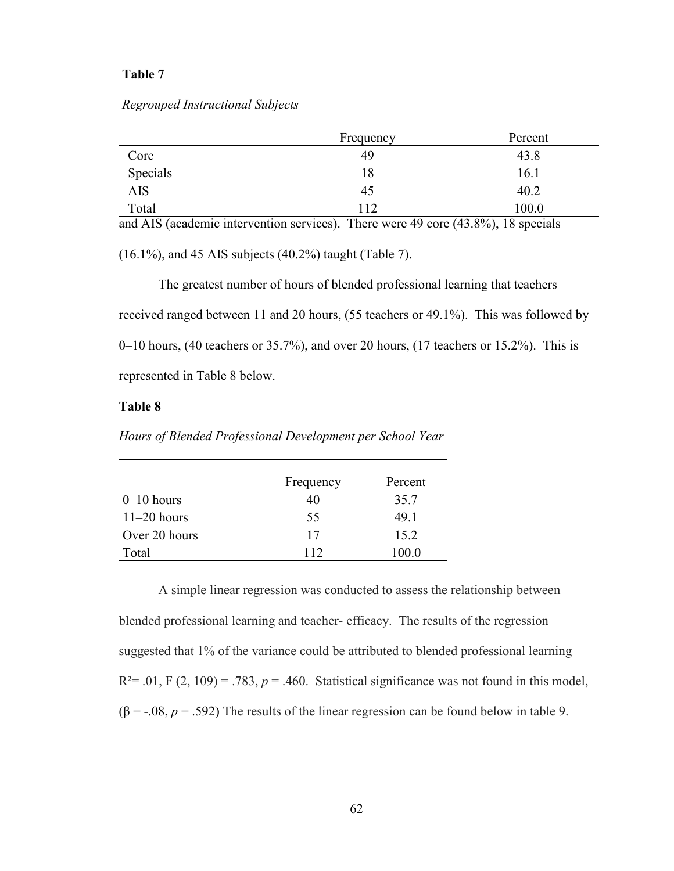#### *Regrouped Instructional Subjects*

|          | Frequency | Percent |
|----------|-----------|---------|
| Core     | 49        | 43.8    |
| Specials | 18        | 16.1    |
| AIS      | 45        | 40.2    |
| Total    | 112       | 100.0   |

and AIS (academic intervention services). There were 49 core (43.8%), 18 specials

(16.1%), and 45 AIS subjects (40.2%) taught (Table 7).

 The greatest number of hours of blended professional learning that teachers received ranged between 11 and 20 hours, (55 teachers or 49.1%). This was followed by  $0-10$  hours, (40 teachers or 35.7%), and over 20 hours, (17 teachers or 15.2%). This is represented in Table 8 below.

## **Table 8**

*Hours of Blended Professional Development per School Year*

|               | Frequency | Percent |
|---------------|-----------|---------|
| $0-10$ hours  | 40        | 35.7    |
| $11-20$ hours | 55        | 49.1    |
| Over 20 hours | 17        | 15.2    |
| Total         | 112       | 100.0   |

A simple linear regression was conducted to assess the relationship between blended professional learning and teacher- efficacy. The results of the regression suggested that 1% of the variance could be attributed to blended professional learning  $R<sup>2</sup>= .01, F (2, 109) = .783, p = .460$ . Statistical significance was not found in this model,  $(\beta = -0.08, p = 0.592)$  The results of the linear regression can be found below in table 9.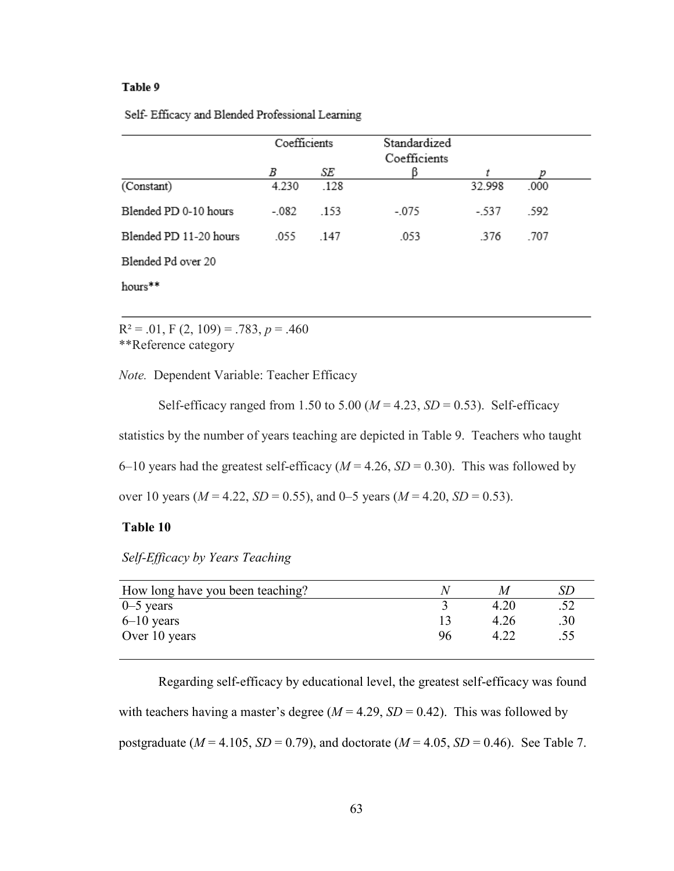|  |  |  | Self- Efficacy and Blended Professional Learning |
|--|--|--|--------------------------------------------------|
|  |  |  |                                                  |

|                        | Coefficients |      | Standardized |        |      |  |
|------------------------|--------------|------|--------------|--------|------|--|
|                        |              |      | Coefficients |        |      |  |
|                        | В            | SE   |              |        |      |  |
| (Constant)             | 4.230        | .128 |              | 32.998 | .000 |  |
| Blended PD 0-10 hours  | $-.082$      | .153 | $-.075$      | - 537  | .592 |  |
| Blended PD 11-20 hours | .055         | .147 | .053         | .376   | .707 |  |
| Blended Pd over 20     |              |      |              |        |      |  |
| hours**                |              |      |              |        |      |  |

 $R^2 = .01$ , F (2, 109) = .783, p = .460 \*\*Reference category

*Note.* Dependent Variable: Teacher Efficacy

Self-efficacy ranged from 1.50 to 5.00 ( $M = 4.23$ ,  $SD = 0.53$ ). Self-efficacy statistics by the number of years teaching are depicted in Table 9. Teachers who taught 6–10 years had the greatest self-efficacy ( $M = 4.26$ ,  $SD = 0.30$ ). This was followed by over 10 years ( $M = 4.22$ ,  $SD = 0.55$ ), and 0–5 years ( $M = 4.20$ ,  $SD = 0.53$ ).

## **Table 10**

*Self-Efficacy by Years Teaching* 

| How long have you been teaching? |    | M    |     |
|----------------------------------|----|------|-----|
| $0 - 5$ years                    |    | 4.20 |     |
| $6-10$ years                     |    | 4.26 | .30 |
| Over 10 years                    | 96 |      | .55 |
|                                  |    |      |     |

Regarding self-efficacy by educational level, the greatest self-efficacy was found with teachers having a master's degree ( $M = 4.29$ ,  $SD = 0.42$ ). This was followed by postgraduate ( $M = 4.105$ ,  $SD = 0.79$ ), and doctorate ( $M = 4.05$ ,  $SD = 0.46$ ). See Table 7.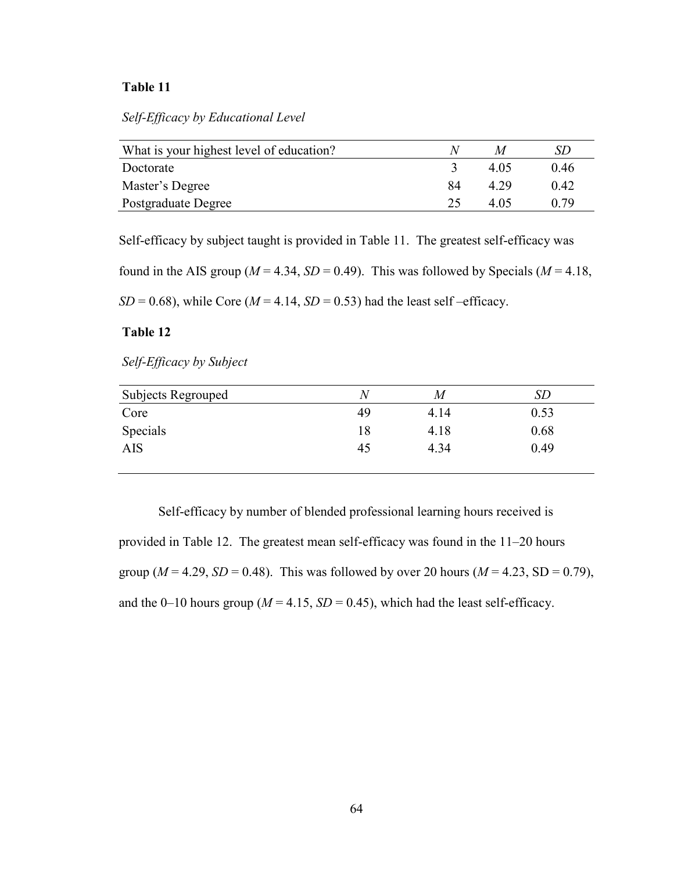*Self-Efficacy by Educational Level* 

| What is your highest level of education? | Λı |      | SD   |
|------------------------------------------|----|------|------|
| Doctorate                                |    | 4.05 | 0.46 |
| Master's Degree                          | 84 | 4.29 | 0.42 |
| Postgraduate Degree                      | 25 | 4 05 | በ 79 |

Self-efficacy by subject taught is provided in Table 11. The greatest self-efficacy was

found in the AIS group ( $M = 4.34$ ,  $SD = 0.49$ ). This was followed by Specials ( $M = 4.18$ ,

 $SD = 0.68$ ), while Core ( $M = 4.14$ ,  $SD = 0.53$ ) had the least self-efficacy.

## **Table 12**

*Self-Efficacy by Subject* 

| Subjects Regrouped | Ν  | M    | <b>SD</b> |
|--------------------|----|------|-----------|
| Core               | 49 | 4.14 | 0.53      |
| Specials           | 18 | 4.18 | 0.68      |
| <b>AIS</b>         | 45 | 4.34 | 0.49      |
|                    |    |      |           |

 Self-efficacy by number of blended professional learning hours received is provided in Table 12. The greatest mean self-efficacy was found in the 11–20 hours group ( $M = 4.29$ ,  $SD = 0.48$ ). This was followed by over 20 hours ( $M = 4.23$ ,  $SD = 0.79$ ), and the 0–10 hours group ( $M = 4.15$ ,  $SD = 0.45$ ), which had the least self-efficacy.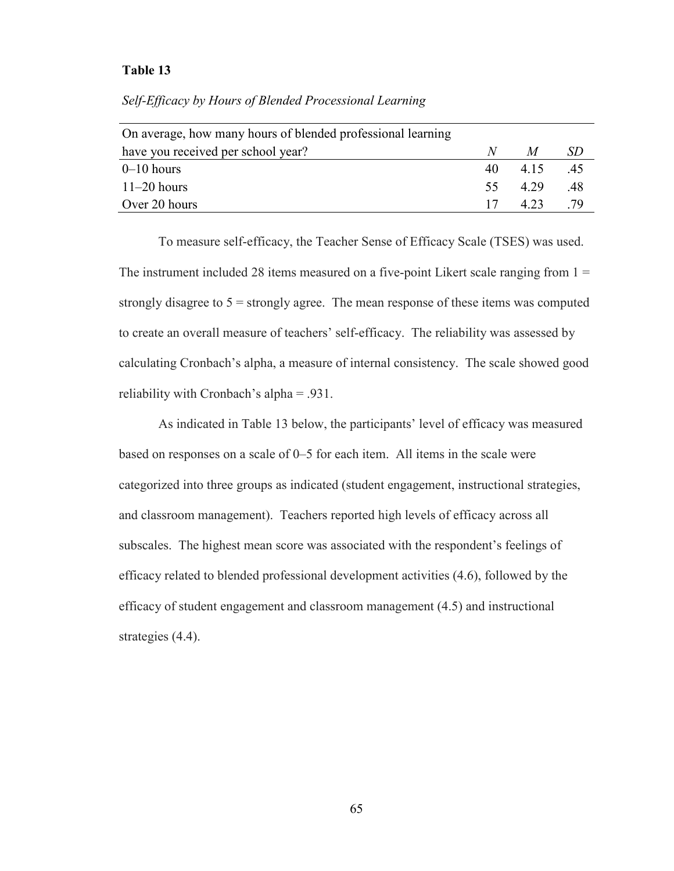| N   | M     | SD. |
|-----|-------|-----|
| 40  | 4 1 5 | .45 |
| 55. | 4.29  | .48 |
| 17  | 4.23  | -79 |
|     |       |     |

#### *Self-Efficacy by Hours of Blended Processional Learning*

To measure self-efficacy, the Teacher Sense of Efficacy Scale (TSES) was used. The instrument included 28 items measured on a five-point Likert scale ranging from  $1 =$ strongly disagree to  $5 =$  strongly agree. The mean response of these items was computed to create an overall measure of teachers' self-efficacy. The reliability was assessed by calculating Cronbach's alpha, a measure of internal consistency. The scale showed good reliability with Cronbach's alpha = .931.

As indicated in Table 13 below, the participants' level of efficacy was measured based on responses on a scale of 0–5 for each item. All items in the scale were categorized into three groups as indicated (student engagement, instructional strategies, and classroom management). Teachers reported high levels of efficacy across all subscales. The highest mean score was associated with the respondent's feelings of efficacy related to blended professional development activities (4.6), followed by the efficacy of student engagement and classroom management (4.5) and instructional strategies  $(4.4)$ .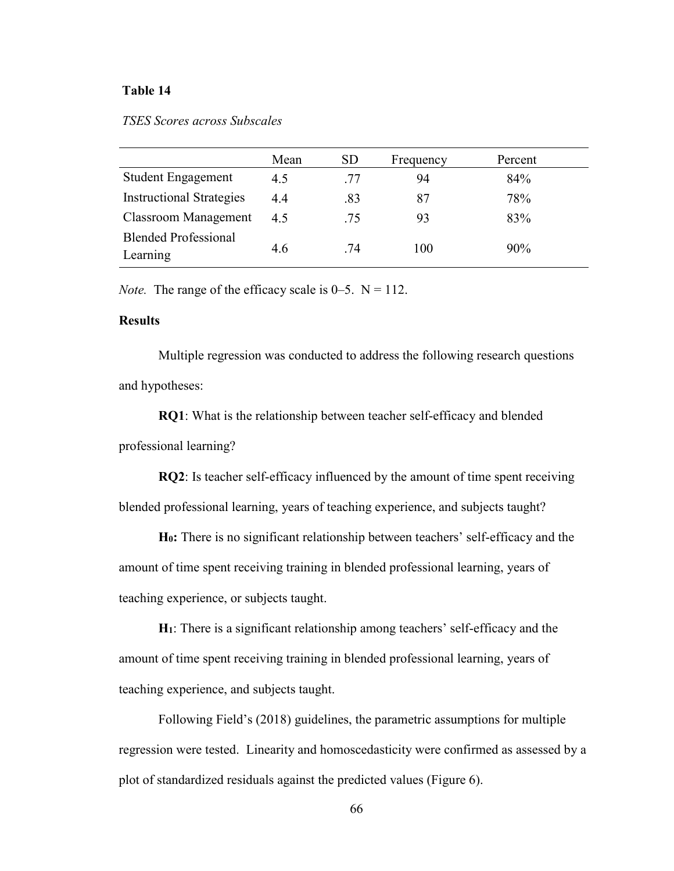## *TSES Scores across Subscales*

|                                         | Mean | <b>SD</b> | Frequency | Percent |
|-----------------------------------------|------|-----------|-----------|---------|
| <b>Student Engagement</b>               | 4.5  | .77       | 94        | 84%     |
| <b>Instructional Strategies</b>         | 4.4  | .83       | 87        | 78%     |
| <b>Classroom Management</b>             | 45   | .75       | 93        | 83%     |
| <b>Blended Professional</b><br>Learning | 4.6  | .74       | 100       | 90%     |

*Note.* The range of the efficacy scale is  $0-5$ .  $N = 112$ .

## **Results**

Multiple regression was conducted to address the following research questions and hypotheses:

**RQ1**: What is the relationship between teacher self-efficacy and blended professional learning?

**RQ2**: Is teacher self-efficacy influenced by the amount of time spent receiving blended professional learning, years of teaching experience, and subjects taught?

**H0:** There is no significant relationship between teachers' self-efficacy and the amount of time spent receiving training in blended professional learning, years of teaching experience, or subjects taught.

**H1**: There is a significant relationship among teachers' self-efficacy and the amount of time spent receiving training in blended professional learning, years of teaching experience, and subjects taught.

Following Field's (2018) guidelines, the parametric assumptions for multiple regression were tested. Linearity and homoscedasticity were confirmed as assessed by a plot of standardized residuals against the predicted values (Figure 6).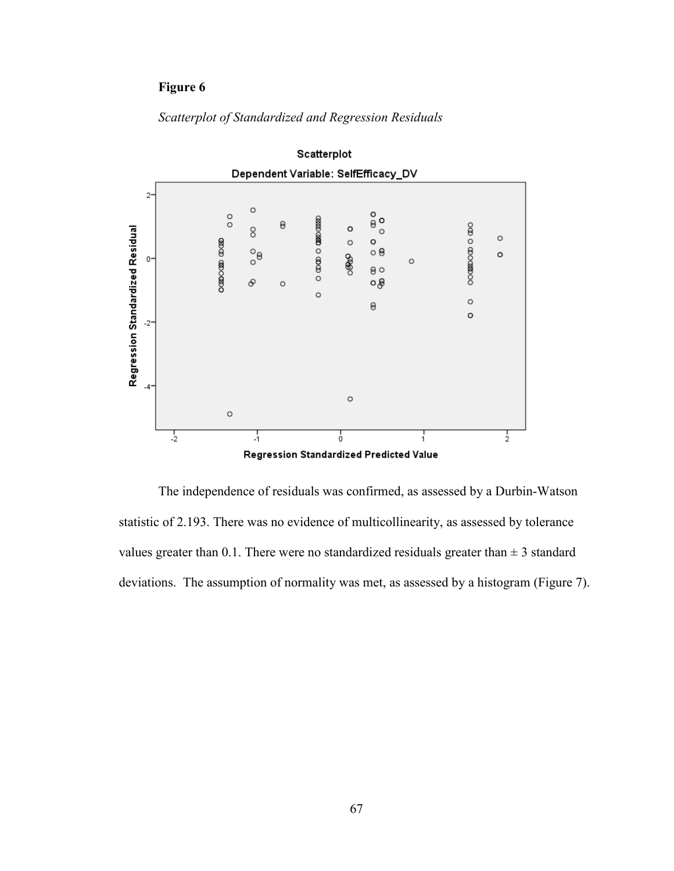## **Figure 6**



*Scatterplot of Standardized and Regression Residuals* 

The independence of residuals was confirmed, as assessed by a Durbin-Watson statistic of 2.193. There was no evidence of multicollinearity, as assessed by tolerance values greater than 0.1. There were no standardized residuals greater than  $\pm$  3 standard deviations. The assumption of normality was met, as assessed by a histogram (Figure 7).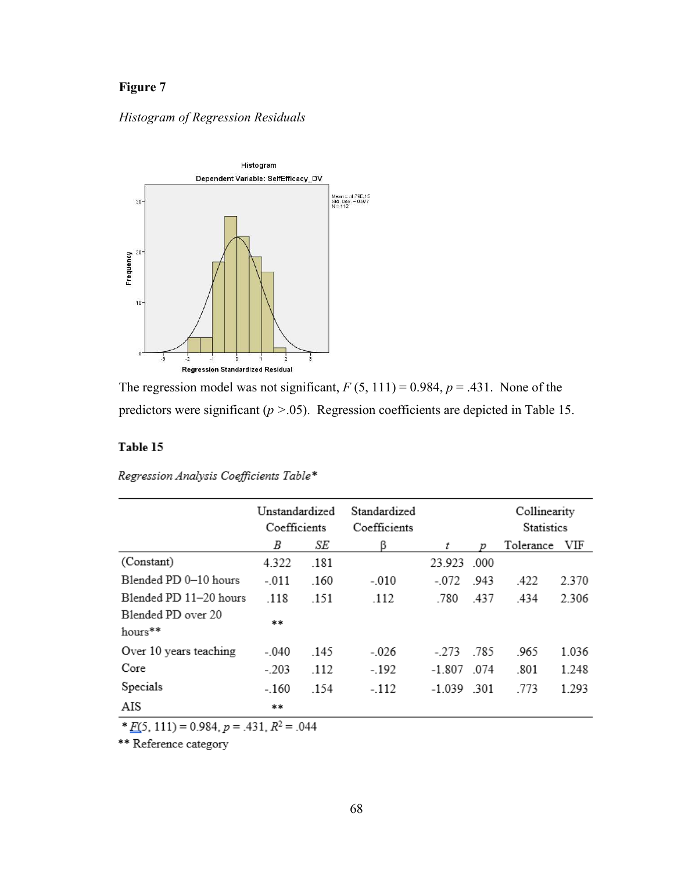# **Figure 7**

## *Histogram of Regression Residuals*



The regression model was not significant,  $F(5, 111) = 0.984$ ,  $p = .431$ . None of the predictors were significant (*p >*.05). Regression coefficients are depicted in Table 15.

## Table 15

Regression Analysis Coefficients Table\*

|                               | Unstandardized<br>Coefficients |      | Standardized<br>Coefficients |              |      | Collinearity<br>Statistics |       |  |
|-------------------------------|--------------------------------|------|------------------------------|--------------|------|----------------------------|-------|--|
|                               | В                              | SE   | ß                            | t            | Ď    | Tolerance                  | VIF   |  |
| (Constant)                    | 4.322                          | .181 |                              | 23.923       | -000 |                            |       |  |
| Blended PD 0-10 hours         | $-.011$                        | .160 | $-.010$                      | $-072$       | -943 | .422                       | 2.370 |  |
| Blended PD 11-20 hours        | .118                           | .151 | .112                         | .780         | .437 | .434                       | 2.306 |  |
| Blended PD over 20<br>hours** | **                             |      |                              |              |      |                            |       |  |
| Over 10 years teaching        | $-.040$                        | .145 | $-.026$                      | $-273$       | .785 | .965                       | 1.036 |  |
| Core                          | $-.203$                        | .112 | $-.192$                      | $-1.807$     | 074  | .801                       | 1.248 |  |
| Specials                      | $-160$                         | .154 | $-112$                       | $-1.039$ 301 |      | .773                       | 1.293 |  |
| AIS                           | **                             |      |                              |              |      |                            |       |  |

 $*E(5, 111) = 0.984, p = .431, R^2 = .044$ 

\*\* Reference category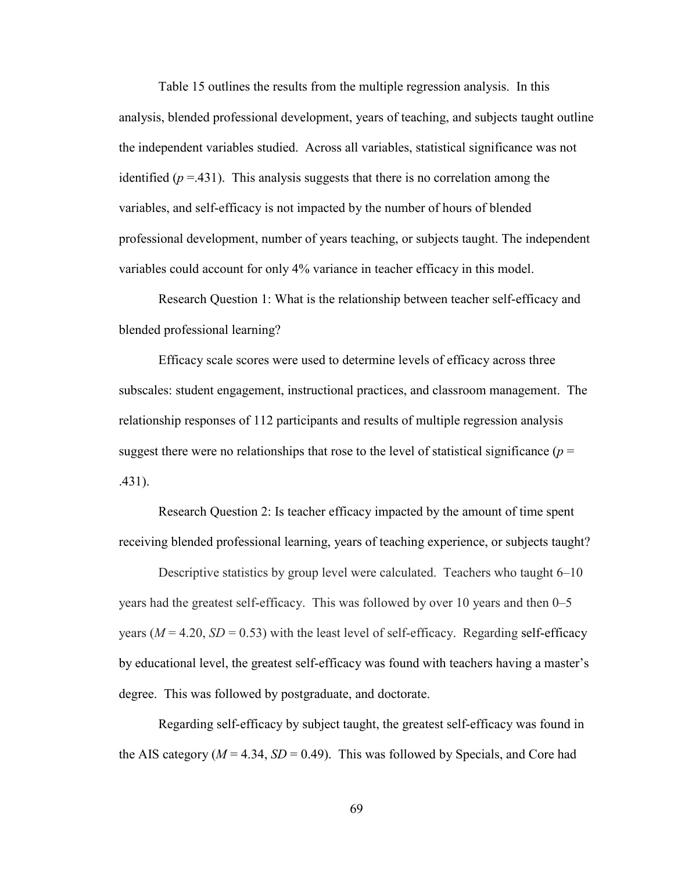Table 15 outlines the results from the multiple regression analysis. In this analysis, blended professional development, years of teaching, and subjects taught outline the independent variables studied. Across all variables, statistical significance was not identified  $(p = .431)$ . This analysis suggests that there is no correlation among the variables, and self-efficacy is not impacted by the number of hours of blended professional development, number of years teaching, or subjects taught. The independent variables could account for only 4% variance in teacher efficacy in this model.

Research Question 1: What is the relationship between teacher self-efficacy and blended professional learning?

Efficacy scale scores were used to determine levels of efficacy across three subscales: student engagement, instructional practices, and classroom management. The relationship responses of 112 participants and results of multiple regression analysis suggest there were no relationships that rose to the level of statistical significance ( $p =$ .431).

Research Question 2: Is teacher efficacy impacted by the amount of time spent receiving blended professional learning, years of teaching experience, or subjects taught?

Descriptive statistics by group level were calculated. Teachers who taught 6–10 years had the greatest self-efficacy. This was followed by over 10 years and then 0–5 years ( $M = 4.20$ ,  $SD = 0.53$ ) with the least level of self-efficacy. Regarding self-efficacy by educational level, the greatest self-efficacy was found with teachers having a master's degree. This was followed by postgraduate, and doctorate.

Regarding self-efficacy by subject taught, the greatest self-efficacy was found in the AIS category ( $M = 4.34$ ,  $SD = 0.49$ ). This was followed by Specials, and Core had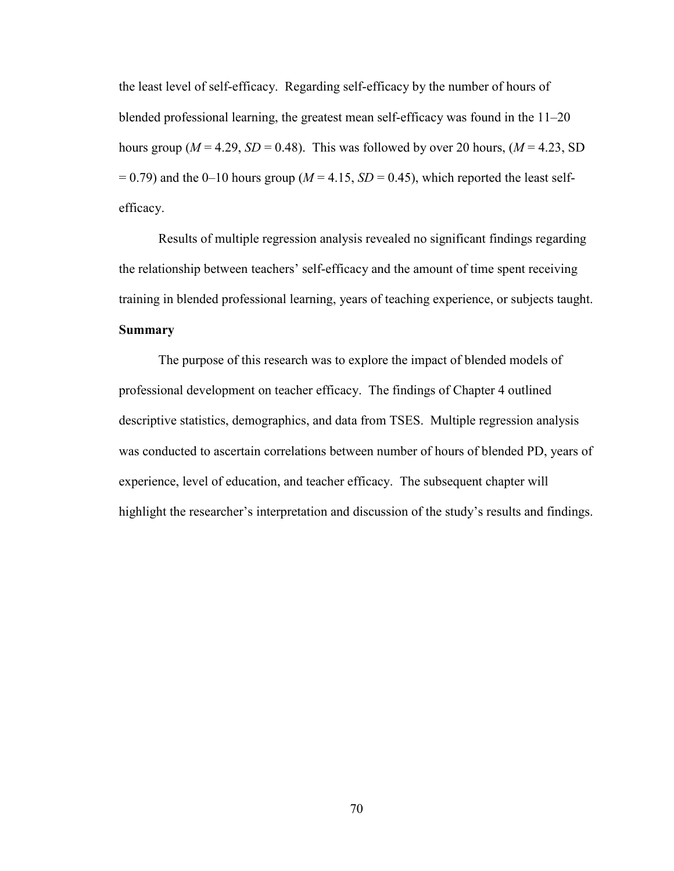the least level of self-efficacy. Regarding self-efficacy by the number of hours of blended professional learning, the greatest mean self-efficacy was found in the 11–20 hours group ( $M = 4.29$ ,  $SD = 0.48$ ). This was followed by over 20 hours, ( $M = 4.23$ , SD  $= 0.79$ ) and the 0–10 hours group ( $M = 4.15$ ,  $SD = 0.45$ ), which reported the least selfefficacy.

Results of multiple regression analysis revealed no significant findings regarding the relationship between teachers' self-efficacy and the amount of time spent receiving training in blended professional learning, years of teaching experience, or subjects taught. **Summary** 

The purpose of this research was to explore the impact of blended models of professional development on teacher efficacy. The findings of Chapter 4 outlined descriptive statistics, demographics, and data from TSES. Multiple regression analysis was conducted to ascertain correlations between number of hours of blended PD, years of experience, level of education, and teacher efficacy. The subsequent chapter will highlight the researcher's interpretation and discussion of the study's results and findings.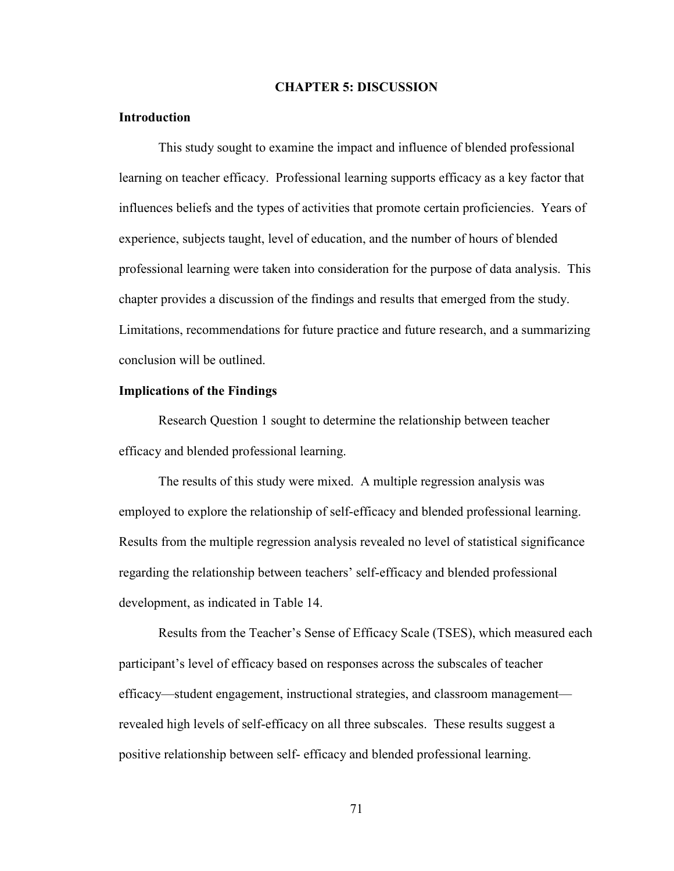#### **CHAPTER 5: DISCUSSION**

#### **Introduction**

This study sought to examine the impact and influence of blended professional learning on teacher efficacy. Professional learning supports efficacy as a key factor that influences beliefs and the types of activities that promote certain proficiencies. Years of experience, subjects taught, level of education, and the number of hours of blended professional learning were taken into consideration for the purpose of data analysis. This chapter provides a discussion of the findings and results that emerged from the study. Limitations, recommendations for future practice and future research, and a summarizing conclusion will be outlined.

#### **Implications of the Findings**

Research Question 1 sought to determine the relationship between teacher efficacy and blended professional learning.

The results of this study were mixed. A multiple regression analysis was employed to explore the relationship of self-efficacy and blended professional learning. Results from the multiple regression analysis revealed no level of statistical significance regarding the relationship between teachers' self-efficacy and blended professional development, as indicated in Table 14.

 Results from the Teacher's Sense of Efficacy Scale (TSES), which measured each participant's level of efficacy based on responses across the subscales of teacher efficacy—student engagement, instructional strategies, and classroom management revealed high levels of self-efficacy on all three subscales. These results suggest a positive relationship between self- efficacy and blended professional learning.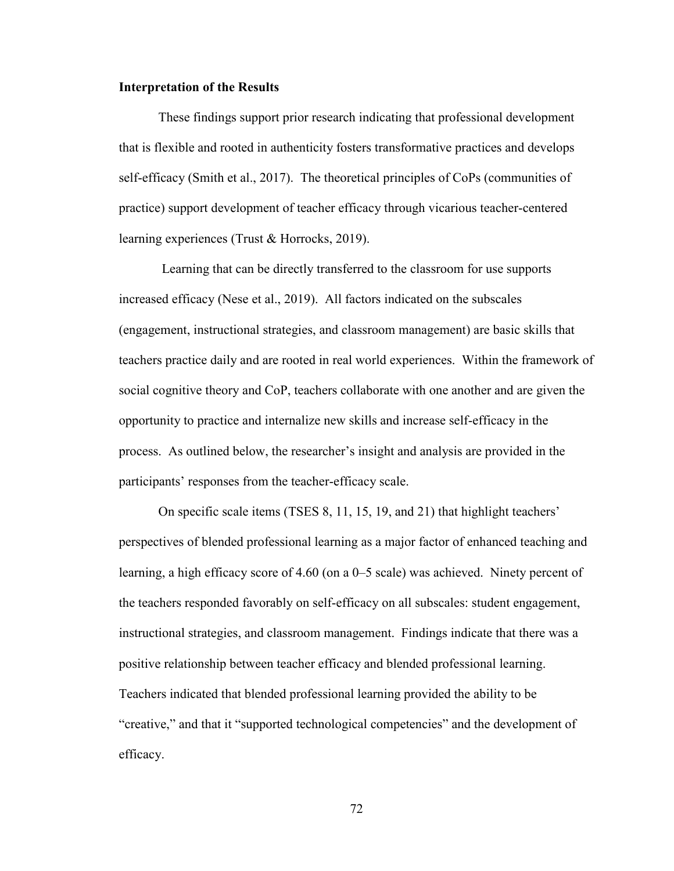#### **Interpretation of the Results**

 These findings support prior research indicating that professional development that is flexible and rooted in authenticity fosters transformative practices and develops self-efficacy (Smith et al., 2017). The theoretical principles of CoPs (communities of practice) support development of teacher efficacy through vicarious teacher-centered learning experiences (Trust & Horrocks, 2019).

 Learning that can be directly transferred to the classroom for use supports increased efficacy (Nese et al., 2019). All factors indicated on the subscales (engagement, instructional strategies, and classroom management) are basic skills that teachers practice daily and are rooted in real world experiences. Within the framework of social cognitive theory and CoP, teachers collaborate with one another and are given the opportunity to practice and internalize new skills and increase self-efficacy in the process. As outlined below, the researcher's insight and analysis are provided in the participants' responses from the teacher-efficacy scale.

On specific scale items (TSES 8, 11, 15, 19, and 21) that highlight teachers' perspectives of blended professional learning as a major factor of enhanced teaching and learning, a high efficacy score of 4.60 (on a 0–5 scale) was achieved. Ninety percent of the teachers responded favorably on self-efficacy on all subscales: student engagement, instructional strategies, and classroom management. Findings indicate that there was a positive relationship between teacher efficacy and blended professional learning. Teachers indicated that blended professional learning provided the ability to be "creative," and that it "supported technological competencies" and the development of efficacy.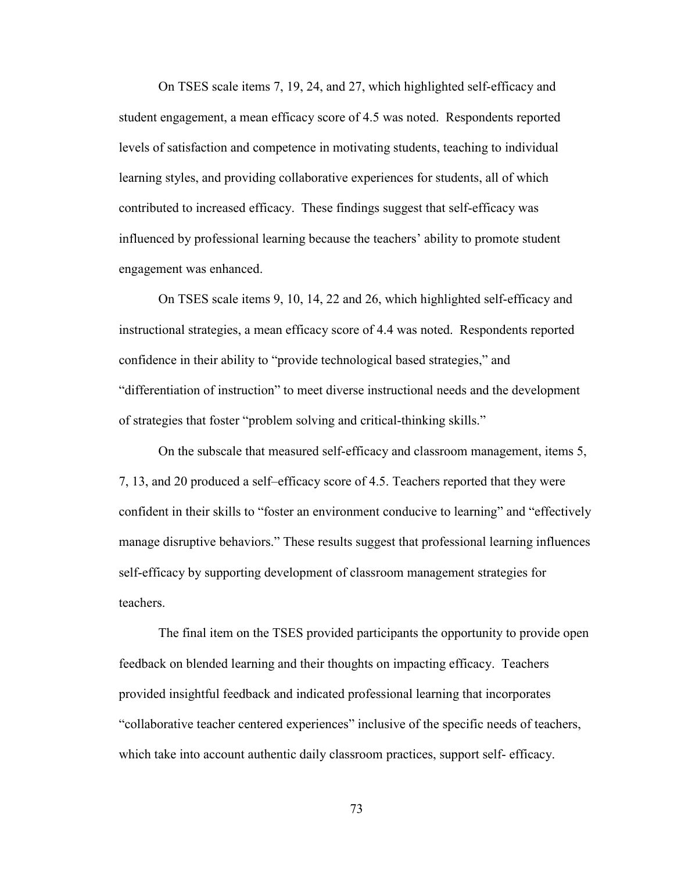On TSES scale items 7, 19, 24, and 27, which highlighted self-efficacy and student engagement, a mean efficacy score of 4.5 was noted. Respondents reported levels of satisfaction and competence in motivating students, teaching to individual learning styles, and providing collaborative experiences for students, all of which contributed to increased efficacy. These findings suggest that self-efficacy was influenced by professional learning because the teachers' ability to promote student engagement was enhanced.

On TSES scale items 9, 10, 14, 22 and 26, which highlighted self-efficacy and instructional strategies, a mean efficacy score of 4.4 was noted. Respondents reported confidence in their ability to "provide technological based strategies," and "differentiation of instruction" to meet diverse instructional needs and the development of strategies that foster "problem solving and critical-thinking skills."

On the subscale that measured self-efficacy and classroom management, items 5, 7, 13, and 20 produced a self–efficacy score of 4.5. Teachers reported that they were confident in their skills to "foster an environment conducive to learning" and "effectively manage disruptive behaviors." These results suggest that professional learning influences self-efficacy by supporting development of classroom management strategies for teachers.

The final item on the TSES provided participants the opportunity to provide open feedback on blended learning and their thoughts on impacting efficacy. Teachers provided insightful feedback and indicated professional learning that incorporates "collaborative teacher centered experiences" inclusive of the specific needs of teachers, which take into account authentic daily classroom practices, support self- efficacy.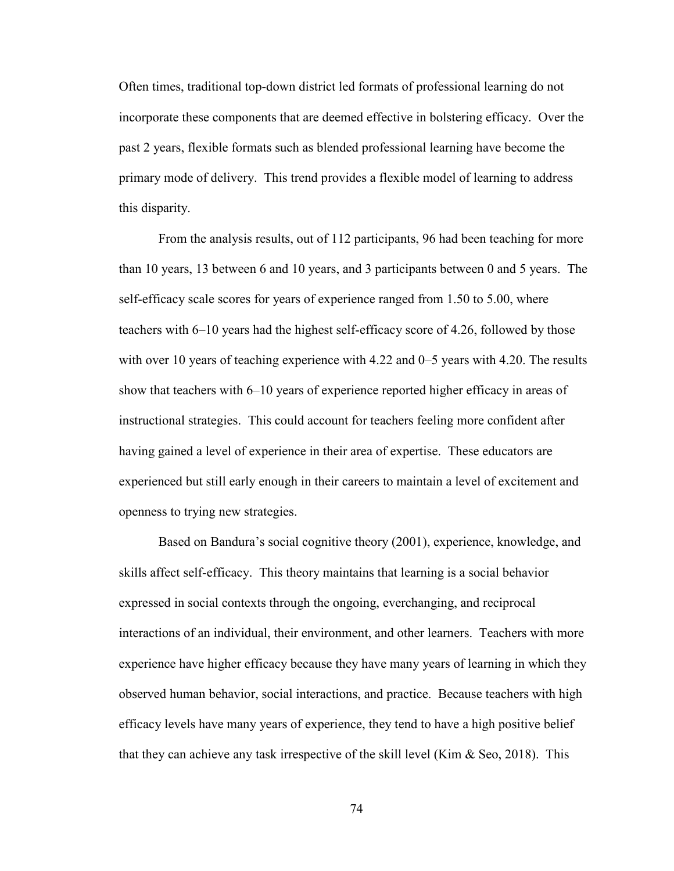Often times, traditional top-down district led formats of professional learning do not incorporate these components that are deemed effective in bolstering efficacy. Over the past 2 years, flexible formats such as blended professional learning have become the primary mode of delivery. This trend provides a flexible model of learning to address this disparity.

From the analysis results, out of 112 participants, 96 had been teaching for more than 10 years, 13 between 6 and 10 years, and 3 participants between 0 and 5 years. The self-efficacy scale scores for years of experience ranged from 1.50 to 5.00, where teachers with 6–10 years had the highest self-efficacy score of 4.26, followed by those with over 10 years of teaching experience with 4.22 and 0–5 years with 4.20. The results show that teachers with 6–10 years of experience reported higher efficacy in areas of instructional strategies. This could account for teachers feeling more confident after having gained a level of experience in their area of expertise. These educators are experienced but still early enough in their careers to maintain a level of excitement and openness to trying new strategies.

Based on Bandura's social cognitive theory (2001), experience, knowledge, and skills affect self-efficacy. This theory maintains that learning is a social behavior expressed in social contexts through the ongoing, everchanging, and reciprocal interactions of an individual, their environment, and other learners. Teachers with more experience have higher efficacy because they have many years of learning in which they observed human behavior, social interactions, and practice. Because teachers with high efficacy levels have many years of experience, they tend to have a high positive belief that they can achieve any task irrespective of the skill level (Kim  $\&$  Seo, 2018). This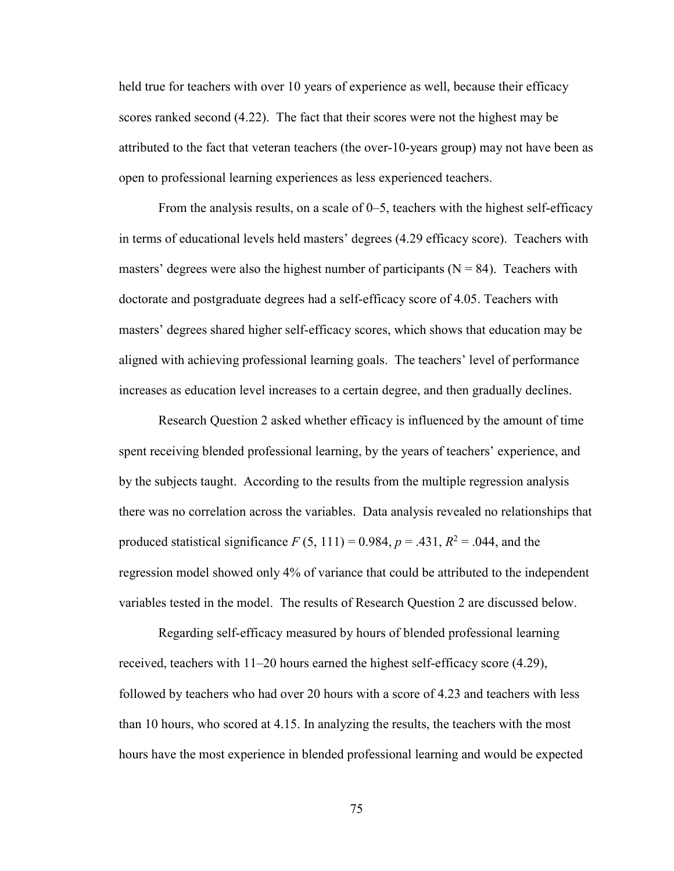held true for teachers with over 10 years of experience as well, because their efficacy scores ranked second (4.22). The fact that their scores were not the highest may be attributed to the fact that veteran teachers (the over-10-years group) may not have been as open to professional learning experiences as less experienced teachers.

From the analysis results, on a scale of 0–5, teachers with the highest self-efficacy in terms of educational levels held masters' degrees (4.29 efficacy score). Teachers with masters' degrees were also the highest number of participants ( $N = 84$ ). Teachers with doctorate and postgraduate degrees had a self-efficacy score of 4.05. Teachers with masters' degrees shared higher self-efficacy scores, which shows that education may be aligned with achieving professional learning goals. The teachers' level of performance increases as education level increases to a certain degree, and then gradually declines.

Research Question 2 asked whether efficacy is influenced by the amount of time spent receiving blended professional learning, by the years of teachers' experience, and by the subjects taught. According to the results from the multiple regression analysis there was no correlation across the variables. Data analysis revealed no relationships that produced statistical significance  $F(5, 111) = 0.984$ ,  $p = .431$ ,  $R^2 = .044$ , and the regression model showed only 4% of variance that could be attributed to the independent variables tested in the model. The results of Research Question 2 are discussed below.

Regarding self-efficacy measured by hours of blended professional learning received, teachers with 11–20 hours earned the highest self-efficacy score (4.29), followed by teachers who had over 20 hours with a score of 4.23 and teachers with less than 10 hours, who scored at 4.15. In analyzing the results, the teachers with the most hours have the most experience in blended professional learning and would be expected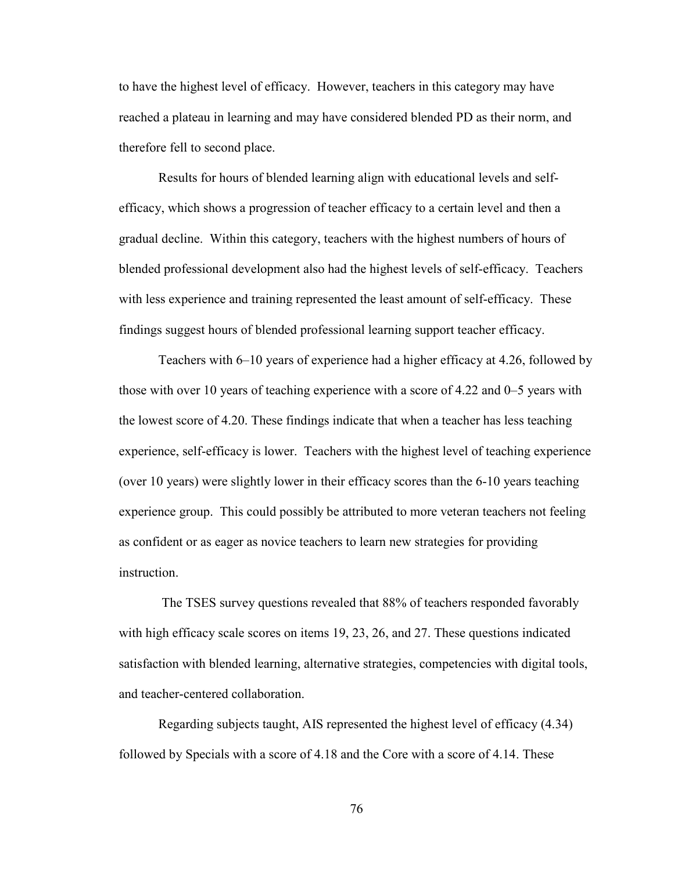to have the highest level of efficacy. However, teachers in this category may have reached a plateau in learning and may have considered blended PD as their norm, and therefore fell to second place.

Results for hours of blended learning align with educational levels and selfefficacy, which shows a progression of teacher efficacy to a certain level and then a gradual decline. Within this category, teachers with the highest numbers of hours of blended professional development also had the highest levels of self-efficacy. Teachers with less experience and training represented the least amount of self-efficacy. These findings suggest hours of blended professional learning support teacher efficacy.

Teachers with 6–10 years of experience had a higher efficacy at 4.26, followed by those with over 10 years of teaching experience with a score of 4.22 and 0–5 years with the lowest score of 4.20. These findings indicate that when a teacher has less teaching experience, self-efficacy is lower. Teachers with the highest level of teaching experience (over 10 years) were slightly lower in their efficacy scores than the 6-10 years teaching experience group. This could possibly be attributed to more veteran teachers not feeling as confident or as eager as novice teachers to learn new strategies for providing instruction.

 The TSES survey questions revealed that 88% of teachers responded favorably with high efficacy scale scores on items 19, 23, 26, and 27. These questions indicated satisfaction with blended learning, alternative strategies, competencies with digital tools, and teacher-centered collaboration.

 Regarding subjects taught, AIS represented the highest level of efficacy (4.34) followed by Specials with a score of 4.18 and the Core with a score of 4.14. These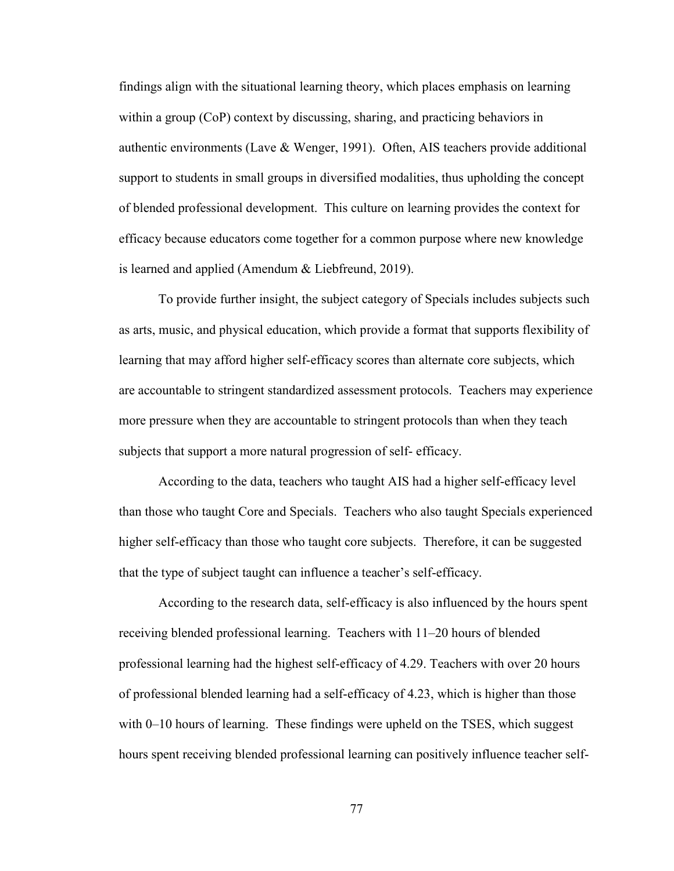findings align with the situational learning theory, which places emphasis on learning within a group (CoP) context by discussing, sharing, and practicing behaviors in authentic environments (Lave & Wenger, 1991). Often, AIS teachers provide additional support to students in small groups in diversified modalities, thus upholding the concept of blended professional development. This culture on learning provides the context for efficacy because educators come together for a common purpose where new knowledge is learned and applied (Amendum & Liebfreund, 2019).

 To provide further insight, the subject category of Specials includes subjects such as arts, music, and physical education, which provide a format that supports flexibility of learning that may afford higher self-efficacy scores than alternate core subjects, which are accountable to stringent standardized assessment protocols. Teachers may experience more pressure when they are accountable to stringent protocols than when they teach subjects that support a more natural progression of self- efficacy.

According to the data, teachers who taught AIS had a higher self-efficacy level than those who taught Core and Specials. Teachers who also taught Specials experienced higher self-efficacy than those who taught core subjects. Therefore, it can be suggested that the type of subject taught can influence a teacher's self-efficacy.

According to the research data, self-efficacy is also influenced by the hours spent receiving blended professional learning. Teachers with 11–20 hours of blended professional learning had the highest self-efficacy of 4.29. Teachers with over 20 hours of professional blended learning had a self-efficacy of 4.23, which is higher than those with 0–10 hours of learning. These findings were upheld on the TSES, which suggest hours spent receiving blended professional learning can positively influence teacher self-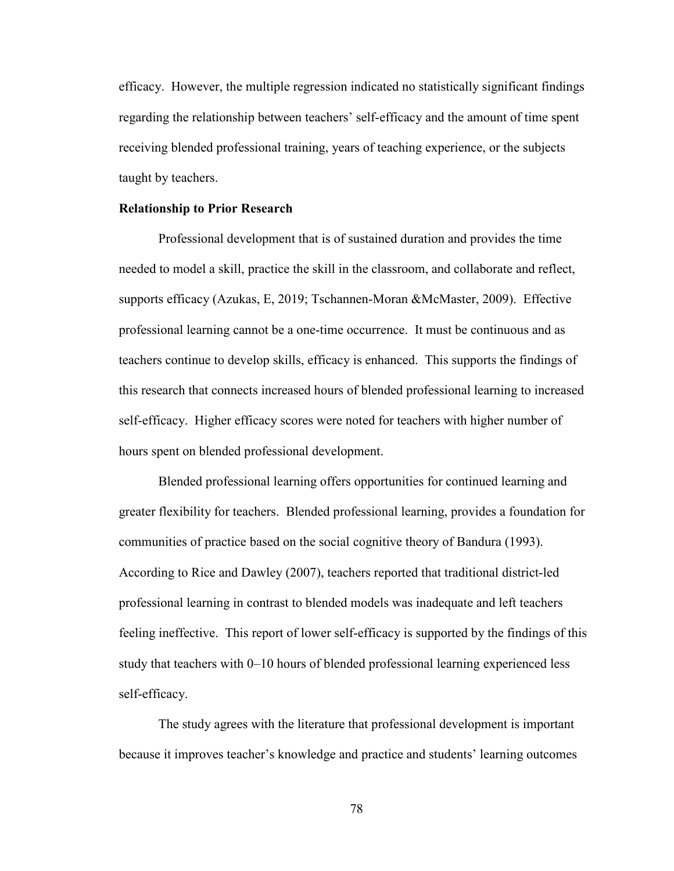efficacy. However, the multiple regression indicated no statistically significant findings regarding the relationship between teachers' self-efficacy and the amount of time spent receiving blended professional training, years of teaching experience, or the subjects taught by teachers.

#### **Relationship to Prior Research**

Professional development that is of sustained duration and provides the time needed to model a skill, practice the skill in the classroom, and collaborate and reflect, supports efficacy (Azukas, E, 2019; Tschannen-Moran &McMaster, 2009). Effective professional learning cannot be a one-time occurrence. It must be continuous and as teachers continue to develop skills, efficacy is enhanced. This supports the findings of this research that connects increased hours of blended professional learning to increased self-efficacy. Higher efficacy scores were noted for teachers with higher number of hours spent on blended professional development.

Blended professional learning offers opportunities for continued learning and greater flexibility for teachers. Blended professional learning, provides a foundation for communities of practice based on the social cognitive theory of Bandura (1993). According to Rice and Dawley (2007), teachers reported that traditional district-led professional learning in contrast to blended models was inadequate and left teachers feeling ineffective. This report of lower self-efficacy is supported by the findings of this study that teachers with 0–10 hours of blended professional learning experienced less self-efficacy.

The study agrees with the literature that professional development is important because it improves teacher's knowledge and practice and students' learning outcomes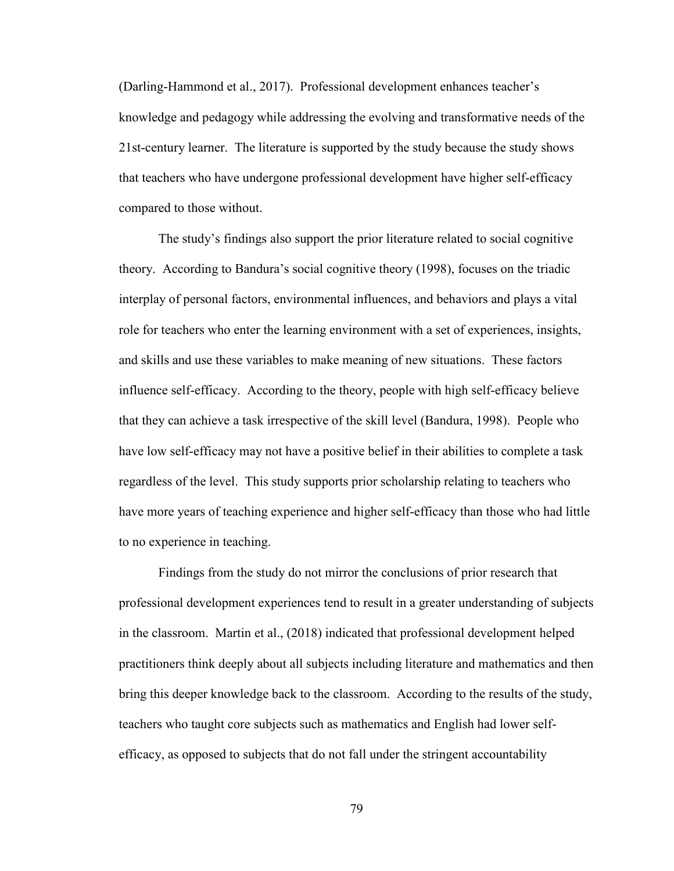(Darling-Hammond et al., 2017). Professional development enhances teacher's knowledge and pedagogy while addressing the evolving and transformative needs of the 21st-century learner. The literature is supported by the study because the study shows that teachers who have undergone professional development have higher self-efficacy compared to those without.

The study's findings also support the prior literature related to social cognitive theory. According to Bandura's social cognitive theory (1998), focuses on the triadic interplay of personal factors, environmental influences, and behaviors and plays a vital role for teachers who enter the learning environment with a set of experiences, insights, and skills and use these variables to make meaning of new situations. These factors influence self-efficacy. According to the theory, people with high self-efficacy believe that they can achieve a task irrespective of the skill level (Bandura, 1998). People who have low self-efficacy may not have a positive belief in their abilities to complete a task regardless of the level. This study supports prior scholarship relating to teachers who have more years of teaching experience and higher self-efficacy than those who had little to no experience in teaching.

Findings from the study do not mirror the conclusions of prior research that professional development experiences tend to result in a greater understanding of subjects in the classroom. Martin et al., (2018) indicated that professional development helped practitioners think deeply about all subjects including literature and mathematics and then bring this deeper knowledge back to the classroom. According to the results of the study, teachers who taught core subjects such as mathematics and English had lower selfefficacy, as opposed to subjects that do not fall under the stringent accountability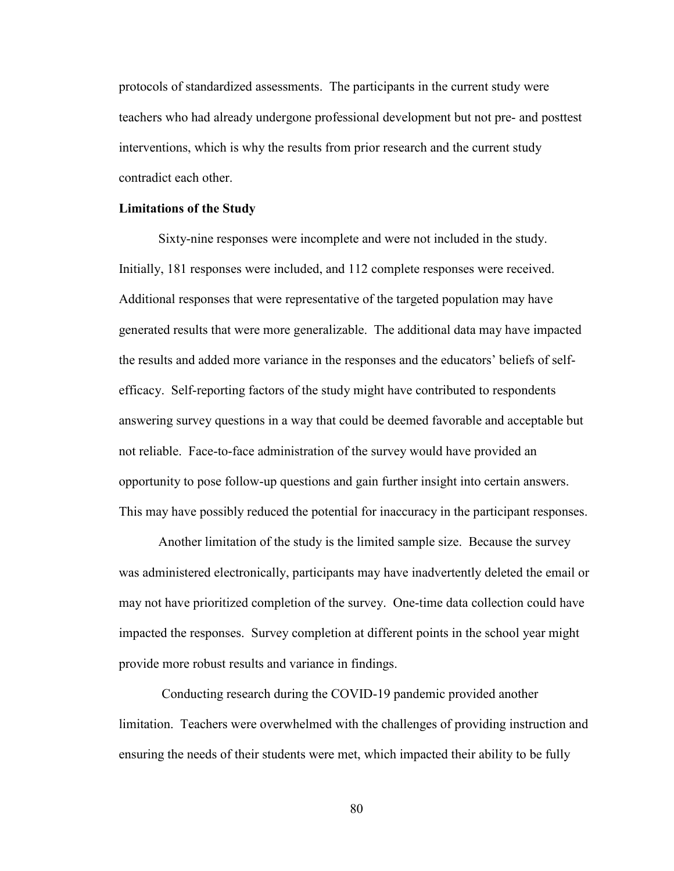protocols of standardized assessments. The participants in the current study were teachers who had already undergone professional development but not pre- and posttest interventions, which is why the results from prior research and the current study contradict each other.

#### **Limitations of the Study**

 Sixty-nine responses were incomplete and were not included in the study. Initially, 181 responses were included, and 112 complete responses were received. Additional responses that were representative of the targeted population may have generated results that were more generalizable. The additional data may have impacted the results and added more variance in the responses and the educators' beliefs of selfefficacy. Self-reporting factors of the study might have contributed to respondents answering survey questions in a way that could be deemed favorable and acceptable but not reliable. Face-to-face administration of the survey would have provided an opportunity to pose follow-up questions and gain further insight into certain answers. This may have possibly reduced the potential for inaccuracy in the participant responses.

 Another limitation of the study is the limited sample size. Because the survey was administered electronically, participants may have inadvertently deleted the email or may not have prioritized completion of the survey. One-time data collection could have impacted the responses. Survey completion at different points in the school year might provide more robust results and variance in findings.

 Conducting research during the COVID-19 pandemic provided another limitation. Teachers were overwhelmed with the challenges of providing instruction and ensuring the needs of their students were met, which impacted their ability to be fully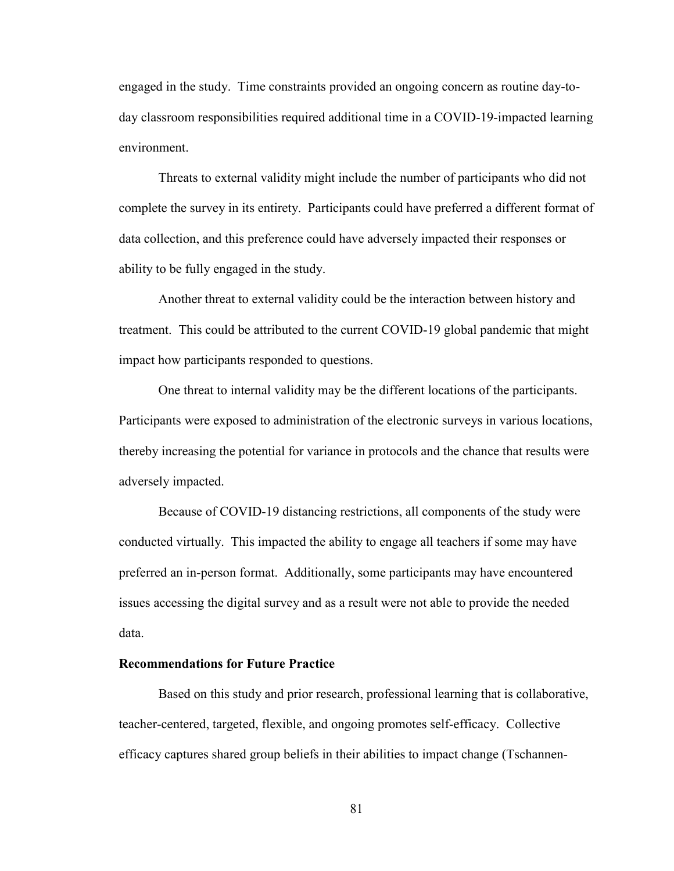engaged in the study. Time constraints provided an ongoing concern as routine day-today classroom responsibilities required additional time in a COVID-19-impacted learning environment.

 Threats to external validity might include the number of participants who did not complete the survey in its entirety. Participants could have preferred a different format of data collection, and this preference could have adversely impacted their responses or ability to be fully engaged in the study.

 Another threat to external validity could be the interaction between history and treatment. This could be attributed to the current COVID-19 global pandemic that might impact how participants responded to questions.

 One threat to internal validity may be the different locations of the participants. Participants were exposed to administration of the electronic surveys in various locations, thereby increasing the potential for variance in protocols and the chance that results were adversely impacted.

 Because of COVID-19 distancing restrictions, all components of the study were conducted virtually. This impacted the ability to engage all teachers if some may have preferred an in-person format. Additionally, some participants may have encountered issues accessing the digital survey and as a result were not able to provide the needed data.

#### **Recommendations for Future Practice**

Based on this study and prior research, professional learning that is collaborative, teacher-centered, targeted, flexible, and ongoing promotes self-efficacy. Collective efficacy captures shared group beliefs in their abilities to impact change (Tschannen-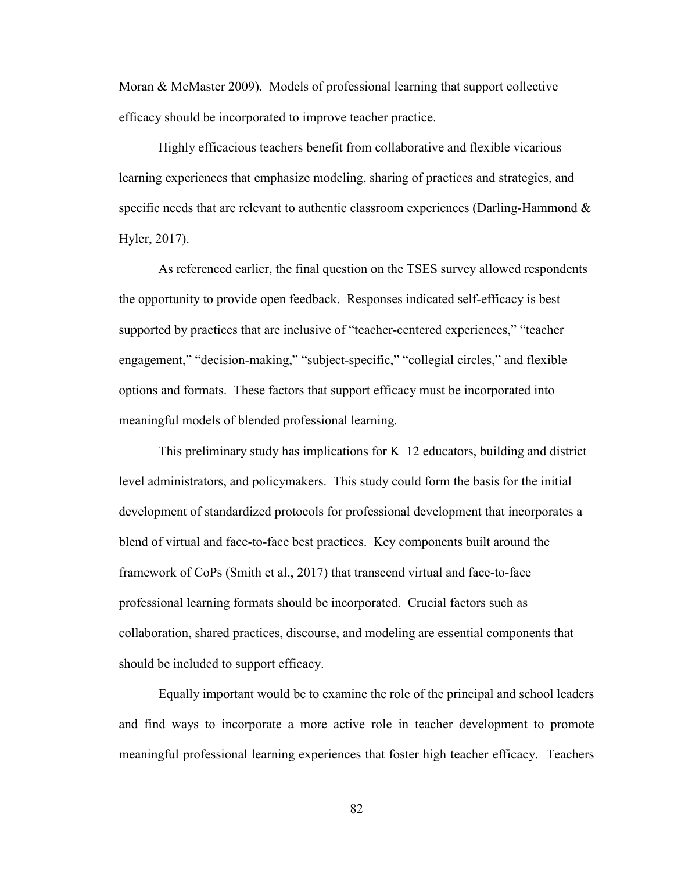Moran & McMaster 2009). Models of professional learning that support collective efficacy should be incorporated to improve teacher practice.

 Highly efficacious teachers benefit from collaborative and flexible vicarious learning experiences that emphasize modeling, sharing of practices and strategies, and specific needs that are relevant to authentic classroom experiences (Darling-Hammond  $\&$ Hyler, 2017).

 As referenced earlier, the final question on the TSES survey allowed respondents the opportunity to provide open feedback. Responses indicated self-efficacy is best supported by practices that are inclusive of "teacher-centered experiences," "teacher engagement," "decision-making," "subject-specific," "collegial circles," and flexible options and formats. These factors that support efficacy must be incorporated into meaningful models of blended professional learning.

 This preliminary study has implications for K–12 educators, building and district level administrators, and policymakers. This study could form the basis for the initial development of standardized protocols for professional development that incorporates a blend of virtual and face-to-face best practices. Key components built around the framework of CoPs (Smith et al., 2017) that transcend virtual and face-to-face professional learning formats should be incorporated. Crucial factors such as collaboration, shared practices, discourse, and modeling are essential components that should be included to support efficacy.

 Equally important would be to examine the role of the principal and school leaders and find ways to incorporate a more active role in teacher development to promote meaningful professional learning experiences that foster high teacher efficacy. Teachers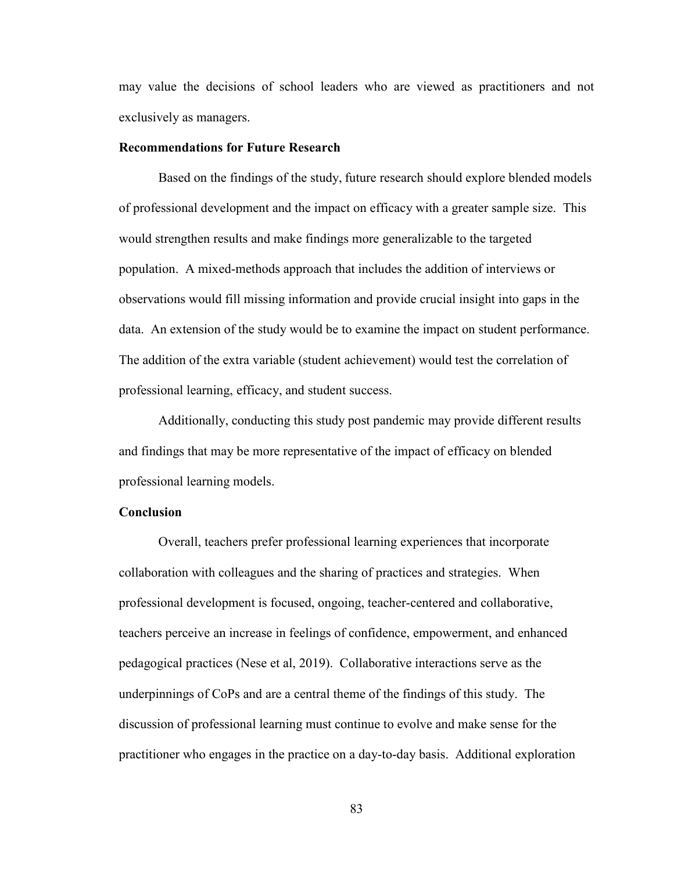may value the decisions of school leaders who are viewed as practitioners and not exclusively as managers.

#### **Recommendations for Future Research**

Based on the findings of the study, future research should explore blended models of professional development and the impact on efficacy with a greater sample size. This would strengthen results and make findings more generalizable to the targeted population. A mixed-methods approach that includes the addition of interviews or observations would fill missing information and provide crucial insight into gaps in the data. An extension of the study would be to examine the impact on student performance. The addition of the extra variable (student achievement) would test the correlation of professional learning, efficacy, and student success.

 Additionally, conducting this study post pandemic may provide different results and findings that may be more representative of the impact of efficacy on blended professional learning models.

### **Conclusion**

 Overall, teachers prefer professional learning experiences that incorporate collaboration with colleagues and the sharing of practices and strategies. When professional development is focused, ongoing, teacher-centered and collaborative, teachers perceive an increase in feelings of confidence, empowerment, and enhanced pedagogical practices (Nese et al, 2019). Collaborative interactions serve as the underpinnings of CoPs and are a central theme of the findings of this study. The discussion of professional learning must continue to evolve and make sense for the practitioner who engages in the practice on a day-to-day basis. Additional exploration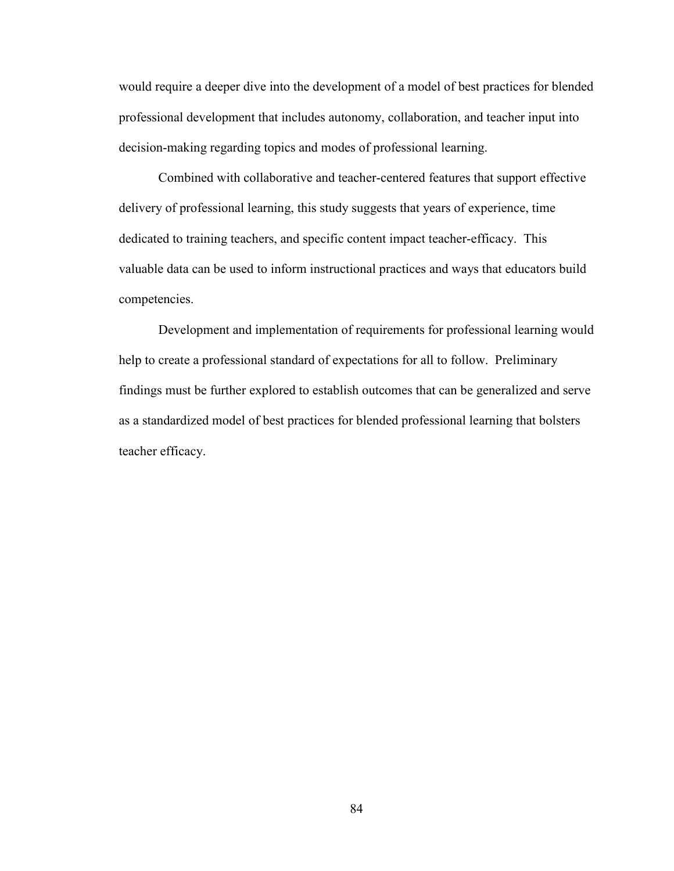would require a deeper dive into the development of a model of best practices for blended professional development that includes autonomy, collaboration, and teacher input into decision-making regarding topics and modes of professional learning.

 Combined with collaborative and teacher-centered features that support effective delivery of professional learning, this study suggests that years of experience, time dedicated to training teachers, and specific content impact teacher-efficacy. This valuable data can be used to inform instructional practices and ways that educators build competencies.

 Development and implementation of requirements for professional learning would help to create a professional standard of expectations for all to follow. Preliminary findings must be further explored to establish outcomes that can be generalized and serve as a standardized model of best practices for blended professional learning that bolsters teacher efficacy.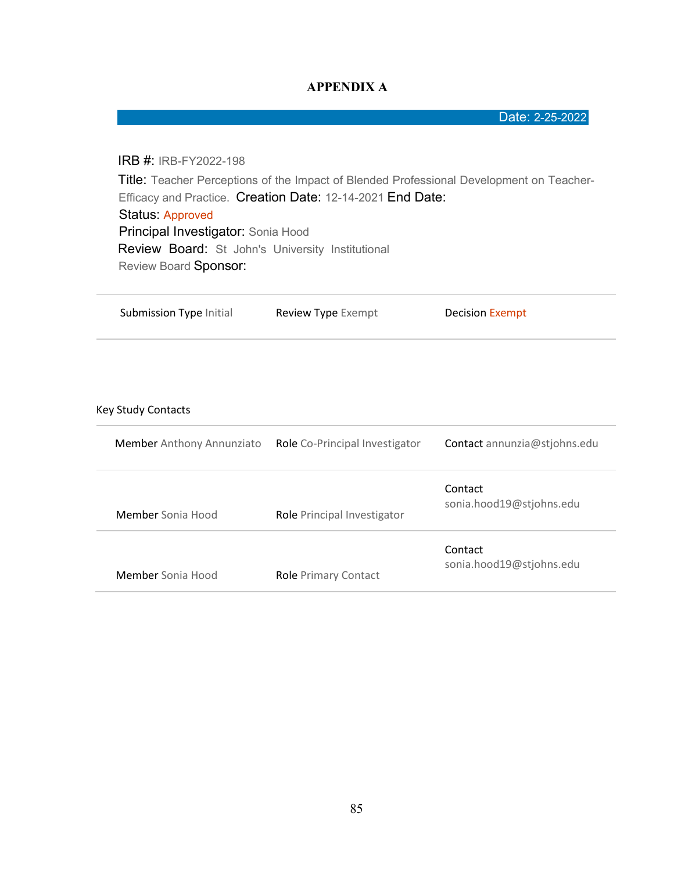## **APPENDIX A**

Date: 2-25-2022

IRB #: IRB-FY2022-198 Title: Teacher Perceptions of the Impact of Blended Professional Development on Teacher-Efficacy and Practice. Creation Date: 12-14-2021 End Date: Status: Approved Principal Investigator: Sonia Hood Review Board: St John's University Institutional Review Board Sponsor:

| Submission Type Initial          | Review Type Exempt             | <b>Decision Exempt</b>              |
|----------------------------------|--------------------------------|-------------------------------------|
|                                  |                                |                                     |
| <b>Key Study Contacts</b>        |                                |                                     |
| <b>Member</b> Anthony Annunziato | Role Co-Principal Investigator | Contact annunzia@stjohns.edu        |
| Member Sonia Hood                | Role Principal Investigator    | Contact<br>sonia.hood19@stjohns.edu |
| Member Sonia Hood                | <b>Role Primary Contact</b>    | Contact<br>sonia.hood19@stjohns.edu |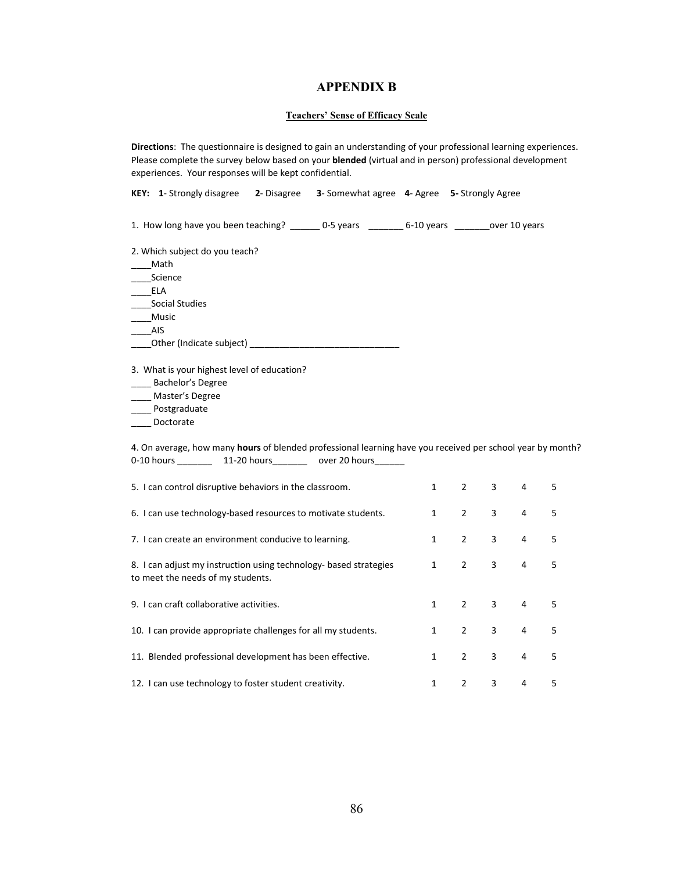#### **APPENDIX B**

#### **Teachers' Sense of Efficacy Scale**

**Directions**: The questionnaire is designed to gain an understanding of your professional learning experiences. Please complete the survey below based on your **blended** (virtual and in person) professional development experiences. Your responses will be kept confidential.

**KEY: 1**- Strongly disagree **2**- Disagree **3**- Somewhat agree **4**- Agree **5-** Strongly Agree

1. How long have you been teaching? \_\_\_\_\_\_ 0-5 years \_\_\_\_\_\_\_ 6-10 years \_\_\_\_\_\_\_over 10 years

2. Which subject do you teach?

\_\_\_\_Math

\_\_\_\_Science

\_\_\_\_ELA

\_\_\_\_Social Studies

\_\_\_\_Music

\_\_\_\_AIS

\_\_\_\_Other (Indicate subject) \_\_\_\_\_\_\_\_\_\_\_\_\_\_\_\_\_\_\_\_\_\_\_\_\_\_\_\_\_\_

3. What is your highest level of education?

\_\_\_\_ Bachelor's Degree

\_\_\_\_ Master's Degree

\_\_\_\_ Postgraduate

\_\_\_\_ Doctorate

4. On average, how many **hours** of blended professional learning have you received per school year by month? 0-10 hours \_\_\_\_\_\_\_\_\_ 11-20 hours \_\_\_\_\_\_\_ over 20 hours

| 5. I can control disruptive behaviors in the classroom.                                                |              | $\mathcal{P}$  | 3              | 4              | 5 |
|--------------------------------------------------------------------------------------------------------|--------------|----------------|----------------|----------------|---|
| 6. I can use technology-based resources to motivate students.                                          | $\mathbf{1}$ | $\overline{2}$ | 3              | 4              | 5 |
| 7. I can create an environment conducive to learning.                                                  |              | $\overline{2}$ | 3              | 4              | 5 |
| 8. I can adjust my instruction using technology- based strategies<br>to meet the needs of my students. | $\mathbf{1}$ | $\overline{2}$ | 3              | $\overline{4}$ | 5 |
| 9. Lean craft collaborative activities.                                                                | $\mathbf{1}$ | $\overline{2}$ | $\overline{3}$ | $\overline{4}$ | 5 |
| 10. I can provide appropriate challenges for all my students.                                          | $\mathbf{1}$ | 2              | 3              | 4              | 5 |
| 11. Blended professional development has been effective.                                               | $\mathbf{1}$ | $\mathcal{P}$  | 3              | 4              | 5 |
| 12. I can use technology to foster student creativity.                                                 | 1            | $\mathcal{P}$  | 3              | 4              | 5 |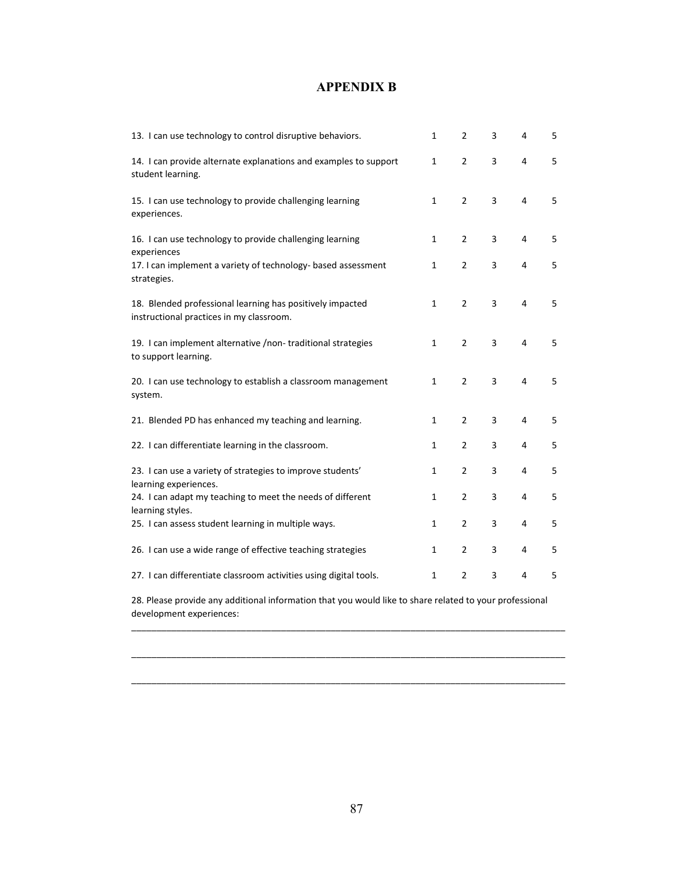## **APPENDIX B**

| 13. I can use technology to control disruptive behaviors.                                             | $\mathbf{1}$ | 2              | 3 | 4              | 5 |
|-------------------------------------------------------------------------------------------------------|--------------|----------------|---|----------------|---|
| 14. I can provide alternate explanations and examples to support<br>student learning.                 | $\mathbf{1}$ | $\overline{2}$ | 3 | $\overline{4}$ | 5 |
| 15. I can use technology to provide challenging learning<br>experiences.                              | $\mathbf{1}$ | $\overline{2}$ | 3 | 4              | 5 |
| 16. I can use technology to provide challenging learning<br>experiences                               | $\mathbf{1}$ | $\overline{2}$ | 3 | 4              | 5 |
| 17. I can implement a variety of technology- based assessment<br>strategies.                          | $\mathbf{1}$ | $\overline{2}$ | 3 | 4              | 5 |
| 18. Blended professional learning has positively impacted<br>instructional practices in my classroom. | 1            | $\overline{2}$ | 3 | 4              | 5 |
| 19. I can implement alternative /non-traditional strategies<br>to support learning.                   | $\mathbf{1}$ | $\overline{2}$ | 3 | $\overline{4}$ | 5 |
| 20. I can use technology to establish a classroom management<br>system.                               | 1            | $\overline{2}$ | 3 | $\overline{4}$ | 5 |
| 21. Blended PD has enhanced my teaching and learning.                                                 | $\mathbf{1}$ | 2              | 3 | 4              | 5 |
| 22. I can differentiate learning in the classroom.                                                    | $\mathbf{1}$ | $\overline{2}$ | 3 | 4              | 5 |
| 23. I can use a variety of strategies to improve students'<br>learning experiences.                   | 1            | $\overline{2}$ | 3 | 4              | 5 |
| 24. I can adapt my teaching to meet the needs of different<br>learning styles.                        | $\mathbf{1}$ | 2              | 3 | 4              | 5 |
| 25. I can assess student learning in multiple ways.                                                   | $\mathbf{1}$ | $\overline{2}$ | 3 | 4              | 5 |
| 26. I can use a wide range of effective teaching strategies                                           | $\mathbf{1}$ | 2              | 3 | 4              | 5 |
| 27. I can differentiate classroom activities using digital tools.                                     | $\mathbf{1}$ | 2              | 3 | 4              | 5 |

28. Please provide any additional information that you would like to share related to your professional development experiences:

\_\_\_\_\_\_\_\_\_\_\_\_\_\_\_\_\_\_\_\_\_\_\_\_\_\_\_\_\_\_\_\_\_\_\_\_\_\_\_\_\_\_\_\_\_\_\_\_\_\_\_\_\_\_\_\_\_\_\_\_\_\_\_\_\_\_\_\_\_\_\_\_\_\_\_\_\_\_\_\_\_\_\_\_\_\_\_

\_\_\_\_\_\_\_\_\_\_\_\_\_\_\_\_\_\_\_\_\_\_\_\_\_\_\_\_\_\_\_\_\_\_\_\_\_\_\_\_\_\_\_\_\_\_\_\_\_\_\_\_\_\_\_\_\_\_\_\_\_\_\_\_\_\_\_\_\_\_\_\_\_\_\_\_\_\_\_\_\_\_\_\_\_\_\_

\_\_\_\_\_\_\_\_\_\_\_\_\_\_\_\_\_\_\_\_\_\_\_\_\_\_\_\_\_\_\_\_\_\_\_\_\_\_\_\_\_\_\_\_\_\_\_\_\_\_\_\_\_\_\_\_\_\_\_\_\_\_\_\_\_\_\_\_\_\_\_\_\_\_\_\_\_\_\_\_\_\_\_\_\_\_\_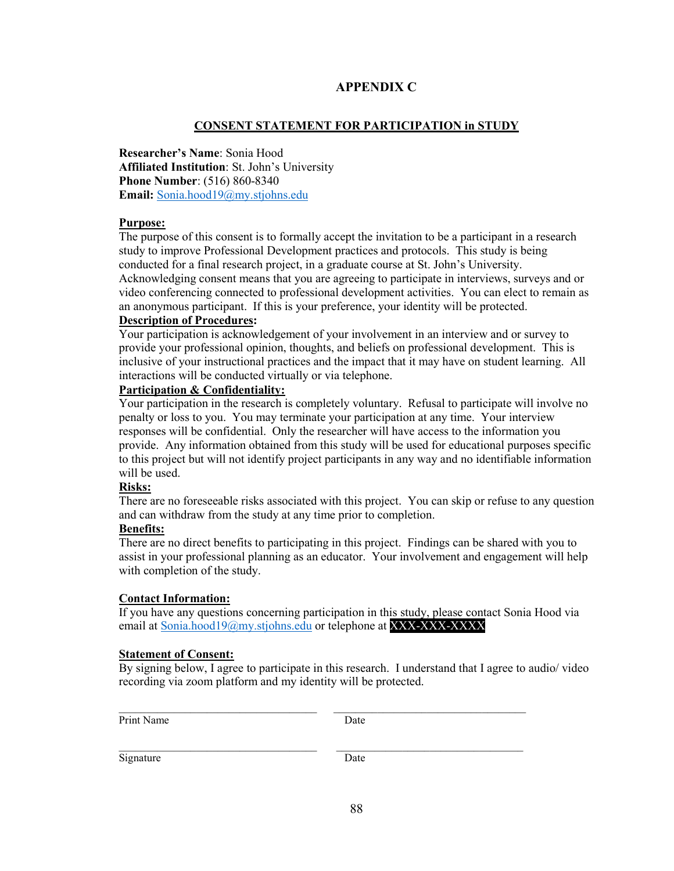## **APPENDIX C**

### **CONSENT STATEMENT FOR PARTICIPATION in STUDY**

**Researcher's Name**: Sonia Hood **Affiliated Institution**: St. John's University **Phone Number**: (516) 860-8340 **Email:** Sonia.hood19@my.stjohns.edu

#### **Purpose:**

The purpose of this consent is to formally accept the invitation to be a participant in a research study to improve Professional Development practices and protocols. This study is being conducted for a final research project, in a graduate course at St. John's University. Acknowledging consent means that you are agreeing to participate in interviews, surveys and or video conferencing connected to professional development activities. You can elect to remain as an anonymous participant. If this is your preference, your identity will be protected.

#### **Description of Procedures:**

Your participation is acknowledgement of your involvement in an interview and or survey to provide your professional opinion, thoughts, and beliefs on professional development. This is inclusive of your instructional practices and the impact that it may have on student learning. All interactions will be conducted virtually or via telephone.

#### **Participation & Confidentiality:**

Your participation in the research is completely voluntary. Refusal to participate will involve no penalty or loss to you. You may terminate your participation at any time. Your interview responses will be confidential. Only the researcher will have access to the information you provide. Any information obtained from this study will be used for educational purposes specific to this project but will not identify project participants in any way and no identifiable information will be used.

#### **Risks:**

There are no foreseeable risks associated with this project. You can skip or refuse to any question and can withdraw from the study at any time prior to completion.

### **Benefits:**

There are no direct benefits to participating in this project. Findings can be shared with you to assist in your professional planning as an educator. Your involvement and engagement will help with completion of the study.

### **Contact Information:**

If you have any questions concerning participation in this study, please contact Sonia Hood via email at Sonia.hood19@my.stjohns.edu or telephone at XXX-XXX-XXXX

#### **Statement of Consent:**

By signing below, I agree to participate in this research. I understand that I agree to audio/ video recording via zoom platform and my identity will be protected.

Print Name Date

 $\_$  , and the set of the set of the set of the set of the set of the set of the set of the set of the set of the set of the set of the set of the set of the set of the set of the set of the set of the set of the set of th

 $\_$  , and the state of the state of the state of the state of the state of the state of the state of the state of the state of the state of the state of the state of the state of the state of the state of the state of the

Signature Date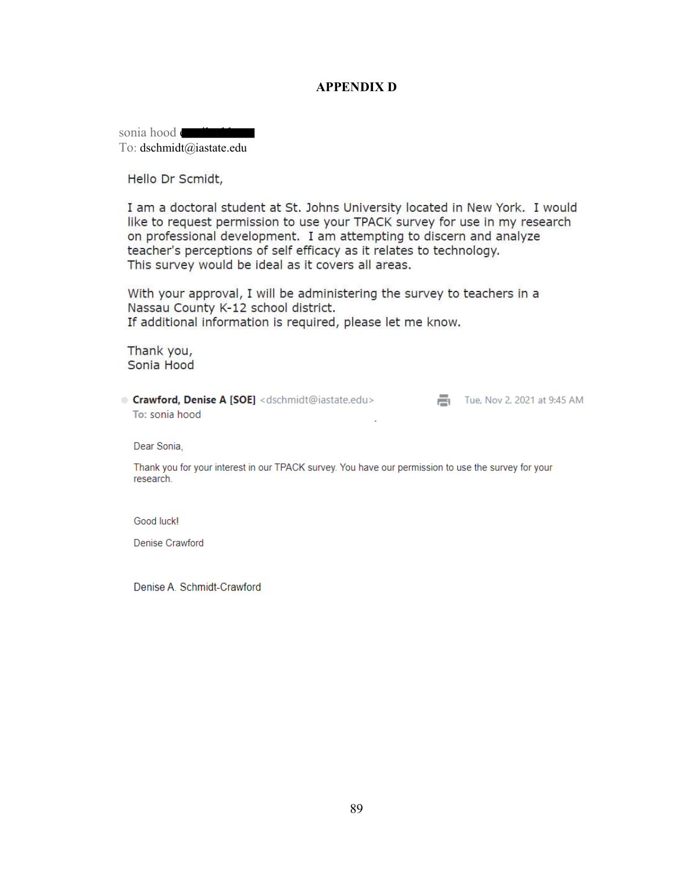## **APPENDIX D**

sonia hood email and To: dschmidt@iastate.edu

Hello Dr Scmidt,

I am a doctoral student at St. Johns University located in New York. I would like to request permission to use your TPACK survey for use in my research on professional development. I am attempting to discern and analyze teacher's perceptions of self efficacy as it relates to technology. This survey would be ideal as it covers all areas.

With your approval, I will be administering the survey to teachers in a Nassau County K-12 school district. If additional information is required, please let me know.

Thank you, Sonia Hood

**Crawford, Denise A [SOE]** <dschmidt@iastate.edu> Tue, Nov 2, 2021 at 9:45 AM To: sonia hood

Dear Sonia,

Thank you for your interest in our TPACK survey. You have our permission to use the survey for your research.

Good luck!

Denise Crawford

Denise A. Schmidt-Crawford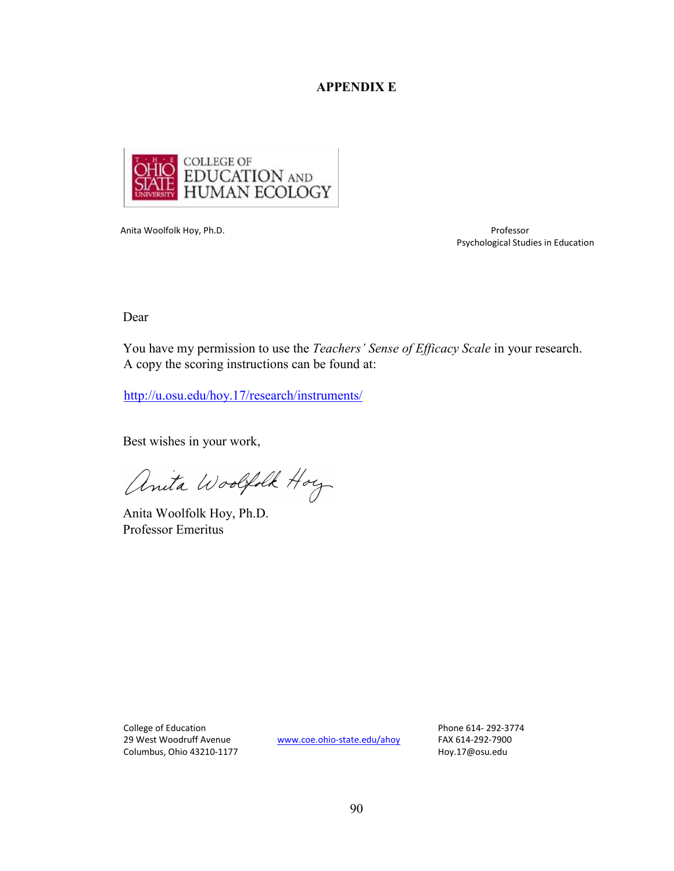## **APPENDIX E**



Anita Woolfolk Hoy, Ph.D. Professor

Psychological Studies in Education

Dear

You have my permission to use the *Teachers' Sense of Efficacy Scale* in your research. A copy the scoring instructions can be found at:

http://u.osu.edu/hoy.17/research/instruments/

Best wishes in your work,

anita Woolfolk Hoy

Anita Woolfolk Hoy, Ph.D. Professor Emeritus

College of Education Phone 614- 292-3774 29 West Woodruff Avenue www.coe.ohio-state.edu/ahoy FAX 614-292-7900 Columbus, Ohio 43210-1177 **https://www.fragmus.org/columbus, Ohio 43210-1177** http://www.fragmus.com/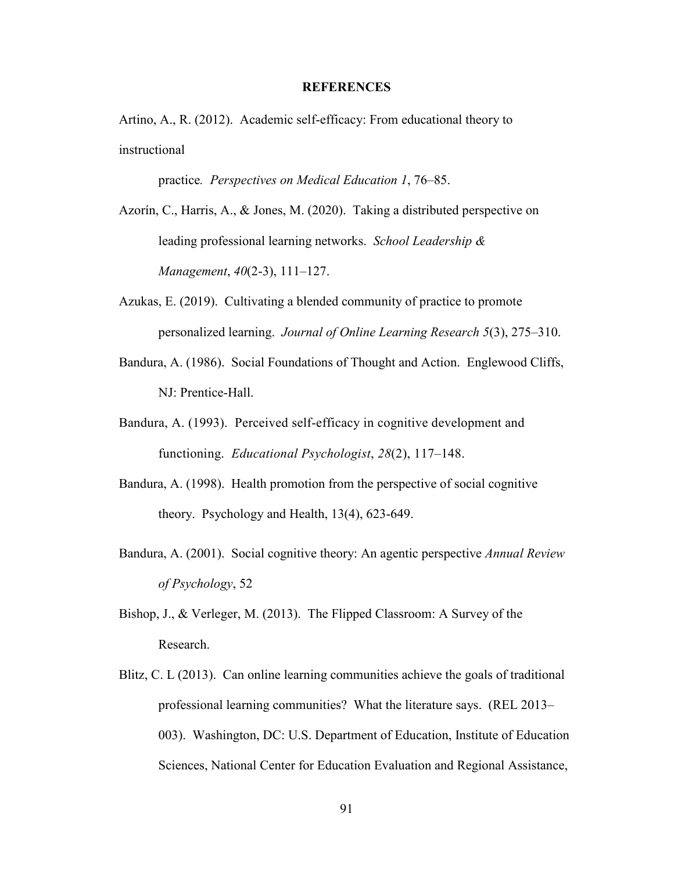#### **REFERENCES**

Artino, A., R. (2012). Academic self-efficacy: From educational theory to instructional

practice*. Perspectives on Medical Education 1*, 76–85.

- Azorín, C., Harris, A., & Jones, M. (2020). Taking a distributed perspective on leading professional learning networks. *School Leadership & Management*, *40*(2-3), 111–127.
- Azukas, E. (2019). Cultivating a blended community of practice to promote personalized learning. *Journal of Online Learning Research 5*(3), 275–310.
- Bandura, A. (1986). Social Foundations of Thought and Action. Englewood Cliffs, NJ: Prentice-Hall.
- Bandura, A. (1993). Perceived self-efficacy in cognitive development and functioning. *Educational Psychologist*, *28*(2), 117–148.
- Bandura, A. (1998). Health promotion from the perspective of social cognitive theory. Psychology and Health, 13(4), 623-649.
- Bandura, A. (2001). Social cognitive theory: An agentic perspective *Annual Review of Psychology*, 52
- Bishop, J., & Verleger, M. (2013). The Flipped Classroom: A Survey of the Research.
- Blitz, C. L (2013). Can online learning communities achieve the goals of traditional professional learning communities? What the literature says. (REL 2013– 003). Washington, DC: U.S. Department of Education, Institute of Education Sciences, National Center for Education Evaluation and Regional Assistance,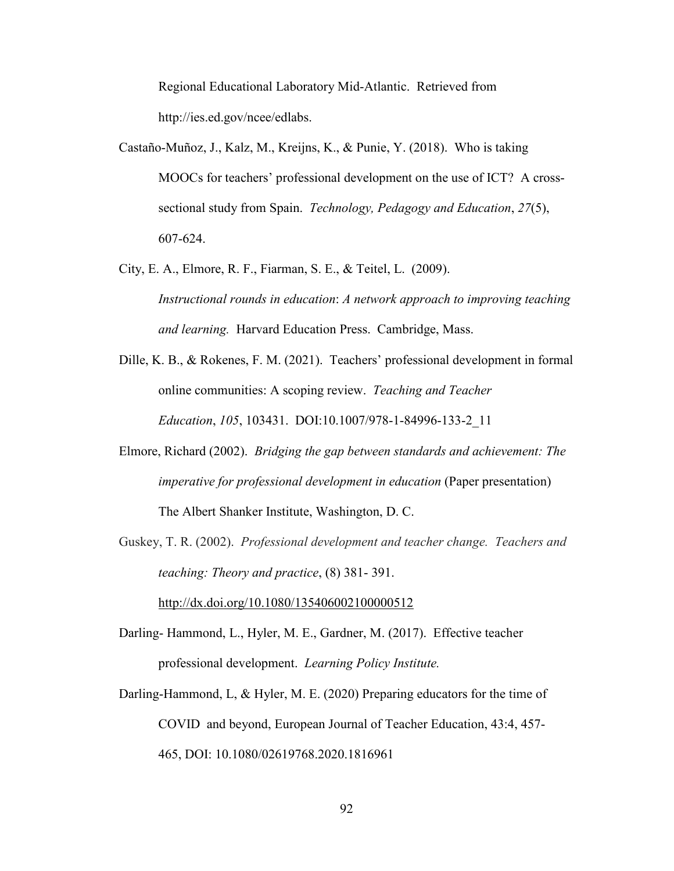Regional Educational Laboratory Mid-Atlantic. Retrieved from http://ies.ed.gov/ncee/edlabs.

- Castaño-Muñoz, J., Kalz, M., Kreijns, K., & Punie, Y. (2018). Who is taking MOOCs for teachers' professional development on the use of ICT? A crosssectional study from Spain. *Technology, Pedagogy and Education*, *27*(5), 607-624.
- City, E. A., Elmore, R. F., Fiarman, S. E., & Teitel, L. (2009). *Instructional rounds in education*: *A network approach to improving teaching and learning.* Harvard Education Press. Cambridge, Mass.
- Dille, K. B., & Rokenes, F. M. (2021). Teachers' professional development in formal online communities: A scoping review. *Teaching and Teacher Education*, *105*, 103431. DOI:10.1007/978-1-84996-133-2\_11
- Elmore, Richard (2002). *Bridging the gap between standards and achievement: The imperative for professional development in education* (Paper presentation) The Albert Shanker Institute, Washington, D. C.
- Guskey, T. R. (2002). *Professional development and teacher change. Teachers and teaching: Theory and practice*, (8) 381- 391.

http://dx.doi.org/10.1080/135406002100000512

- Darling- Hammond, L., Hyler, M. E., Gardner, M. (2017). Effective teacher professional development. *Learning Policy Institute.*
- Darling-Hammond, L, & Hyler, M. E. (2020) Preparing educators for the time of COVID and beyond, European Journal of Teacher Education, 43:4, 457- 465, DOI: 10.1080/02619768.2020.1816961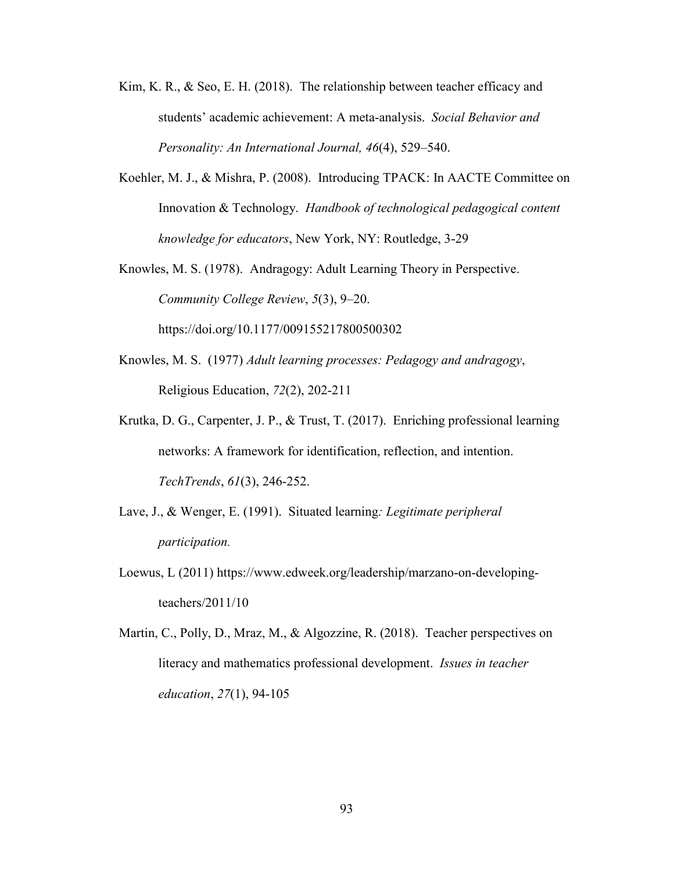- Kim, K. R., & Seo, E. H. (2018). The relationship between teacher efficacy and students' academic achievement: A meta-analysis. *Social Behavior and Personality: An International Journal, 46*(4), 529–540.
- Koehler, M. J., & Mishra, P. (2008). Introducing TPACK: In AACTE Committee on Innovation & Technology. *Handbook of technological pedagogical content knowledge for educators*, New York, NY: Routledge, 3-29
- Knowles, M. S. (1978). Andragogy: Adult Learning Theory in Perspective. *Community College Review*, *5*(3), 9–20.

https://doi.org/10.1177/009155217800500302

- Knowles, M. S. (1977) *Adult learning processes: Pedagogy and andragogy*, Religious Education, *72*(2), 202-211
- Krutka, D. G., Carpenter, J. P., & Trust, T. (2017). Enriching professional learning networks: A framework for identification, reflection, and intention. *TechTrends*, *61*(3), 246-252.
- Lave, J., & Wenger, E. (1991). Situated learning*: Legitimate peripheral participation.*
- Loewus, L (2011) https://www.edweek.org/leadership/marzano-on-developingteachers/2011/10
- Martin, C., Polly, D., Mraz, M., & Algozzine, R. (2018). Teacher perspectives on literacy and mathematics professional development. *Issues in teacher education*, *27*(1), 94-105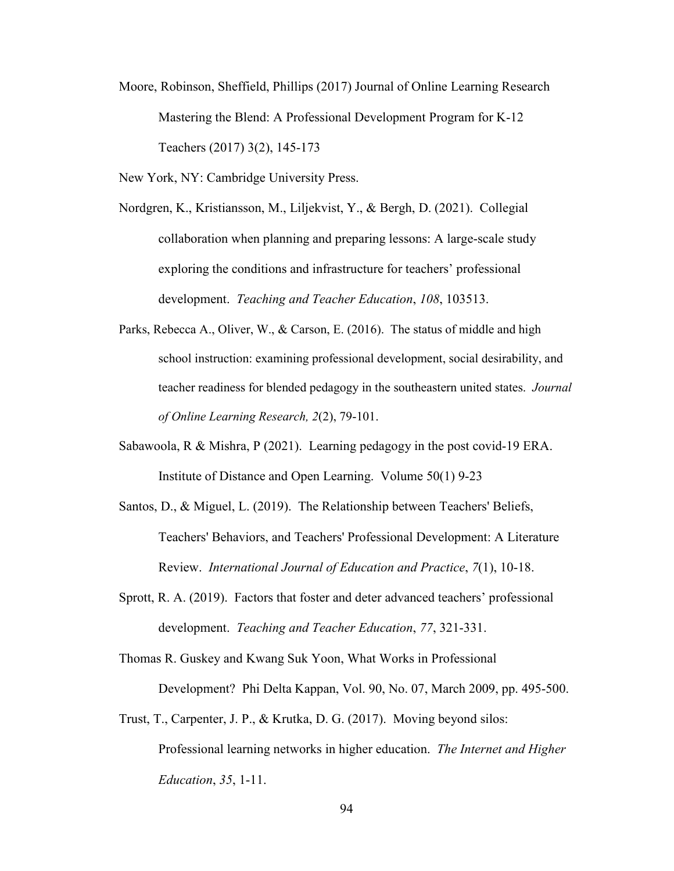- Moore, Robinson, Sheffield, Phillips (2017) Journal of Online Learning Research Mastering the Blend: A Professional Development Program for K-12 Teachers (2017) 3(2), 145-173
- New York, NY: Cambridge University Press.
- Nordgren, K., Kristiansson, M., Liljekvist, Y., & Bergh, D. (2021). Collegial collaboration when planning and preparing lessons: A large-scale study exploring the conditions and infrastructure for teachers' professional development. *Teaching and Teacher Education*, *108*, 103513.
- Parks, Rebecca A., Oliver, W., & Carson, E. (2016). The status of middle and high school instruction: examining professional development, social desirability, and teacher readiness for blended pedagogy in the southeastern united states. *Journal of Online Learning Research, 2*(2), 79-101.
- Sabawoola, R & Mishra, P (2021). Learning pedagogy in the post covid-19 ERA. Institute of Distance and Open Learning. Volume 50(1) 9-23
- Santos, D., & Miguel, L. (2019). The Relationship between Teachers' Beliefs, Teachers' Behaviors, and Teachers' Professional Development: A Literature Review. *International Journal of Education and Practice*, *7*(1), 10-18.
- Sprott, R. A. (2019). Factors that foster and deter advanced teachers' professional development. *Teaching and Teacher Education*, *77*, 321-331.
- Thomas R. Guskey and Kwang Suk Yoon, What Works in Professional Development? Phi Delta Kappan, Vol. 90, No. 07, March 2009, pp. 495-500.
- Trust, T., Carpenter, J. P., & Krutka, D. G. (2017). Moving beyond silos: Professional learning networks in higher education. *The Internet and Higher Education*, *35*, 1-11.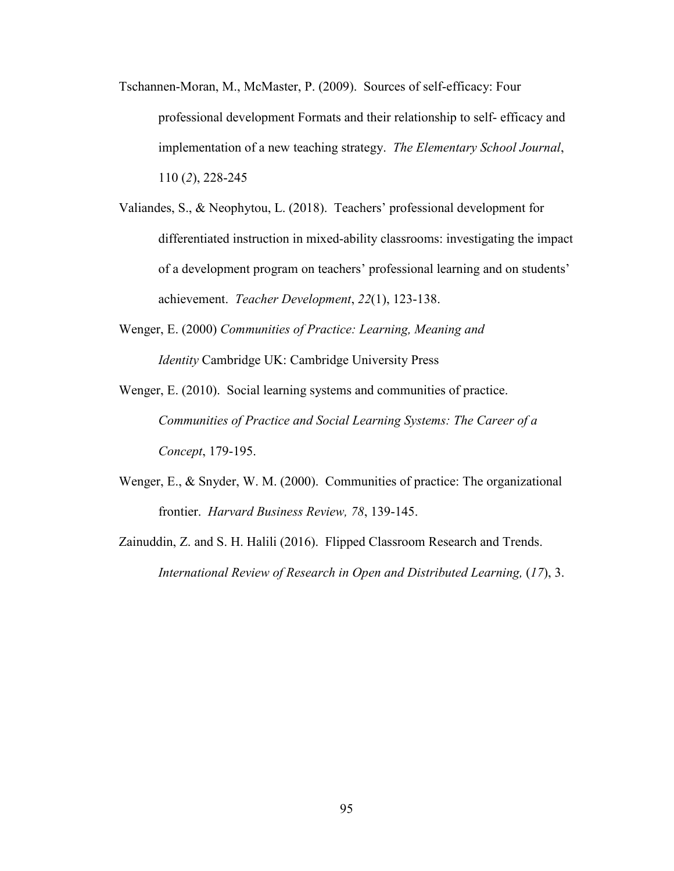- Tschannen-Moran, M., McMaster, P. (2009). Sources of self-efficacy: Four professional development Formats and their relationship to self- efficacy and implementation of a new teaching strategy. *The Elementary School Journal*, 110 (*2*), 228-245
- Valiandes, S., & Neophytou, L. (2018). Teachers' professional development for differentiated instruction in mixed-ability classrooms: investigating the impact of a development program on teachers' professional learning and on students' achievement. *Teacher Development*, *22*(1), 123-138.
- Wenger, E. (2000) *Communities of Practice: Learning, Meaning and Identity* Cambridge UK: Cambridge University Press
- Wenger, E. (2010). Social learning systems and communities of practice. *Communities of Practice and Social Learning Systems: The Career of a Concept*, 179-195.
- Wenger, E., & Snyder, W. M. (2000). Communities of practice: The organizational frontier. *Harvard Business Review, 78*, 139-145.
- Zainuddin, Z. and S. H. Halili (2016). Flipped Classroom Research and Trends. *International Review of Research in Open and Distributed Learning,* (*17*), 3.